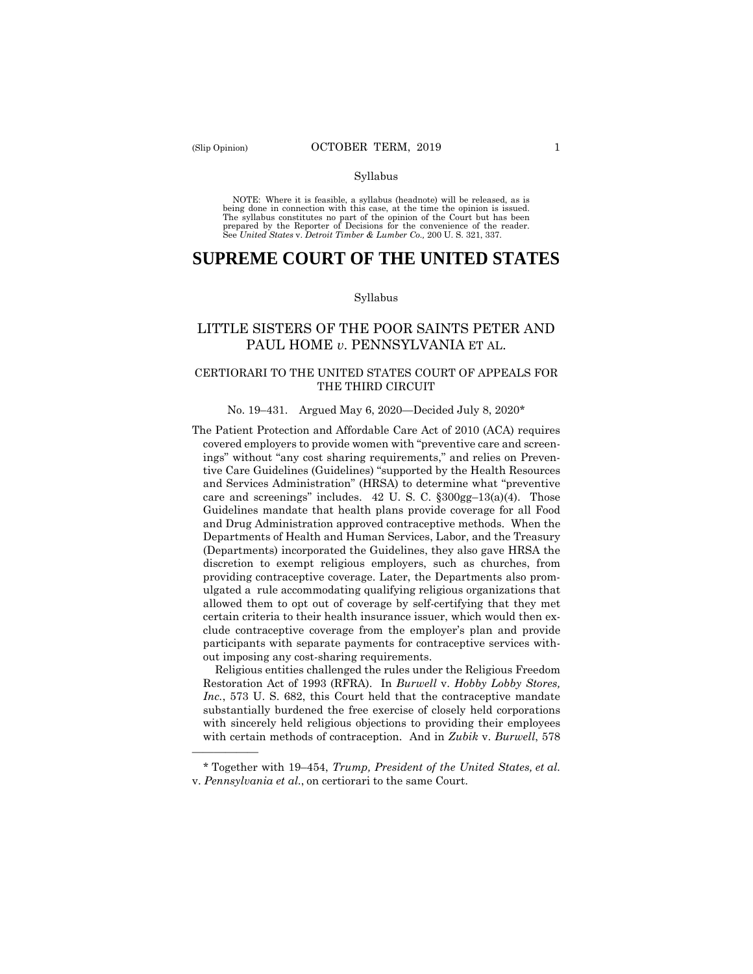——————

#### Syllabus

 NOTE: Where it is feasible, a syllabus (headnote) will be released, as is being done in connection with this case, at the time the opinion is issued. The syllabus constitutes no part of the opinion of the Court but has been<br>prepared by the Reporter of Decisions for the convenience of the reader.<br>See United States v. Detroit Timber & Lumber Co., 200 U.S. 321, 337.

# **SUPREME COURT OF THE UNITED STATES**

#### Syllabus

# LITTLE SISTERS OF THE POOR SAINTS PETER AND PAUL HOME *v*. PENNSYLVANIA ET AL.

## CERTIORARI TO THE UNITED STATES COURT OF APPEALS FOR THE THIRD CIRCUIT

### No. 19–431. Argued May 6, 2020—Decided July 8, 2020\*

The Patient Protection and Affordable Care Act of 2010 (ACA) requires covered employers to provide women with "preventive care and screenings" without "any cost sharing requirements," and relies on Preventive Care Guidelines (Guidelines) "supported by the Health Resources and Services Administration" (HRSA) to determine what "preventive care and screenings" includes.  $42 \text{ U}$ . S. C.  $\S 300 \text{ gg} - 13(a)(4)$ . Those Guidelines mandate that health plans provide coverage for all Food and Drug Administration approved contraceptive methods. When the Departments of Health and Human Services, Labor, and the Treasury (Departments) incorporated the Guidelines, they also gave HRSA the discretion to exempt religious employers, such as churches, from providing contraceptive coverage. Later, the Departments also promulgated a rule accommodating qualifying religious organizations that allowed them to opt out of coverage by self-certifying that they met certain criteria to their health insurance issuer, which would then exclude contraceptive coverage from the employer's plan and provide participants with separate payments for contraceptive services without imposing any cost-sharing requirements.

Religious entities challenged the rules under the Religious Freedom Restoration Act of 1993 (RFRA). In *Burwell* v. *Hobby Lobby Stores, Inc.*, 573 U. S. 682, this Court held that the contraceptive mandate substantially burdened the free exercise of closely held corporations with sincerely held religious objections to providing their employees with certain methods of contraception. And in *Zubik* v. *Burwell*, 578

 \* Together with 19–454, *Trump, President of the United States, et al.*  v. *Pennsylvania et al.*, on certiorari to the same Court.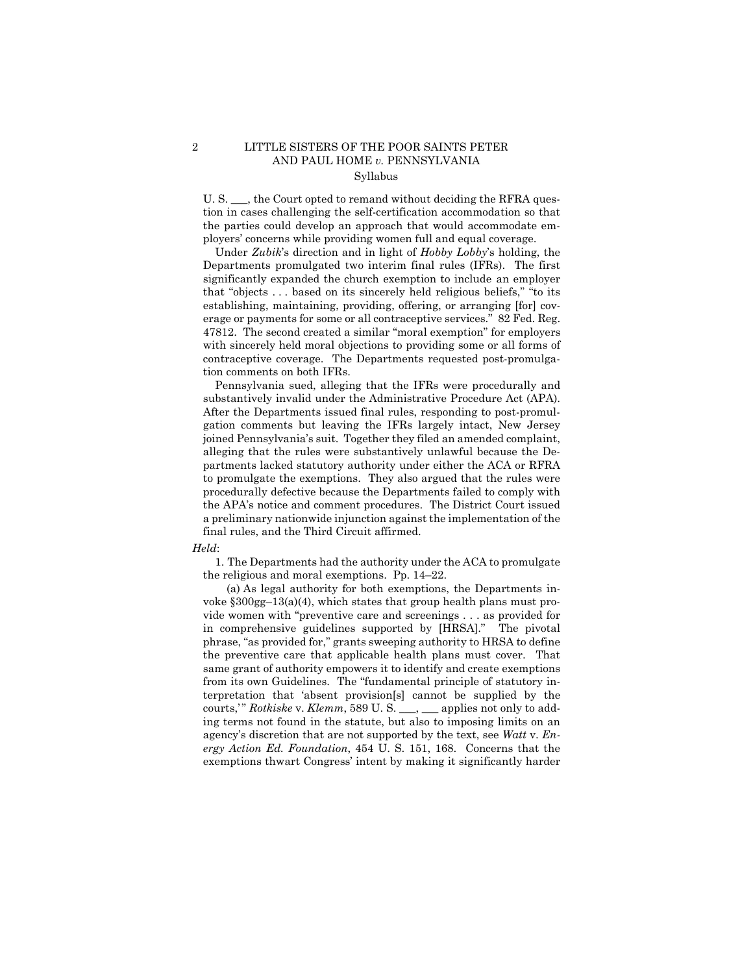## 2 LITTLE SISTERS OF THE POOR SAINTS PETER AND PAUL HOME *v.* PENNSYLVANIA Syllabus

U. S.  $\ldots$ , the Court opted to remand without deciding the RFRA question in cases challenging the self-certification accommodation so that the parties could develop an approach that would accommodate employers' concerns while providing women full and equal coverage.

 erage or payments for some or all contraceptive services." 82 Fed. Reg. Under *Zubik*'s direction and in light of *Hobby Lobby*'s holding, the Departments promulgated two interim final rules (IFRs). The first significantly expanded the church exemption to include an employer that "objects . . . based on its sincerely held religious beliefs," "to its establishing, maintaining, providing, offering, or arranging [for] cov-47812. The second created a similar "moral exemption" for employers with sincerely held moral objections to providing some or all forms of contraceptive coverage. The Departments requested post-promulgation comments on both IFRs.

Pennsylvania sued, alleging that the IFRs were procedurally and substantively invalid under the Administrative Procedure Act (APA). After the Departments issued final rules, responding to post-promulgation comments but leaving the IFRs largely intact, New Jersey joined Pennsylvania's suit. Together they filed an amended complaint, alleging that the rules were substantively unlawful because the Departments lacked statutory authority under either the ACA or RFRA to promulgate the exemptions. They also argued that the rules were procedurally defective because the Departments failed to comply with the APA's notice and comment procedures. The District Court issued a preliminary nationwide injunction against the implementation of the final rules, and the Third Circuit affirmed.

#### *Held*:

1. The Departments had the authority under the ACA to promulgate the religious and moral exemptions. Pp. 14–22.

(a) As legal authority for both exemptions, the Departments invoke §300gg–13(a)(4), which states that group health plans must provide women with "preventive care and screenings . . . as provided for in comprehensive guidelines supported by [HRSA]." The pivotal phrase, "as provided for," grants sweeping authority to HRSA to define the preventive care that applicable health plans must cover. That same grant of authority empowers it to identify and create exemptions from its own Guidelines. The "fundamental principle of statutory interpretation that 'absent provision[s] cannot be supplied by the courts," Rotkiske v. Klemm, 589 U.S. \_\_, \_\_ applies not only to adding terms not found in the statute, but also to imposing limits on an agency's discretion that are not supported by the text, see *Watt* v. *Energy Action Ed. Foundation*, 454 U. S. 151, 168. Concerns that the exemptions thwart Congress' intent by making it significantly harder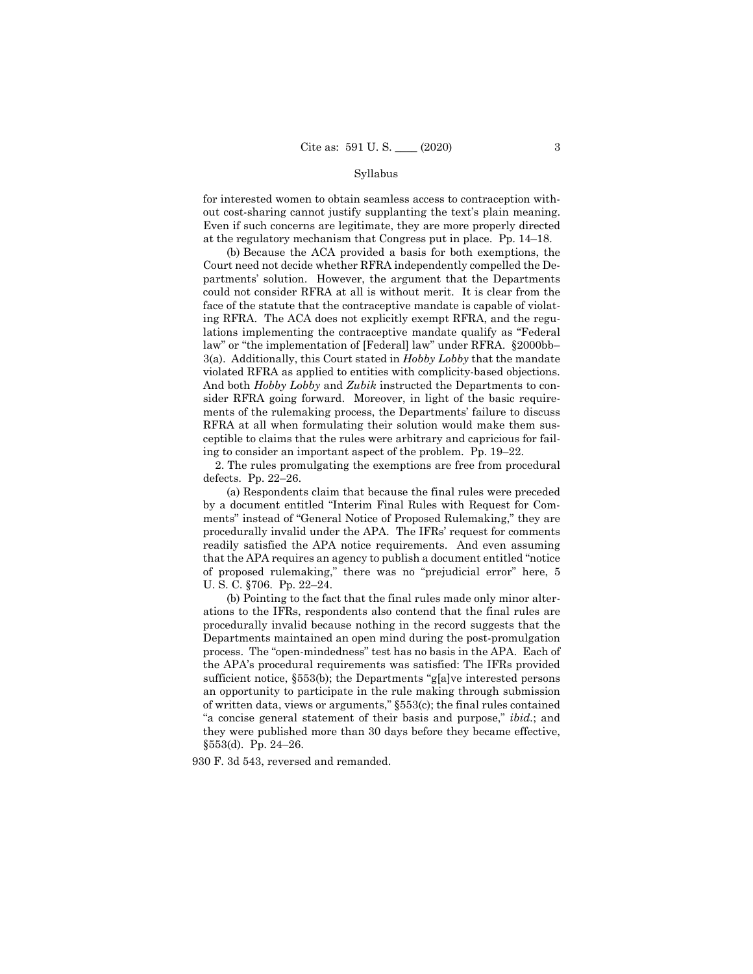### Syllabus

for interested women to obtain seamless access to contraception without cost-sharing cannot justify supplanting the text's plain meaning. Even if such concerns are legitimate, they are more properly directed at the regulatory mechanism that Congress put in place. Pp. 14–18.

 violated RFRA as applied to entities with complicity-based objections. (b) Because the ACA provided a basis for both exemptions, the Court need not decide whether RFRA independently compelled the Departments' solution. However, the argument that the Departments could not consider RFRA at all is without merit. It is clear from the face of the statute that the contraceptive mandate is capable of violating RFRA. The ACA does not explicitly exempt RFRA, and the regulations implementing the contraceptive mandate qualify as "Federal law" or "the implementation of [Federal] law" under RFRA. §2000bb– 3(a). Additionally, this Court stated in *Hobby Lobby* that the mandate And both *Hobby Lobby* and *Zubik* instructed the Departments to consider RFRA going forward. Moreover, in light of the basic requirements of the rulemaking process, the Departments' failure to discuss RFRA at all when formulating their solution would make them susceptible to claims that the rules were arbitrary and capricious for failing to consider an important aspect of the problem. Pp. 19–22.

2. The rules promulgating the exemptions are free from procedural defects. Pp. 22–26.

(a) Respondents claim that because the final rules were preceded by a document entitled "Interim Final Rules with Request for Comments" instead of "General Notice of Proposed Rulemaking," they are procedurally invalid under the APA. The IFRs' request for comments readily satisfied the APA notice requirements. And even assuming that the APA requires an agency to publish a document entitled "notice of proposed rulemaking," there was no "prejudicial error" here, 5 U. S. C. §706. Pp. 22–24.

 an opportunity to participate in the rule making through submission (b) Pointing to the fact that the final rules made only minor alterations to the IFRs, respondents also contend that the final rules are procedurally invalid because nothing in the record suggests that the Departments maintained an open mind during the post-promulgation process. The "open-mindedness" test has no basis in the APA. Each of the APA's procedural requirements was satisfied: The IFRs provided sufficient notice, §553(b); the Departments "g[a]ve interested persons of written data, views or arguments," §553(c); the final rules contained "a concise general statement of their basis and purpose," *ibid.*; and they were published more than 30 days before they became effective, §553(d). Pp. 24–26.

930 F. 3d 543, reversed and remanded.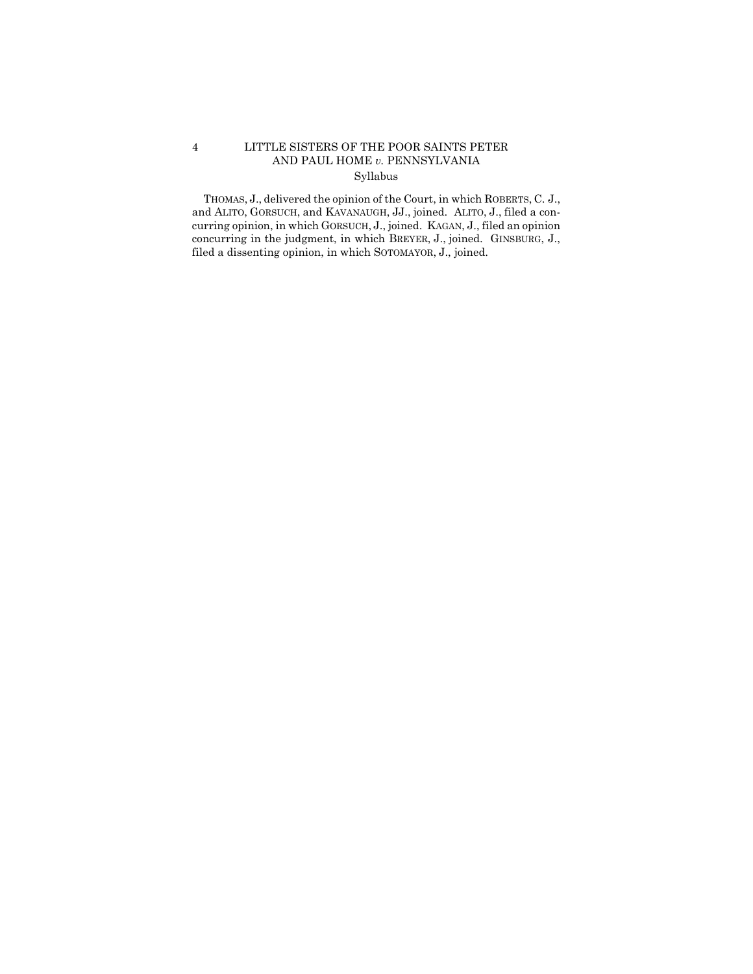## 4 LITTLE SISTERS OF THE POOR SAINTS PETER AND PAUL HOME *v.* PENNSYLVANIA Syllabus

 THOMAS, J., delivered the opinion of the Court, in which ROBERTS, C. J., and ALITO, GORSUCH, and KAVANAUGH, JJ., joined. ALITO, J., filed a con- concurring in the judgment, in which BREYER, J., joined. GINSBURG, J., curring opinion, in which GORSUCH, J., joined. KAGAN, J., filed an opinion filed a dissenting opinion, in which SOTOMAYOR, J., joined.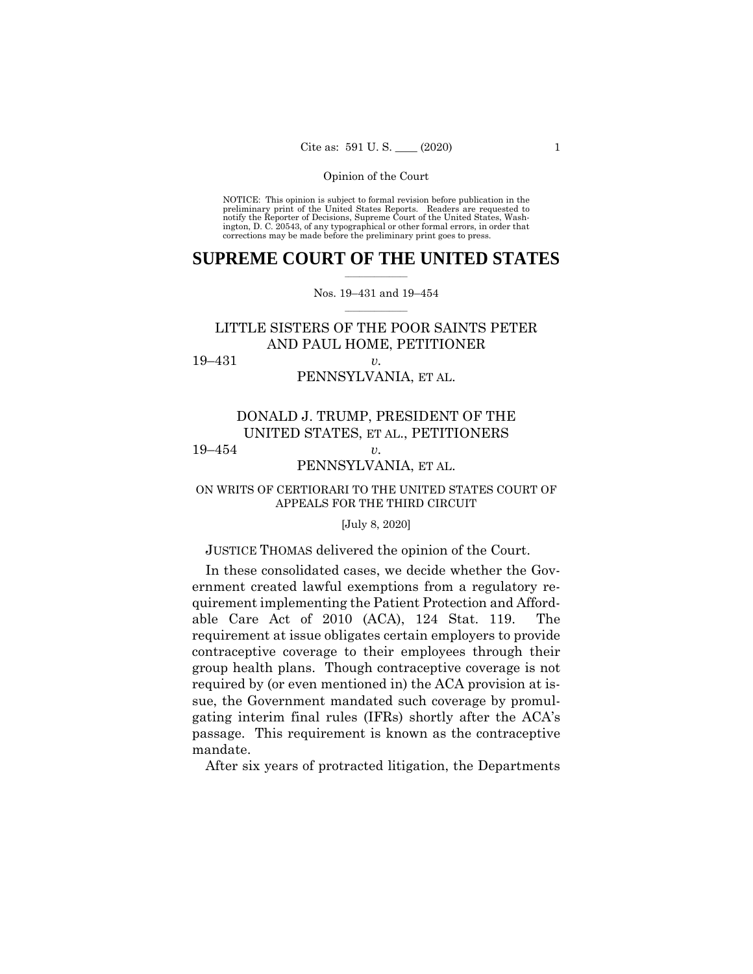NOTICE: This opinion is subject to formal revision before publication in the preliminary print of the United States Reports. Readers are requested to notify the Reporter of Decisions, Supreme Court of the United States, Wash-ington, D. C. 20543, of any typographical or other formal errors, in order that corrections may be made before the preliminary print goes to press.

## $\frac{1}{2}$  ,  $\frac{1}{2}$  ,  $\frac{1}{2}$  ,  $\frac{1}{2}$  ,  $\frac{1}{2}$  ,  $\frac{1}{2}$  ,  $\frac{1}{2}$ **SUPREME COURT OF THE UNITED STATES**

### $\frac{1}{2}$  ,  $\frac{1}{2}$  ,  $\frac{1}{2}$  ,  $\frac{1}{2}$  ,  $\frac{1}{2}$  ,  $\frac{1}{2}$ Nos. 19–431 and 19–454

# LITTLE SISTERS OF THE POOR SAINTS PETER AND PAUL HOME, PETITIONER

19–431 *v.* 

## PENNSYLVANIA, ET AL.

# DONALD J. TRUMP, PRESIDENT OF THE UNITED STATES, ET AL., PETITIONERS

# 19–454 *v.*

## PENNSYLVANIA, ET AL.

## ON WRITS OF CERTIORARI TO THE UNITED STATES COURT OF APPEALS FOR THE THIRD CIRCUIT

### [July 8, 2020]

## JUSTICE THOMAS delivered the opinion of the Court.

In these consolidated cases, we decide whether the Government created lawful exemptions from a regulatory requirement implementing the Patient Protection and Affordable Care Act of 2010 (ACA), 124 Stat. 119. The requirement at issue obligates certain employers to provide contraceptive coverage to their employees through their group health plans. Though contraceptive coverage is not required by (or even mentioned in) the ACA provision at issue, the Government mandated such coverage by promulgating interim final rules (IFRs) shortly after the ACA's passage. This requirement is known as the contraceptive mandate.

After six years of protracted litigation, the Departments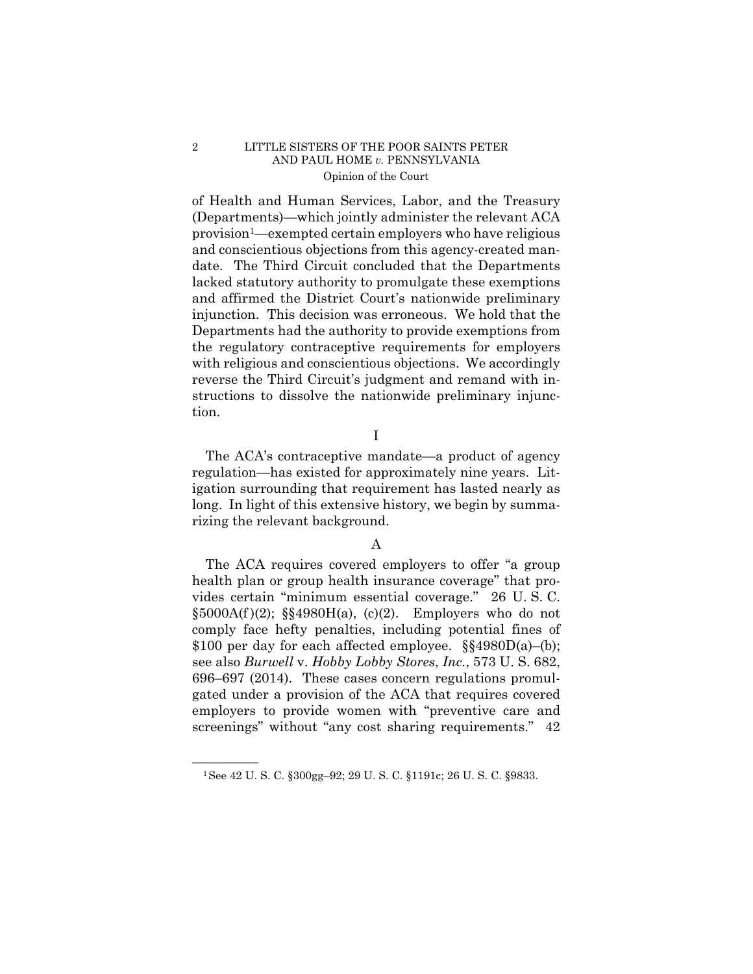of Health and Human Services, Labor, and the Treasury (Departments)—which jointly administer the relevant ACA provision1—exempted certain employers who have religious and conscientious objections from this agency-created mandate. The Third Circuit concluded that the Departments lacked statutory authority to promulgate these exemptions and affirmed the District Court's nationwide preliminary injunction. This decision was erroneous. We hold that the Departments had the authority to provide exemptions from the regulatory contraceptive requirements for employers with religious and conscientious objections. We accordingly reverse the Third Circuit's judgment and remand with instructions to dissolve the nationwide preliminary injunction.

I

The ACA's contraceptive mandate—a product of agency regulation—has existed for approximately nine years. Litigation surrounding that requirement has lasted nearly as long. In light of this extensive history, we begin by summarizing the relevant background.

## A

The ACA requires covered employers to offer "a group health plan or group health insurance coverage" that provides certain "minimum essential coverage." 26 U. S. C.  $\S5000A(f)(2)$ ;  $\S54980H(a)$ , (c)(2). Employers who do not comply face hefty penalties, including potential fines of \$100 per day for each affected employee. §§4980D(a)–(b); see also *Burwell* v. *Hobby Lobby Stores*, *Inc.*, 573 U. S. 682, 696–697 (2014). These cases concern regulations promulgated under a provision of the ACA that requires covered employers to provide women with "preventive care and screenings" without "any cost sharing requirements." 42

<sup>&</sup>lt;sup>1</sup>See 42 U. S. C. §300gg-92; 29 U. S. C. §1191c; 26 U. S. C. §9833.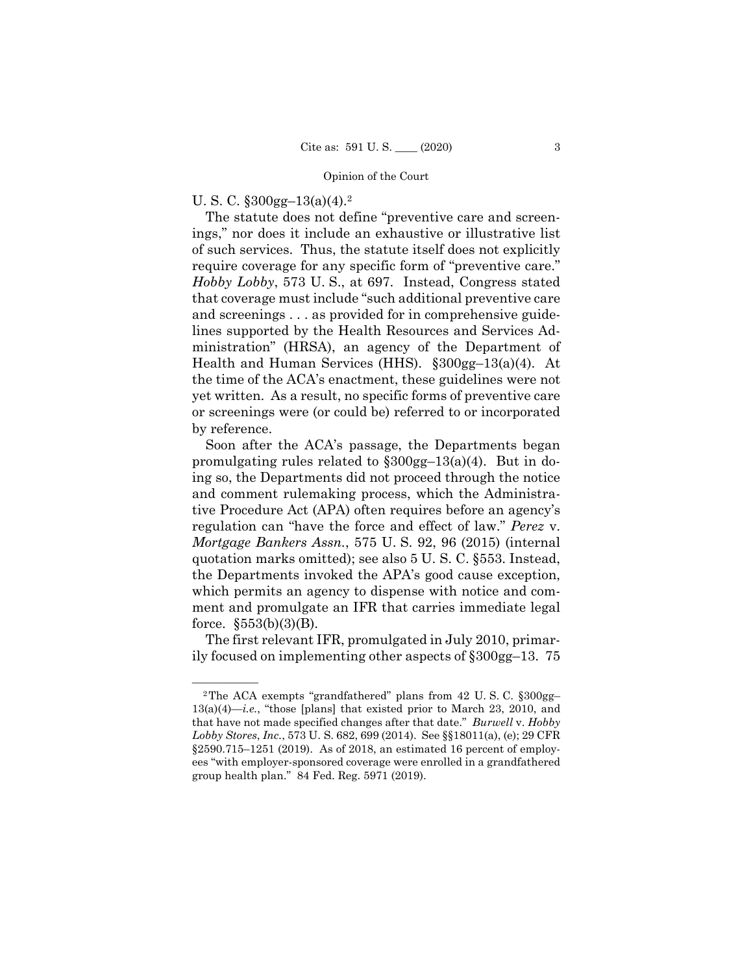## U. S. C.  $\S 300$ gg-13(a)(4).<sup>2</sup>

The statute does not define "preventive care and screenings," nor does it include an exhaustive or illustrative list of such services. Thus, the statute itself does not explicitly require coverage for any specific form of "preventive care." *Hobby Lobby*, 573 U. S., at 697. Instead, Congress stated that coverage must include "such additional preventive care and screenings . . . as provided for in comprehensive guidelines supported by the Health Resources and Services Administration" (HRSA), an agency of the Department of Health and Human Services (HHS). §300gg–13(a)(4). At the time of the ACA's enactment, these guidelines were not yet written. As a result, no specific forms of preventive care or screenings were (or could be) referred to or incorporated by reference.

Soon after the ACA's passage, the Departments began promulgating rules related to §300gg–13(a)(4). But in doing so, the Departments did not proceed through the notice and comment rulemaking process, which the Administrative Procedure Act (APA) often requires before an agency's regulation can "have the force and effect of law." *Perez* v. *Mortgage Bankers Assn.*, 575 U. S. 92, 96 (2015) (internal quotation marks omitted); see also 5 U. S. C. §553. Instead, the Departments invoked the APA's good cause exception, which permits an agency to dispense with notice and comment and promulgate an IFR that carries immediate legal force. §553(b)(3)(B).

The first relevant IFR, promulgated in July 2010, primarily focused on implementing other aspects of §300gg–13. 75

<sup>&</sup>lt;sup>2</sup>The ACA exempts "grandfathered" plans from  $42$  U.S.C.  $$300gg 13(a)(4)$ —*i.e.*, "those [plans] that existed prior to March 23, 2010, and that have not made specified changes after that date." *Burwell* v. *Hobby Lobby Stores*, *Inc.*, 573 U. S. 682, 699 (2014). See §§18011(a), (e); 29 CFR §2590.715–1251 (2019). As of 2018, an estimated 16 percent of employees "with employer-sponsored coverage were enrolled in a grandfathered group health plan." 84 Fed. Reg. 5971 (2019).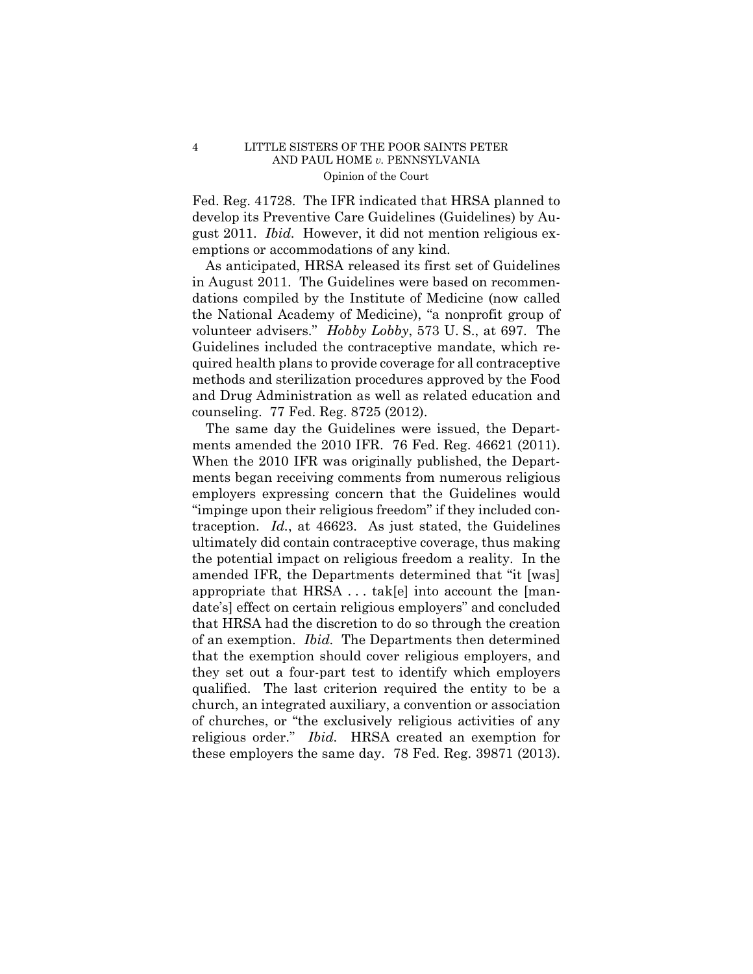Fed. Reg. 41728. The IFR indicated that HRSA planned to develop its Preventive Care Guidelines (Guidelines) by August 2011. *Ibid.* However, it did not mention religious exemptions or accommodations of any kind.

As anticipated, HRSA released its first set of Guidelines in August 2011. The Guidelines were based on recommendations compiled by the Institute of Medicine (now called the National Academy of Medicine), "a nonprofit group of volunteer advisers." *Hobby Lobby*, 573 U. S., at 697. The Guidelines included the contraceptive mandate, which required health plans to provide coverage for all contraceptive methods and sterilization procedures approved by the Food and Drug Administration as well as related education and counseling. 77 Fed. Reg. 8725 (2012).

 religious order." *Ibid.* HRSA created an exemption for  these employers the same day. 78 Fed. Reg. 39871 (2013). The same day the Guidelines were issued, the Departments amended the 2010 IFR. 76 Fed. Reg. 46621 (2011). When the 2010 IFR was originally published, the Departments began receiving comments from numerous religious employers expressing concern that the Guidelines would "impinge upon their religious freedom" if they included contraception. *Id.*, at 46623. As just stated, the Guidelines ultimately did contain contraceptive coverage, thus making the potential impact on religious freedom a reality. In the amended IFR, the Departments determined that "it [was] appropriate that HRSA . . . tak[e] into account the [mandate's] effect on certain religious employers" and concluded that HRSA had the discretion to do so through the creation of an exemption. *Ibid.* The Departments then determined that the exemption should cover religious employers, and they set out a four-part test to identify which employers qualified. The last criterion required the entity to be a church, an integrated auxiliary, a convention or association of churches, or "the exclusively religious activities of any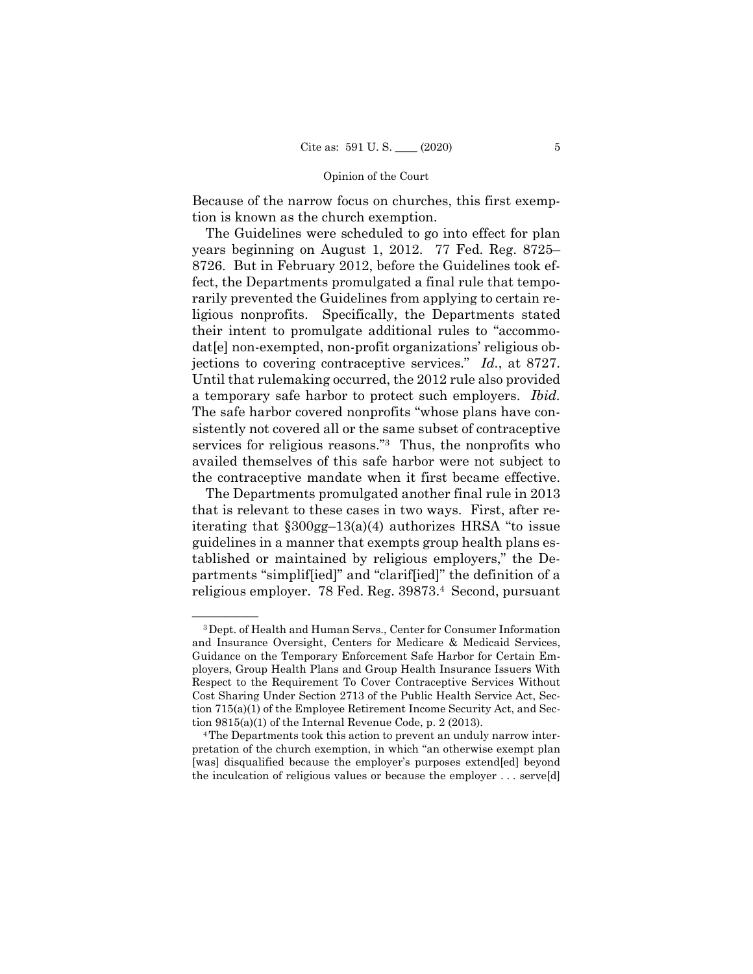Because of the narrow focus on churches, this first exemption is known as the church exemption.

The Guidelines were scheduled to go into effect for plan years beginning on August 1, 2012. 77 Fed. Reg. 8725– 8726. But in February 2012, before the Guidelines took effect, the Departments promulgated a final rule that temporarily prevented the Guidelines from applying to certain religious nonprofits. Specifically, the Departments stated their intent to promulgate additional rules to "accommodat[e] non-exempted, non-profit organizations' religious objections to covering contraceptive services." *Id.*, at 8727. Until that rulemaking occurred, the 2012 rule also provided a temporary safe harbor to protect such employers. *Ibid.* The safe harbor covered nonprofits "whose plans have consistently not covered all or the same subset of contraceptive services for religious reasons."3 Thus, the nonprofits who availed themselves of this safe harbor were not subject to the contraceptive mandate when it first became effective.

The Departments promulgated another final rule in 2013 that is relevant to these cases in two ways. First, after reiterating that §300gg–13(a)(4) authorizes HRSA "to issue guidelines in a manner that exempts group health plans established or maintained by religious employers," the Departments "simplif[ied]" and "clarif[ied]" the definition of a religious employer. 78 Fed. Reg. 39873.4 Second, pursuant

<sup>&</sup>lt;sup>3</sup> Dept. of Health and Human Servs., Center for Consumer Information and Insurance Oversight, Centers for Medicare & Medicaid Services, Guidance on the Temporary Enforcement Safe Harbor for Certain Employers, Group Health Plans and Group Health Insurance Issuers With Respect to the Requirement To Cover Contraceptive Services Without Cost Sharing Under Section 2713 of the Public Health Service Act, Section 715(a)(1) of the Employee Retirement Income Security Act, and Section 9815(a)(1) of the Internal Revenue Code, p. 2 (2013).<br><sup>4</sup>The Departments took this action to prevent an unduly narrow inter-

pretation of the church exemption, in which "an otherwise exempt plan [was] disqualified because the employer's purposes extend[ed] beyond the inculcation of religious values or because the employer . . . serve[d]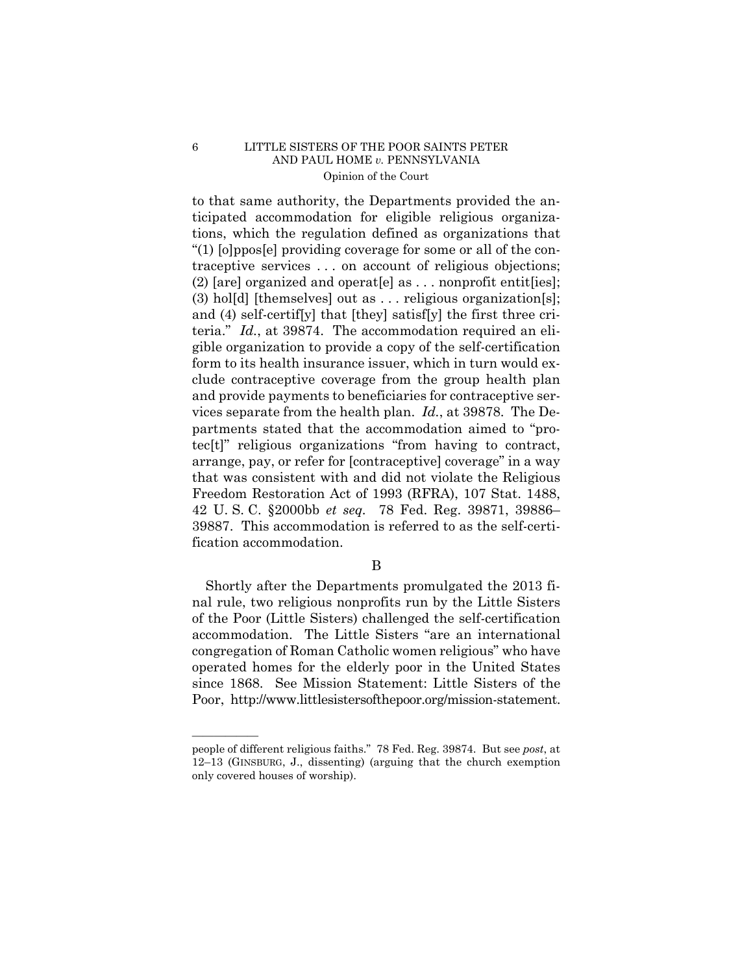to that same authority, the Departments provided the anticipated accommodation for eligible religious organizations, which the regulation defined as organizations that "(1) [o]ppos[e] providing coverage for some or all of the contraceptive services . . . on account of religious objections; (2) [are] organized and operat[e] as  $\dots$  nonprofit entit[ies]; (3) hol[d] [themselves] out as . . . religious organization[s]; and (4) self-certif[y] that [they] satisf[y] the first three criteria." *Id.*, at 39874. The accommodation required an eligible organization to provide a copy of the self-certification form to its health insurance issuer, which in turn would exclude contraceptive coverage from the group health plan and provide payments to beneficiaries for contraceptive services separate from the health plan. *Id.*, at 39878. The Departments stated that the accommodation aimed to "protec[t]" religious organizations "from having to contract, arrange, pay, or refer for [contraceptive] coverage" in a way that was consistent with and did not violate the Religious Freedom Restoration Act of 1993 (RFRA), 107 Stat. 1488, 42 U. S. C. §2000bb *et seq.* 78 Fed. Reg. 39871, 39886– 39887. This accommodation is referred to as the self-certification accommodation.

B

Shortly after the Departments promulgated the 2013 final rule, two religious nonprofits run by the Little Sisters of the Poor (Little Sisters) challenged the self-certification accommodation. The Little Sisters "are an international congregation of Roman Catholic women religious" who have operated homes for the elderly poor in the United States since 1868. See Mission Statement: Little Sisters of the Poor, http://www.littlesistersofthepoor.org/mission-statement.

——————

people of different religious faiths." 78 Fed. Reg. 39874. But see *post*, at 12–13 (GINSBURG, J., dissenting) (arguing that the church exemption only covered houses of worship).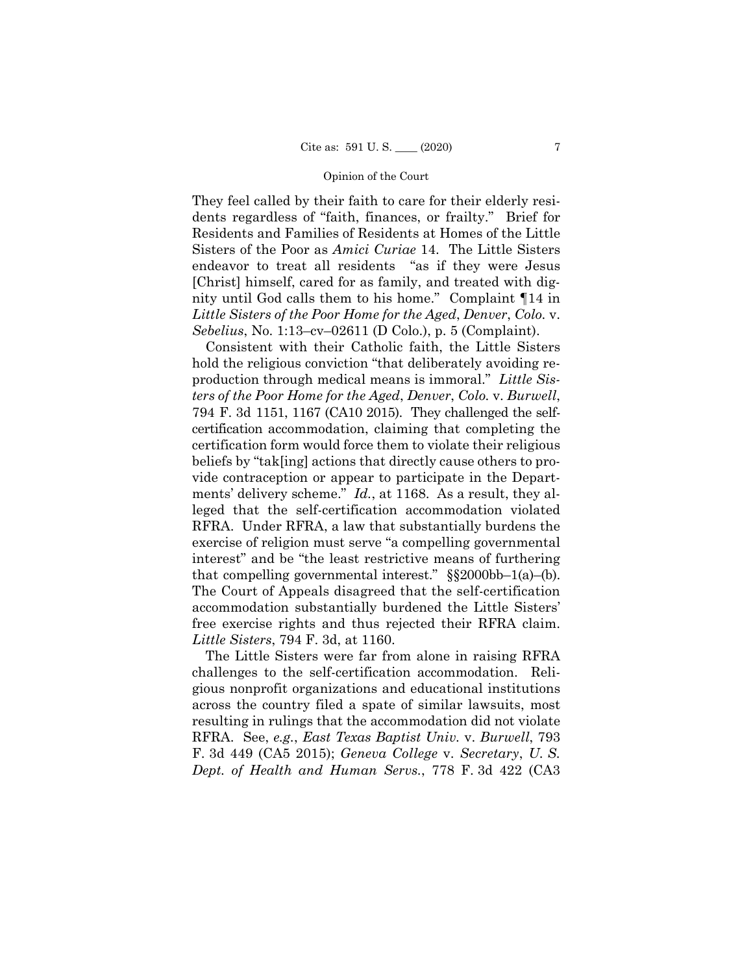They feel called by their faith to care for their elderly residents regardless of "faith, finances, or frailty." Brief for Residents and Families of Residents at Homes of the Little Sisters of the Poor as *Amici Curiae* 14. The Little Sisters endeavor to treat all residents "as if they were Jesus [Christ] himself, cared for as family, and treated with dignity until God calls them to his home." Complaint ¶14 in *Little Sisters of the Poor Home for the Aged*, *Denver*, *Colo.* v. *Sebelius*, No. 1:13–cv–02611 (D Colo.), p. 5 (Complaint).

 ments' delivery scheme." *Id.*, at 1168. As a result, they al- The Court of Appeals disagreed that the self-certification Consistent with their Catholic faith, the Little Sisters hold the religious conviction "that deliberately avoiding reproduction through medical means is immoral." *Little Sisters of the Poor Home for the Aged*, *Denver*, *Colo.* v. *Burwell*, 794 F. 3d 1151, 1167 (CA10 2015). They challenged the selfcertification accommodation, claiming that completing the certification form would force them to violate their religious beliefs by "tak[ing] actions that directly cause others to provide contraception or appear to participate in the Departleged that the self-certification accommodation violated RFRA. Under RFRA, a law that substantially burdens the exercise of religion must serve "a compelling governmental interest" and be "the least restrictive means of furthering that compelling governmental interest."  $\S$ \$2000bb-1(a)-(b). accommodation substantially burdened the Little Sisters' free exercise rights and thus rejected their RFRA claim. *Little Sisters*, 794 F. 3d, at 1160.

The Little Sisters were far from alone in raising RFRA challenges to the self-certification accommodation. Religious nonprofit organizations and educational institutions across the country filed a spate of similar lawsuits, most resulting in rulings that the accommodation did not violate RFRA. See, *e.g.*, *East Texas Baptist Univ.* v. *Burwell*, 793 F. 3d 449 (CA5 2015); *Geneva College* v. *Secretary*, *U. S. Dept. of Health and Human Servs.*, 778 F. 3d 422 (CA3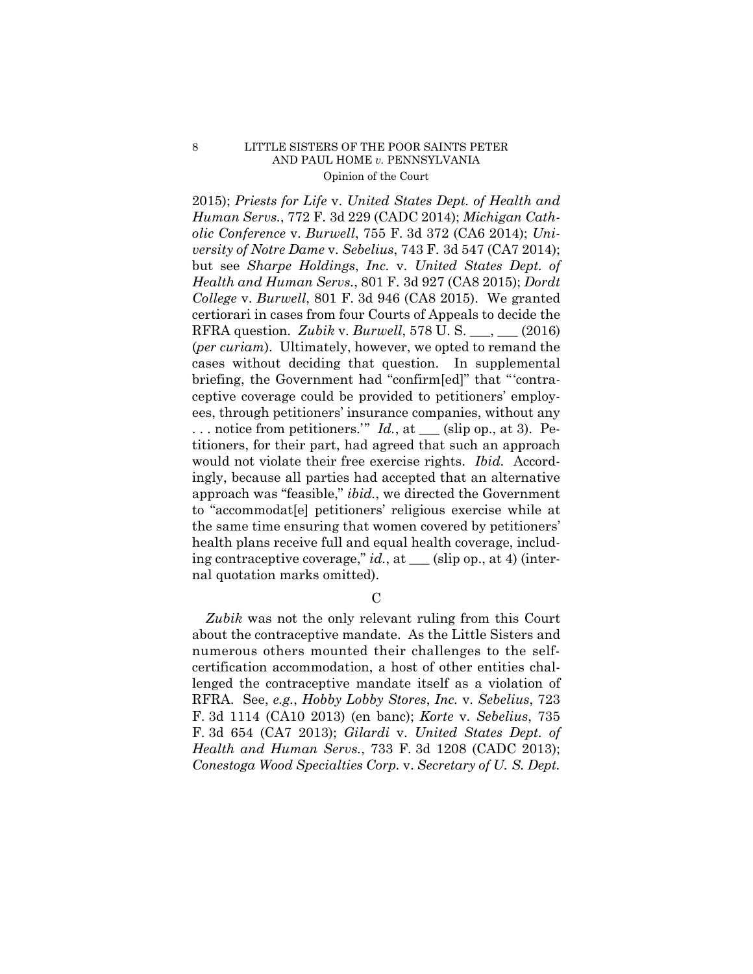2015); *Priests for Life* v. *United States Dept. of Health and Human Servs.*, 772 F. 3d 229 (CADC 2014); *Michigan Catholic Conference* v. *Burwell*, 755 F. 3d 372 (CA6 2014); *University of Notre Dame* v. *Sebelius*, 743 F. 3d 547 (CA7 2014); but see *Sharpe Holdings*, *Inc.* v. *United States Dept. of Health and Human Servs.*, 801 F. 3d 927 (CA8 2015); *Dordt College* v. *Burwell*, 801 F. 3d 946 (CA8 2015). We granted certiorari in cases from four Courts of Appeals to decide the RFRA question. *Zubik* v. *Burwell*, 578 U. S. \_\_\_, \_\_\_ (2016) (*per curiam*). Ultimately, however, we opted to remand the cases without deciding that question. In supplemental briefing, the Government had "confirm[ed]" that "'contraceptive coverage could be provided to petitioners' employees, through petitioners' insurance companies, without any  $\ldots$  notice from petitioners." *Id.*, at  $\_\_$  (slip op., at 3). Petitioners, for their part, had agreed that such an approach would not violate their free exercise rights. *Ibid.* Accordingly, because all parties had accepted that an alternative approach was "feasible," *ibid.*, we directed the Government to "accommodat[e] petitioners' religious exercise while at the same time ensuring that women covered by petitioners' health plans receive full and equal health coverage, including contraceptive coverage," *id.*, at \_\_\_ (slip op., at 4) (internal quotation marks omitted).

 $\mathcal{C}$ 

*Zubik* was not the only relevant ruling from this Court about the contraceptive mandate. As the Little Sisters and numerous others mounted their challenges to the selfcertification accommodation, a host of other entities challenged the contraceptive mandate itself as a violation of RFRA. See, *e.g.*, *Hobby Lobby Stores*, *Inc.* v. *Sebelius*, 723 F. 3d 1114 (CA10 2013) (en banc); *Korte* v. *Sebelius*, 735 F. 3d 654 (CA7 2013); *Gilardi* v. *United States Dept. of Health and Human Servs.*, 733 F. 3d 1208 (CADC 2013); *Conestoga Wood Specialties Corp.* v. *Secretary of U. S. Dept.*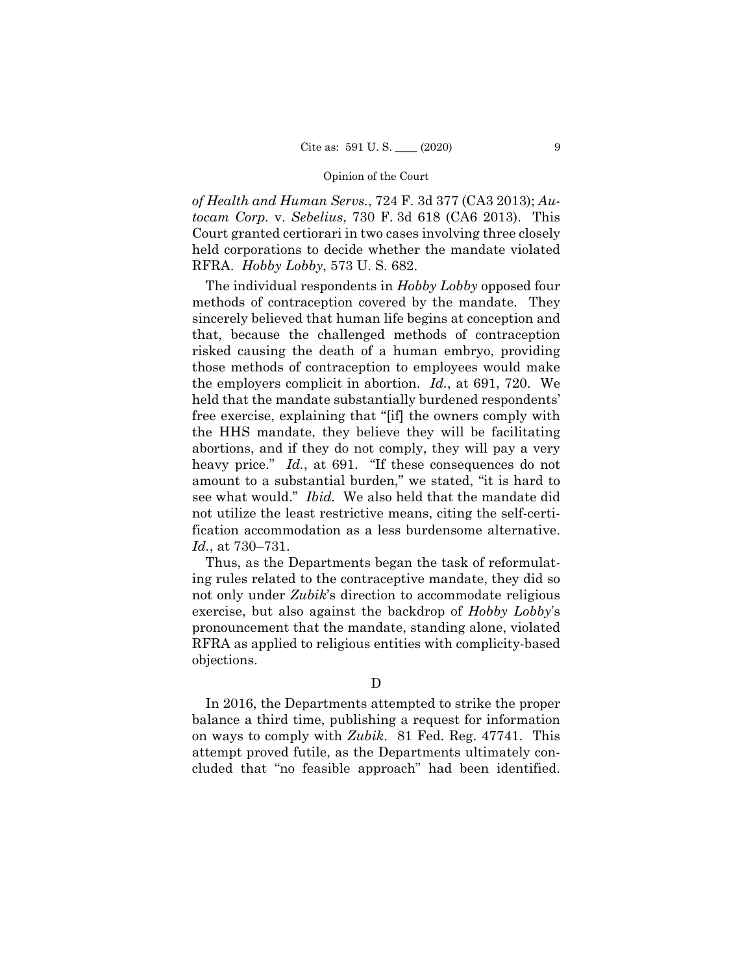*of Health and Human Servs.*, 724 F. 3d 377 (CA3 2013); *Autocam Corp.* v. *Sebelius*, 730 F. 3d 618 (CA6 2013). This Court granted certiorari in two cases involving three closely held corporations to decide whether the mandate violated RFRA. *Hobby Lobby*, 573 U. S. 682.

The individual respondents in *Hobby Lobby* opposed four methods of contraception covered by the mandate. They sincerely believed that human life begins at conception and that, because the challenged methods of contraception risked causing the death of a human embryo, providing those methods of contraception to employees would make the employers complicit in abortion. *Id.*, at 691, 720. We held that the mandate substantially burdened respondents' free exercise, explaining that "[if] the owners comply with the HHS mandate, they believe they will be facilitating abortions, and if they do not comply, they will pay a very heavy price." *Id.*, at 691. "If these consequences do not amount to a substantial burden," we stated, "it is hard to see what would." *Ibid.* We also held that the mandate did not utilize the least restrictive means, citing the self-certification accommodation as a less burdensome alternative. *Id.*, at 730–731.

Thus, as the Departments began the task of reformulating rules related to the contraceptive mandate, they did so not only under *Zubik*'s direction to accommodate religious exercise, but also against the backdrop of *Hobby Lobby*'s pronouncement that the mandate, standing alone, violated RFRA as applied to religious entities with complicity-based objections.

D

In 2016, the Departments attempted to strike the proper balance a third time, publishing a request for information on ways to comply with *Zubik*. 81 Fed. Reg. 47741. This attempt proved futile, as the Departments ultimately concluded that "no feasible approach" had been identified.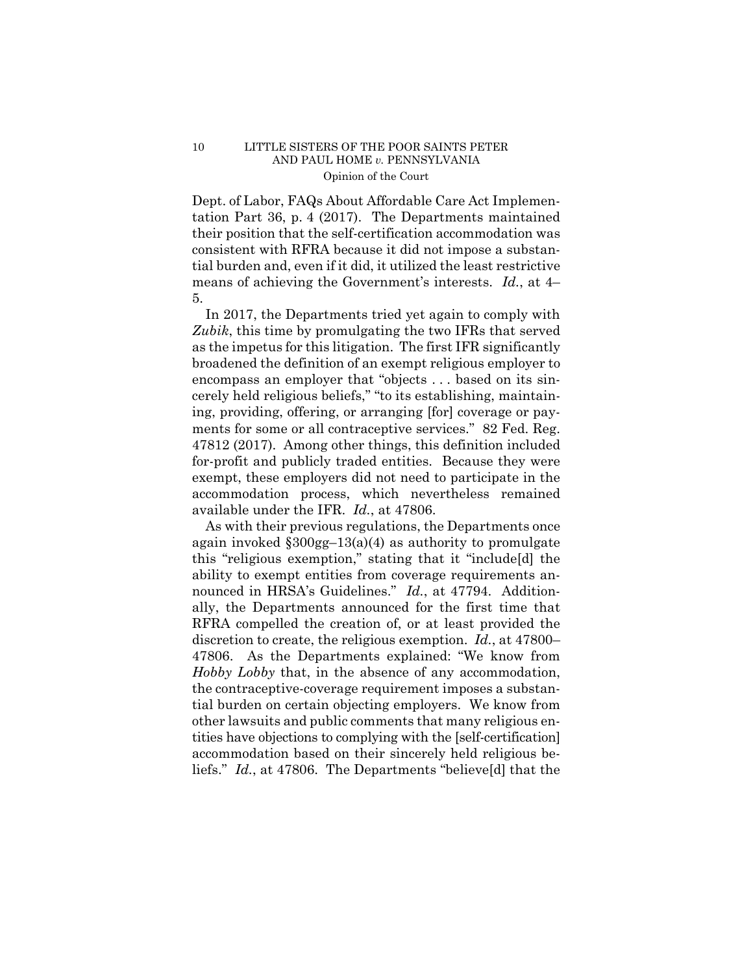Dept. of Labor, FAQs About Affordable Care Act Implementation Part 36, p. 4 (2017). The Departments maintained their position that the self-certification accommodation was consistent with RFRA because it did not impose a substantial burden and, even if it did, it utilized the least restrictive means of achieving the Government's interests. *Id.*, at 4– 5.

In 2017, the Departments tried yet again to comply with *Zubik*, this time by promulgating the two IFRs that served as the impetus for this litigation. The first IFR significantly broadened the definition of an exempt religious employer to encompass an employer that "objects . . . based on its sincerely held religious beliefs," "to its establishing, maintaining, providing, offering, or arranging [for] coverage or payments for some or all contraceptive services." 82 Fed. Reg. 47812 (2017). Among other things, this definition included for-profit and publicly traded entities. Because they were exempt, these employers did not need to participate in the accommodation process, which nevertheless remained available under the IFR. *Id.*, at 47806.

 nounced in HRSA's Guidelines." *Id.*, at 47794. Addition-As with their previous regulations, the Departments once again invoked  $\S 300$ gg-13(a)(4) as authority to promulgate this "religious exemption," stating that it "include[d] the ability to exempt entities from coverage requirements anally, the Departments announced for the first time that RFRA compelled the creation of, or at least provided the discretion to create, the religious exemption. *Id.*, at 47800– 47806. As the Departments explained: "We know from *Hobby Lobby* that, in the absence of any accommodation, the contraceptive-coverage requirement imposes a substantial burden on certain objecting employers. We know from other lawsuits and public comments that many religious entities have objections to complying with the [self-certification] accommodation based on their sincerely held religious beliefs." *Id.*, at 47806. The Departments "believe[d] that the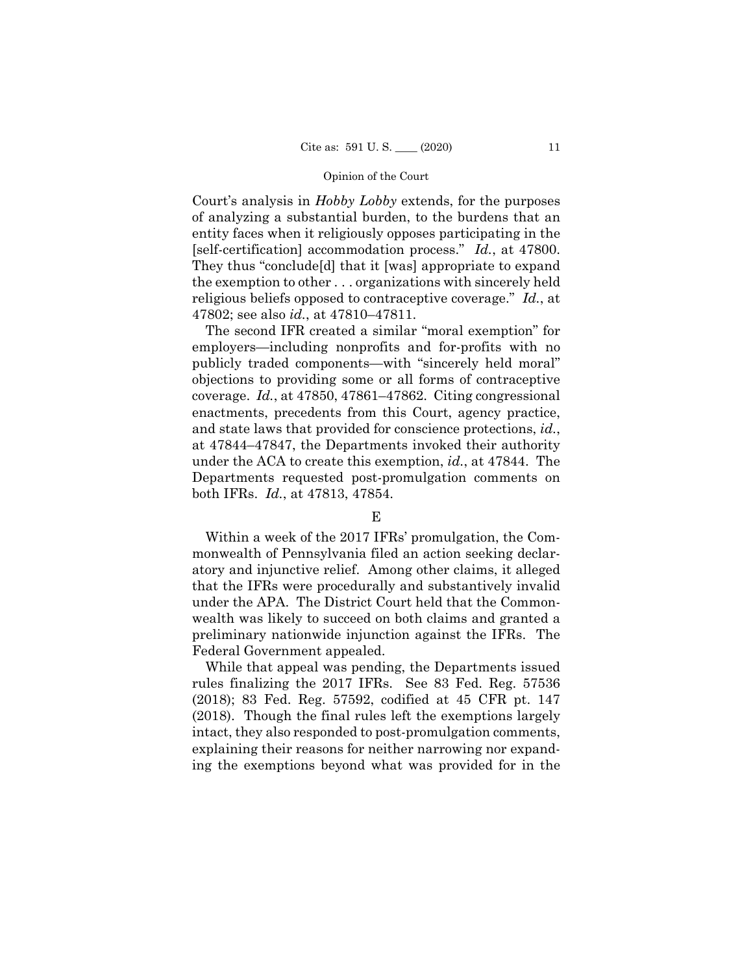Court's analysis in *Hobby Lobby* extends, for the purposes of analyzing a substantial burden, to the burdens that an entity faces when it religiously opposes participating in the [self-certification] accommodation process." *Id.*, at 47800. They thus "conclude[d] that it [was] appropriate to expand the exemption to other . . . organizations with sincerely held religious beliefs opposed to contraceptive coverage." *Id.*, at 47802; see also *id.*, at 47810–47811.

The second IFR created a similar "moral exemption" for employers—including nonprofits and for-profits with no publicly traded components—with "sincerely held moral" objections to providing some or all forms of contraceptive coverage. *Id.*, at 47850, 47861–47862. Citing congressional enactments, precedents from this Court, agency practice, and state laws that provided for conscience protections, *id.*, at 47844–47847, the Departments invoked their authority under the ACA to create this exemption, *id.*, at 47844. The Departments requested post-promulgation comments on both IFRs. *Id.*, at 47813, 47854.

## E

Within a week of the 2017 IFRs' promulgation, the Commonwealth of Pennsylvania filed an action seeking declaratory and injunctive relief. Among other claims, it alleged that the IFRs were procedurally and substantively invalid under the APA. The District Court held that the Commonwealth was likely to succeed on both claims and granted a preliminary nationwide injunction against the IFRs. The Federal Government appealed.

While that appeal was pending, the Departments issued rules finalizing the 2017 IFRs. See 83 Fed. Reg. 57536 (2018); 83 Fed. Reg. 57592, codified at 45 CFR pt. 147 (2018). Though the final rules left the exemptions largely intact, they also responded to post-promulgation comments, explaining their reasons for neither narrowing nor expanding the exemptions beyond what was provided for in the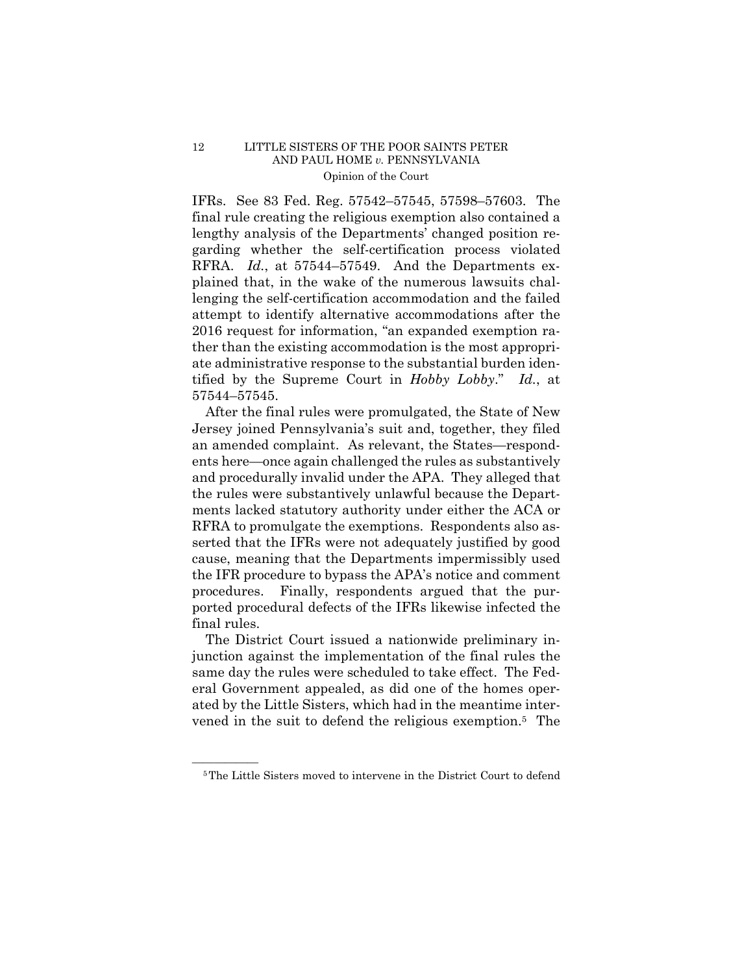RFRA. *Id.*, at 57544–57549. And the Departments ex-IFRs. See 83 Fed. Reg. 57542–57545, 57598–57603. The final rule creating the religious exemption also contained a lengthy analysis of the Departments' changed position regarding whether the self-certification process violated plained that, in the wake of the numerous lawsuits challenging the self-certification accommodation and the failed attempt to identify alternative accommodations after the 2016 request for information, "an expanded exemption rather than the existing accommodation is the most appropriate administrative response to the substantial burden identified by the Supreme Court in *Hobby Lobby*." *Id.*, at 57544–57545.

After the final rules were promulgated, the State of New Jersey joined Pennsylvania's suit and, together, they filed an amended complaint. As relevant, the States—respondents here—once again challenged the rules as substantively and procedurally invalid under the APA. They alleged that the rules were substantively unlawful because the Departments lacked statutory authority under either the ACA or RFRA to promulgate the exemptions. Respondents also asserted that the IFRs were not adequately justified by good cause, meaning that the Departments impermissibly used the IFR procedure to bypass the APA's notice and comment procedures. Finally, respondents argued that the purported procedural defects of the IFRs likewise infected the final rules.

The District Court issued a nationwide preliminary injunction against the implementation of the final rules the same day the rules were scheduled to take effect. The Federal Government appealed, as did one of the homes operated by the Little Sisters, which had in the meantime intervened in the suit to defend the religious exemption.5 The

<sup>&</sup>lt;sup>5</sup>The Little Sisters moved to intervene in the District Court to defend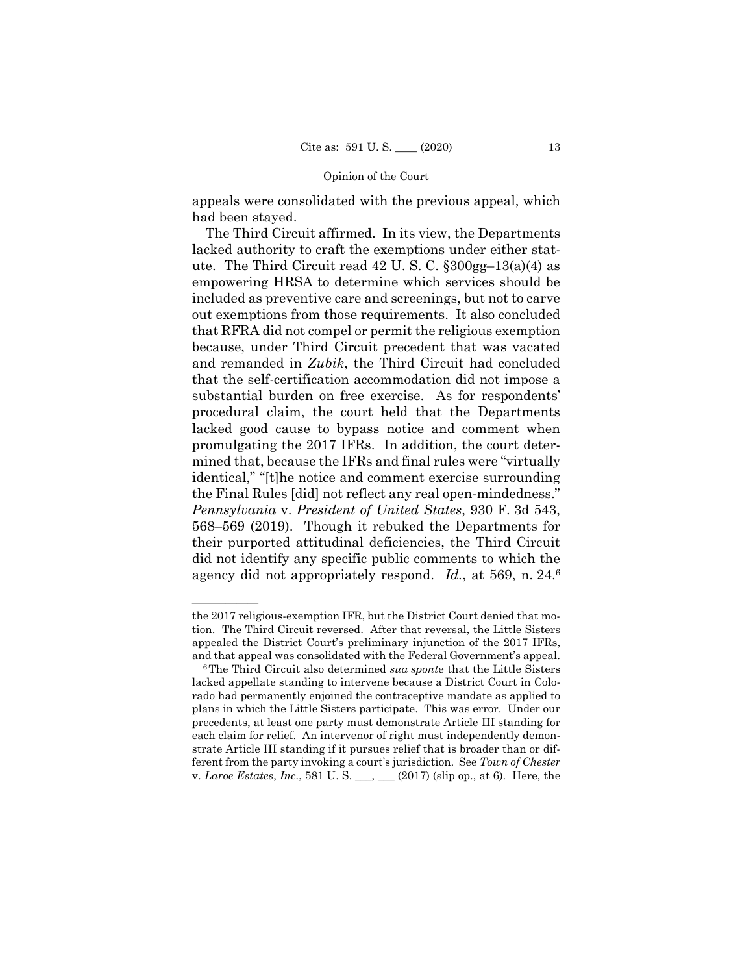appeals were consolidated with the previous appeal, which had been stayed.

 agency did not appropriately respond. *Id.*, at 569, n. 24.6 The Third Circuit affirmed. In its view, the Departments lacked authority to craft the exemptions under either statute. The Third Circuit read 42 U. S. C. §300gg–13(a)(4) as empowering HRSA to determine which services should be included as preventive care and screenings, but not to carve out exemptions from those requirements. It also concluded that RFRA did not compel or permit the religious exemption because, under Third Circuit precedent that was vacated and remanded in *Zubik*, the Third Circuit had concluded that the self-certification accommodation did not impose a substantial burden on free exercise. As for respondents' procedural claim, the court held that the Departments lacked good cause to bypass notice and comment when promulgating the 2017 IFRs. In addition, the court determined that, because the IFRs and final rules were "virtually identical," "[t]he notice and comment exercise surrounding the Final Rules [did] not reflect any real open-mindedness." *Pennsylvania* v. *President of United States*, 930 F. 3d 543, 568–569 (2019). Though it rebuked the Departments for their purported attitudinal deficiencies, the Third Circuit did not identify any specific public comments to which the

——————

the 2017 religious-exemption IFR, but the District Court denied that motion. The Third Circuit reversed. After that reversal, the Little Sisters appealed the District Court's preliminary injunction of the 2017 IFRs, and that appeal was consolidated with the Federal Government's appeal. 6The Third Circuit also determined *sua spont*e that the Little Sisters

lacked appellate standing to intervene because a District Court in Colorado had permanently enjoined the contraceptive mandate as applied to plans in which the Little Sisters participate. This was error. Under our precedents, at least one party must demonstrate Article III standing for each claim for relief. An intervenor of right must independently demonstrate Article III standing if it pursues relief that is broader than or different from the party invoking a court's jurisdiction. See *Town of Chester*  v. *Laroe Estates*, *Inc.*, 581 U. S. \_\_\_, \_\_\_ (2017) (slip op., at 6). Here, the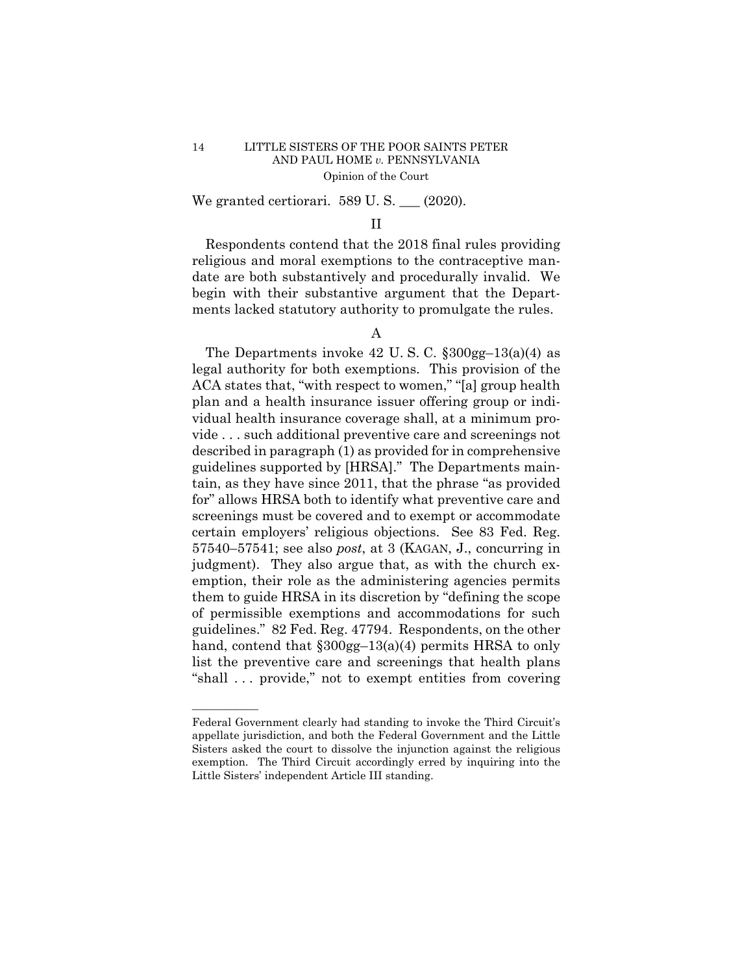We granted certiorari. 589 U. S. \_\_\_ (2020).

# II

Respondents contend that the 2018 final rules providing religious and moral exemptions to the contraceptive mandate are both substantively and procedurally invalid. We begin with their substantive argument that the Departments lacked statutory authority to promulgate the rules.

# A

The Departments invoke 42 U. S. C. §300gg–13(a)(4) as legal authority for both exemptions. This provision of the ACA states that, "with respect to women," "[a] group health plan and a health insurance issuer offering group or individual health insurance coverage shall, at a minimum provide . . . such additional preventive care and screenings not described in paragraph (1) as provided for in comprehensive guidelines supported by [HRSA]." The Departments maintain, as they have since 2011, that the phrase "as provided for" allows HRSA both to identify what preventive care and screenings must be covered and to exempt or accommodate certain employers' religious objections. See 83 Fed. Reg. 57540–57541; see also *post*, at 3 (KAGAN, J., concurring in judgment). They also argue that, as with the church exemption, their role as the administering agencies permits them to guide HRSA in its discretion by "defining the scope of permissible exemptions and accommodations for such guidelines." 82 Fed. Reg. 47794. Respondents, on the other hand, contend that  $\S 300gg-13(a)(4)$  permits HRSA to only list the preventive care and screenings that health plans "shall . . . provide," not to exempt entities from covering

——————

Federal Government clearly had standing to invoke the Third Circuit's appellate jurisdiction, and both the Federal Government and the Little Sisters asked the court to dissolve the injunction against the religious exemption. The Third Circuit accordingly erred by inquiring into the Little Sisters' independent Article III standing.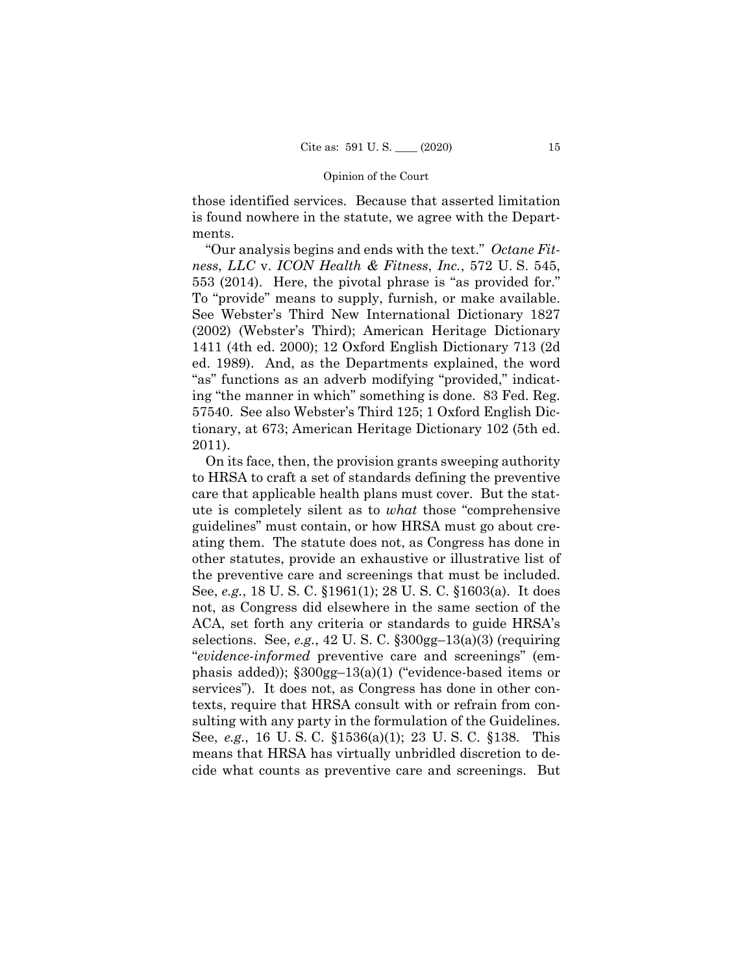those identified services. Because that asserted limitation is found nowhere in the statute, we agree with the Departments.

"Our analysis begins and ends with the text." *Octane Fitness*, *LLC* v. *ICON Health & Fitness*, *Inc.*, 572 U. S. 545, 553 (2014). Here, the pivotal phrase is "as provided for." To "provide" means to supply, furnish, or make available. See Webster's Third New International Dictionary 1827 (2002) (Webster's Third); American Heritage Dictionary 1411 (4th ed. 2000); 12 Oxford English Dictionary 713 (2d ed. 1989). And, as the Departments explained, the word "as" functions as an adverb modifying "provided," indicating "the manner in which" something is done. 83 Fed. Reg. 57540. See also Webster's Third 125; 1 Oxford English Dictionary, at 673; American Heritage Dictionary 102 (5th ed. 2011).

On its face, then, the provision grants sweeping authority to HRSA to craft a set of standards defining the preventive care that applicable health plans must cover. But the statute is completely silent as to *what* those "comprehensive guidelines" must contain, or how HRSA must go about creating them. The statute does not, as Congress has done in other statutes, provide an exhaustive or illustrative list of the preventive care and screenings that must be included. See, *e.g.*, 18 U. S. C. §1961(1); 28 U. S. C. §1603(a). It does not, as Congress did elsewhere in the same section of the ACA, set forth any criteria or standards to guide HRSA's selections. See, *e.g.*, 42 U. S. C. §300gg–13(a)(3) (requiring "*evidence-informed* preventive care and screenings" (emphasis added)); §300gg–13(a)(1) ("evidence-based items or services"). It does not, as Congress has done in other contexts, require that HRSA consult with or refrain from consulting with any party in the formulation of the Guidelines. See, *e.g.*, 16 U. S. C. §1536(a)(1); 23 U. S. C. §138. This means that HRSA has virtually unbridled discretion to decide what counts as preventive care and screenings. But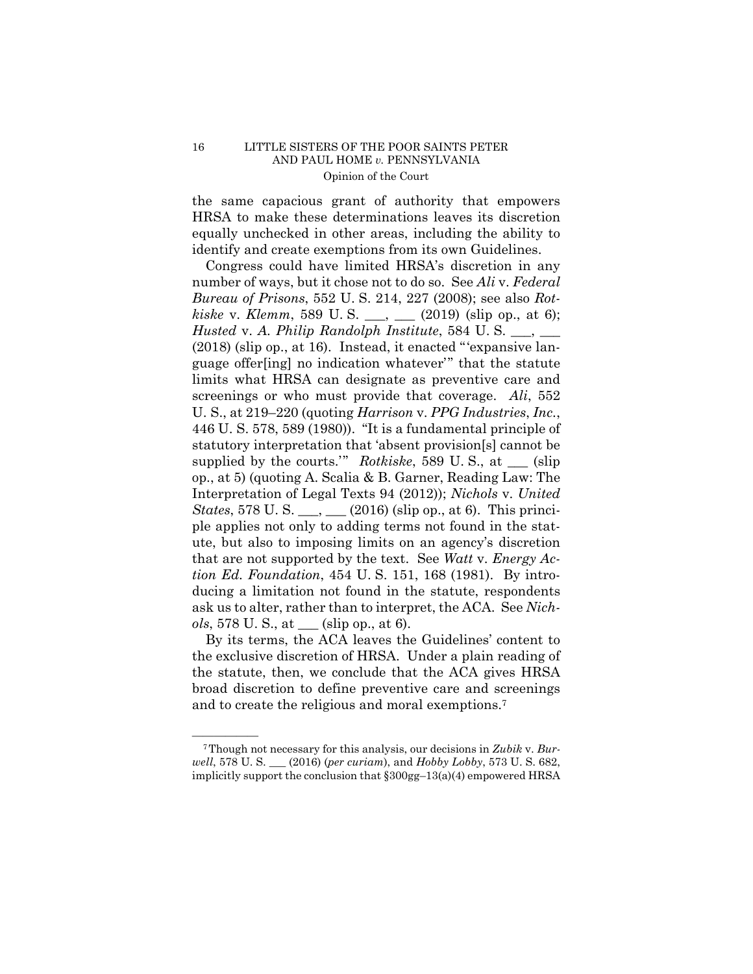the same capacious grant of authority that empowers HRSA to make these determinations leaves its discretion equally unchecked in other areas, including the ability to identify and create exemptions from its own Guidelines.

Congress could have limited HRSA's discretion in any number of ways, but it chose not to do so. See *Ali* v. *Federal Bureau of Prisons*, 552 U. S. 214, 227 (2008); see also *Rotkiske* v. *Klemm*, 589 U. S. \_\_\_, \_\_\_ (2019) (slip op., at 6); *Husted* v. *A. Philip Randolph Institute*, 584 U. S. \_\_\_, \_\_\_ (2018) (slip op., at 16). Instead, it enacted "'expansive language offer[ing] no indication whatever'" that the statute limits what HRSA can designate as preventive care and screenings or who must provide that coverage. *Ali*, 552 U. S., at 219–220 (quoting *Harrison* v. *PPG Industries*, *Inc.*, 446 U. S. 578, 589 (1980)). "It is a fundamental principle of statutory interpretation that 'absent provision[s] cannot be supplied by the courts.'" *Rotkiske*, 589 U. S., at \_\_\_ (slip op., at 5) (quoting A. Scalia & B. Garner, Reading Law: The Interpretation of Legal Texts 94 (2012)); *Nichols* v. *United States*, 578 U. S. \_\_\_, \_\_\_ (2016) (slip op., at 6). This principle applies not only to adding terms not found in the statute, but also to imposing limits on an agency's discretion that are not supported by the text. See *Watt* v. *Energy Action Ed. Foundation*, 454 U. S. 151, 168 (1981). By introducing a limitation not found in the statute, respondents ask us to alter, rather than to interpret, the ACA. See *Nichols*, 578 U. S., at \_\_\_ (slip op., at 6).

 the exclusive discretion of HRSA. Under a plain reading of By its terms, the ACA leaves the Guidelines' content to the statute, then, we conclude that the ACA gives HRSA broad discretion to define preventive care and screenings and to create the religious and moral exemptions.7

<sup>&</sup>lt;sup>7</sup>Though not necessary for this analysis, our decisions in *Zubik* v. *Burwell*, 578 U. S. \_\_\_ (2016) (*per curiam*), and *Hobby Lobby*, 573 U. S. 682, implicitly support the conclusion that  $\S 300gg-13(a)(4)$  empowered HRSA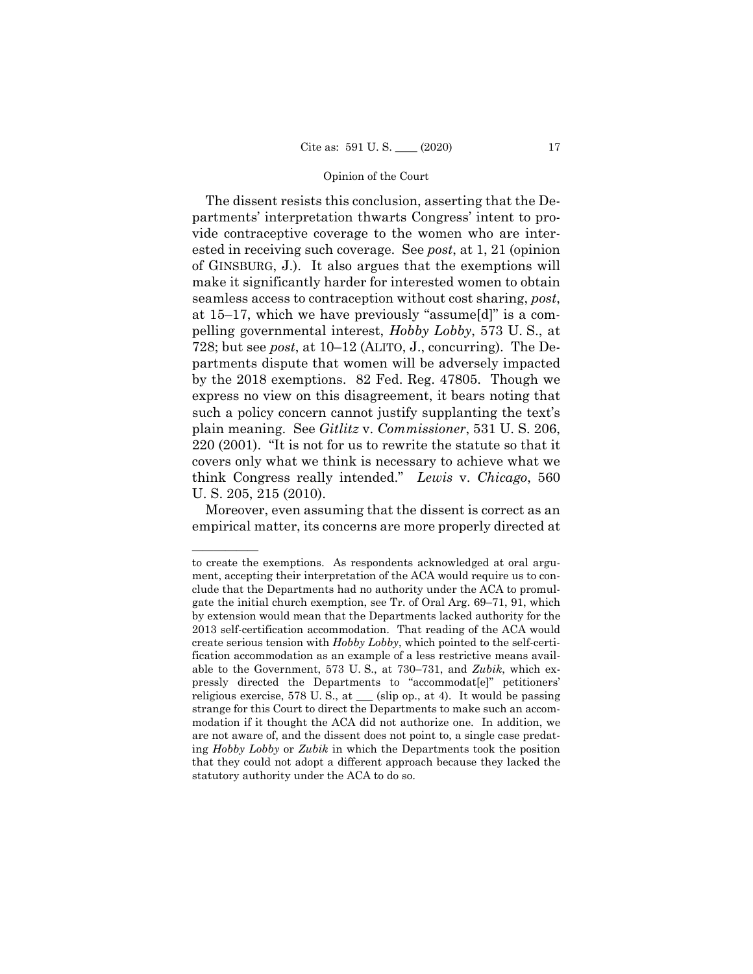The dissent resists this conclusion, asserting that the Departments' interpretation thwarts Congress' intent to provide contraceptive coverage to the women who are interested in receiving such coverage. See *post*, at 1, 21 (opinion of GINSBURG, J.). It also argues that the exemptions will make it significantly harder for interested women to obtain seamless access to contraception without cost sharing, *post*, at 15–17, which we have previously "assume[d]" is a compelling governmental interest, *Hobby Lobby*, 573 U. S., at 728; but see *post*, at 10–12 (ALITO, J., concurring). The Departments dispute that women will be adversely impacted by the 2018 exemptions. 82 Fed. Reg. 47805. Though we express no view on this disagreement, it bears noting that such a policy concern cannot justify supplanting the text's plain meaning. See *Gitlitz* v. *Commissioner*, 531 U. S. 206, 220 (2001). "It is not for us to rewrite the statute so that it covers only what we think is necessary to achieve what we think Congress really intended." *Lewis* v. *Chicago*, 560 U. S. 205, 215 (2010).

Moreover, even assuming that the dissent is correct as an empirical matter, its concerns are more properly directed at

——————

to create the exemptions. As respondents acknowledged at oral argument, accepting their interpretation of the ACA would require us to conclude that the Departments had no authority under the ACA to promulgate the initial church exemption, see Tr. of Oral Arg. 69–71, 91, which by extension would mean that the Departments lacked authority for the 2013 self-certification accommodation. That reading of the ACA would create serious tension with *Hobby Lobby*, which pointed to the self-certification accommodation as an example of a less restrictive means available to the Government, 573 U. S., at 730–731, and *Zubik*, which expressly directed the Departments to "accommodat[e]" petitioners' religious exercise, 578 U. S., at \_\_\_ (slip op., at 4). It would be passing strange for this Court to direct the Departments to make such an accommodation if it thought the ACA did not authorize one. In addition, we are not aware of, and the dissent does not point to, a single case predating *Hobby Lobby* or *Zubik* in which the Departments took the position that they could not adopt a different approach because they lacked the statutory authority under the ACA to do so.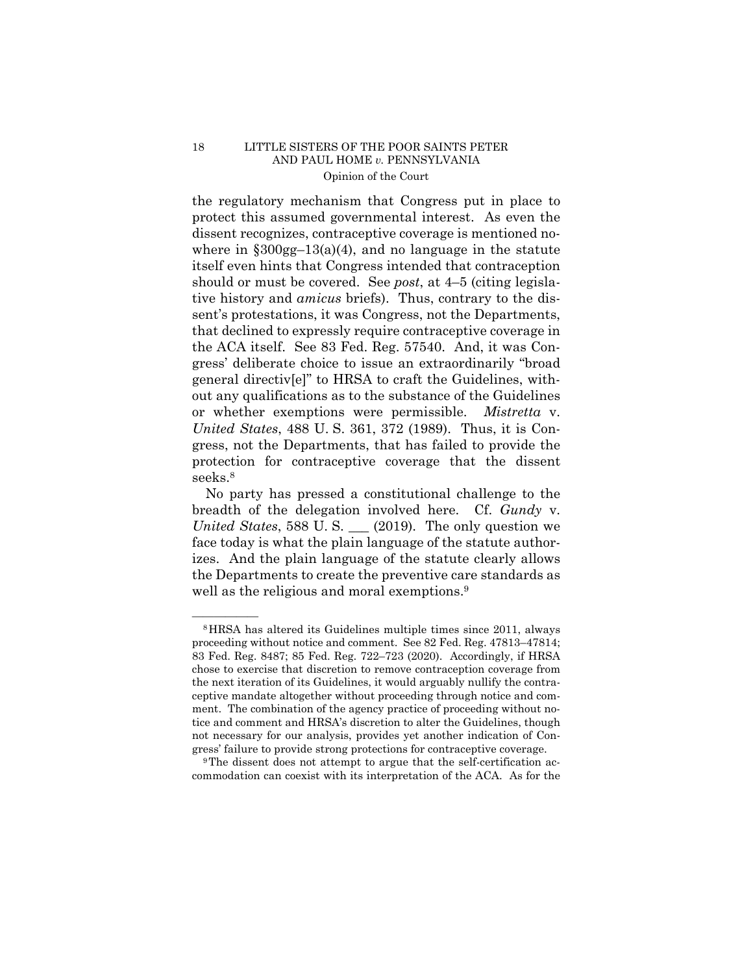or whether exemptions were permissible. *Mistretta* v. the regulatory mechanism that Congress put in place to protect this assumed governmental interest. As even the dissent recognizes, contraceptive coverage is mentioned nowhere in  $\S 300$ gg-13(a)(4), and no language in the statute itself even hints that Congress intended that contraception should or must be covered. See *post*, at 4–5 (citing legislative history and *amicus* briefs). Thus, contrary to the dissent's protestations, it was Congress, not the Departments, that declined to expressly require contraceptive coverage in the ACA itself. See 83 Fed. Reg. 57540. And, it was Congress' deliberate choice to issue an extraordinarily "broad general directiv[e]" to HRSA to craft the Guidelines, without any qualifications as to the substance of the Guidelines *United States*, 488 U. S. 361, 372 (1989). Thus, it is Congress, not the Departments, that has failed to provide the protection for contraceptive coverage that the dissent seeks.8

No party has pressed a constitutional challenge to the breadth of the delegation involved here. Cf. *Gundy* v. *United States*, 588 U. S. \_\_\_ (2019). The only question we face today is what the plain language of the statute authorizes. And the plain language of the statute clearly allows the Departments to create the preventive care standards as well as the religious and moral exemptions.<sup>9</sup>

commodation can coexist with its interpretation of the ACA. As for the

<sup>&</sup>lt;sup>8</sup>HRSA has altered its Guidelines multiple times since 2011, always proceeding without notice and comment. See 82 Fed. Reg. 47813–47814; 83 Fed. Reg. 8487; 85 Fed. Reg. 722–723 (2020). Accordingly, if HRSA chose to exercise that discretion to remove contraception coverage from the next iteration of its Guidelines, it would arguably nullify the contraceptive mandate altogether without proceeding through notice and comment. The combination of the agency practice of proceeding without notice and comment and HRSA's discretion to alter the Guidelines, though not necessary for our analysis, provides yet another indication of Congress' failure to provide strong protections for contraceptive coverage.<br><sup>9</sup>The dissent does not attempt to argue that the self-certification ac-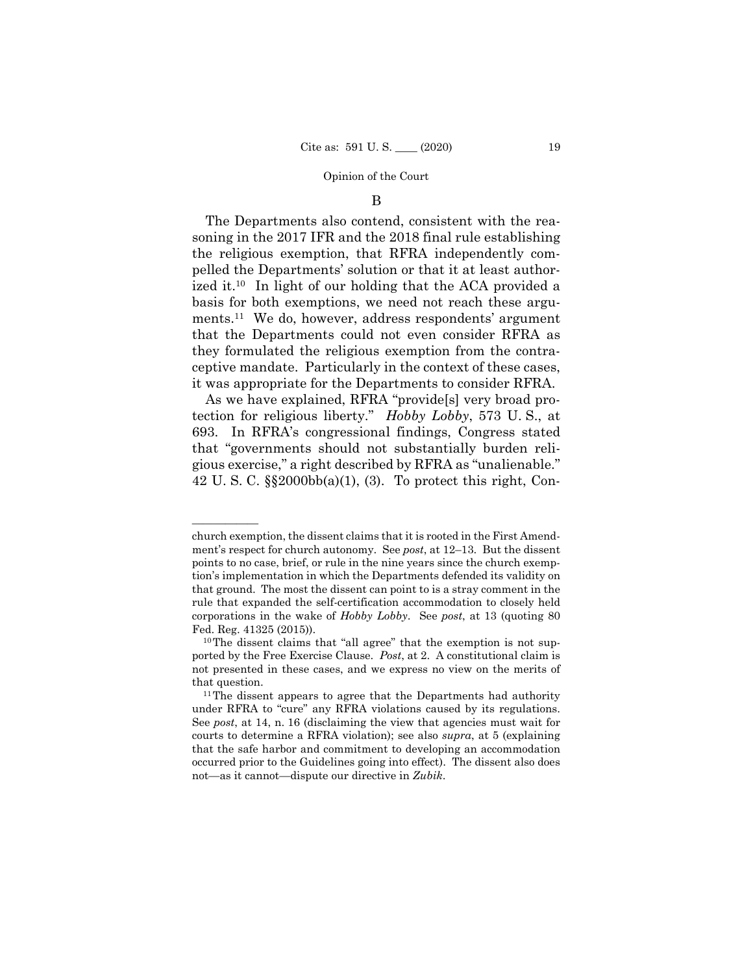### B

The Departments also contend, consistent with the reasoning in the 2017 IFR and the 2018 final rule establishing the religious exemption, that RFRA independently compelled the Departments' solution or that it at least authorized it.10 In light of our holding that the ACA provided a basis for both exemptions, we need not reach these arguments.11 We do, however, address respondents' argument that the Departments could not even consider RFRA as they formulated the religious exemption from the contraceptive mandate. Particularly in the context of these cases, it was appropriate for the Departments to consider RFRA.

As we have explained, RFRA "provide[s] very broad protection for religious liberty." *Hobby Lobby*, 573 U. S., at 693. In RFRA's congressional findings, Congress stated that "governments should not substantially burden religious exercise," a right described by RFRA as "unalienable." 42 U. S. C. §§2000bb(a)(1), (3). To protect this right, Con-

——————

church exemption, the dissent claims that it is rooted in the First Amendment's respect for church autonomy. See *post*, at 12–13. But the dissent points to no case, brief, or rule in the nine years since the church exemption's implementation in which the Departments defended its validity on that ground. The most the dissent can point to is a stray comment in the rule that expanded the self-certification accommodation to closely held corporations in the wake of *Hobby Lobby*. See *post*, at 13 (quoting 80 Fed. Reg. 41325 (2015)).  $10$  The dissent claims that "all agree" that the exemption is not sup-

ported by the Free Exercise Clause. *Post*, at 2. A constitutional claim is not presented in these cases, and we express no view on the merits of that question.<br><sup>11</sup>The dissent appears to agree that the Departments had authority

under RFRA to "cure" any RFRA violations caused by its regulations. See *post*, at 14, n. 16 (disclaiming the view that agencies must wait for courts to determine a RFRA violation); see also *supra*, at 5 (explaining that the safe harbor and commitment to developing an accommodation occurred prior to the Guidelines going into effect). The dissent also does not—as it cannot—dispute our directive in *Zubik*.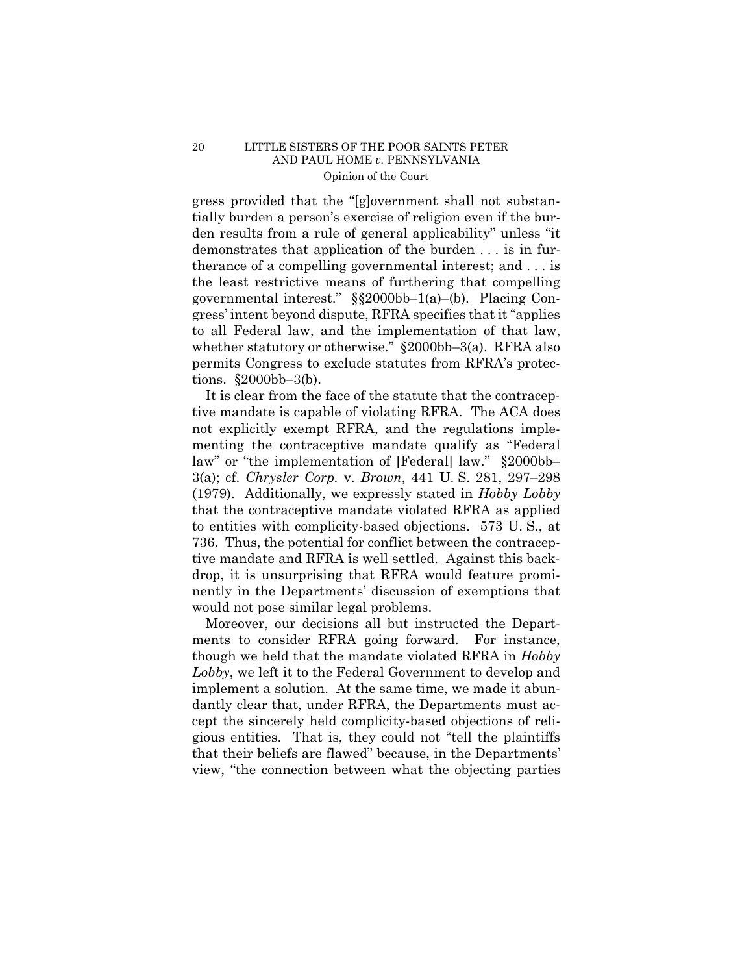gress provided that the "[g]overnment shall not substantially burden a person's exercise of religion even if the burden results from a rule of general applicability" unless "it demonstrates that application of the burden . . . is in furtherance of a compelling governmental interest; and . . . is the least restrictive means of furthering that compelling governmental interest." §§2000bb–1(a)–(b). Placing Congress' intent beyond dispute, RFRA specifies that it "applies to all Federal law, and the implementation of that law, whether statutory or otherwise." §2000bb–3(a). RFRA also permits Congress to exclude statutes from RFRA's protections. §2000bb–3(b).

It is clear from the face of the statute that the contraceptive mandate is capable of violating RFRA. The ACA does not explicitly exempt RFRA, and the regulations implementing the contraceptive mandate qualify as "Federal law" or "the implementation of [Federal] law." §2000bb– 3(a); cf. *Chrysler Corp.* v. *Brown*, 441 U. S. 281, 297–298 (1979). Additionally, we expressly stated in *Hobby Lobby* that the contraceptive mandate violated RFRA as applied to entities with complicity-based objections. 573 U. S., at 736. Thus, the potential for conflict between the contraceptive mandate and RFRA is well settled. Against this backdrop, it is unsurprising that RFRA would feature prominently in the Departments' discussion of exemptions that would not pose similar legal problems.

Moreover, our decisions all but instructed the Departments to consider RFRA going forward. For instance, though we held that the mandate violated RFRA in *Hobby Lobby*, we left it to the Federal Government to develop and implement a solution. At the same time, we made it abundantly clear that, under RFRA, the Departments must accept the sincerely held complicity-based objections of religious entities. That is, they could not "tell the plaintiffs that their beliefs are flawed" because, in the Departments' view, "the connection between what the objecting parties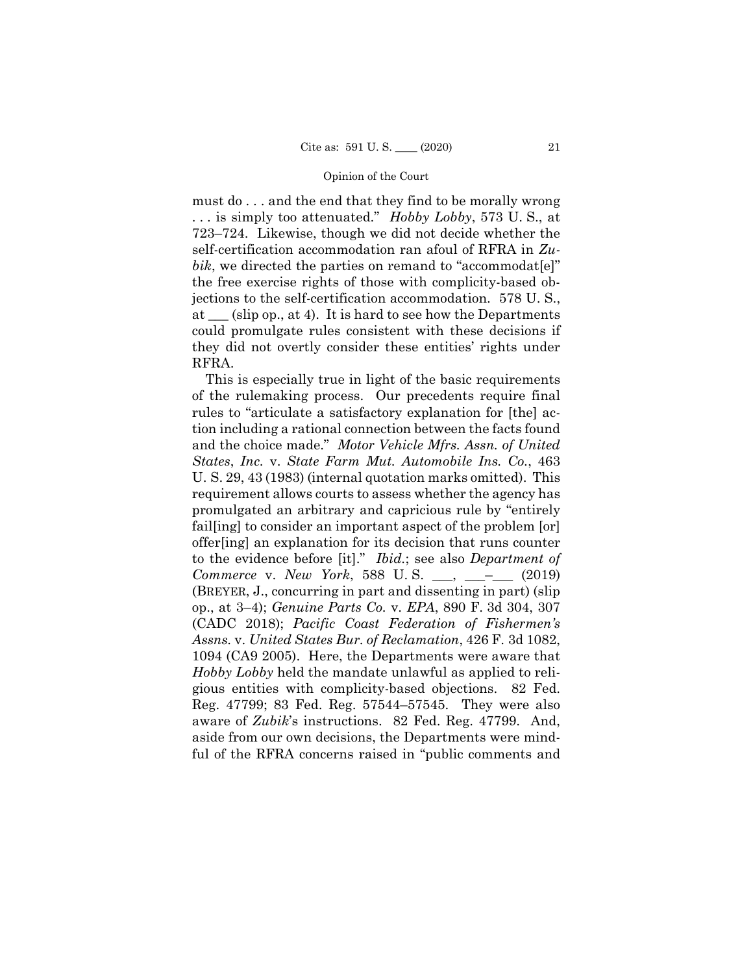must do . . . and the end that they find to be morally wrong . . . is simply too attenuated." *Hobby Lobby*, 573 U. S., at 723–724. Likewise, though we did not decide whether the self-certification accommodation ran afoul of RFRA in *Zubik*, we directed the parties on remand to "accommodat[e]" the free exercise rights of those with complicity-based objections to the self-certification accommodation. 578 U. S., at \_\_\_ (slip op., at 4). It is hard to see how the Departments could promulgate rules consistent with these decisions if they did not overtly consider these entities' rights under RFRA.

This is especially true in light of the basic requirements of the rulemaking process. Our precedents require final rules to "articulate a satisfactory explanation for [the] action including a rational connection between the facts found and the choice made." *Motor Vehicle Mfrs. Assn. of United States*, *Inc.* v. *State Farm Mut. Automobile Ins. Co.*, 463 U. S. 29, 43 (1983) (internal quotation marks omitted). This requirement allows courts to assess whether the agency has promulgated an arbitrary and capricious rule by "entirely fail[ing] to consider an important aspect of the problem [or] offer[ing] an explanation for its decision that runs counter to the evidence before [it]." *Ibid.*; see also *Department of Commerce* v. *New York*, 588 U. S. \_\_\_, \_\_\_–\_\_\_ (2019) (BREYER, J., concurring in part and dissenting in part) (slip op., at 3–4); *Genuine Parts Co.* v. *EPA*, 890 F. 3d 304, 307 (CADC 2018); *Pacific Coast Federation of Fishermen's Assns.* v. *United States Bur. of Reclamation*, 426 F. 3d 1082, 1094 (CA9 2005). Here, the Departments were aware that *Hobby Lobby* held the mandate unlawful as applied to religious entities with complicity-based objections. 82 Fed. Reg. 47799; 83 Fed. Reg. 57544–57545. They were also aware of *Zubik*'s instructions. 82 Fed. Reg. 47799. And, aside from our own decisions, the Departments were mindful of the RFRA concerns raised in "public comments and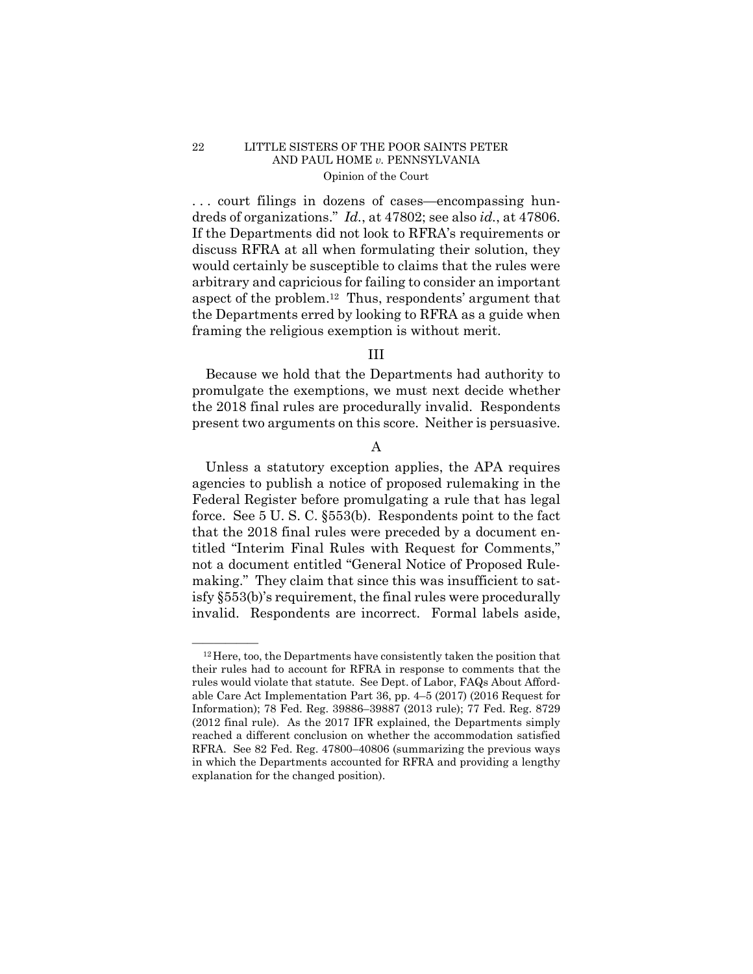. . . court filings in dozens of cases—encompassing hundreds of organizations." *Id.*, at 47802; see also *id.*, at 47806. If the Departments did not look to RFRA's requirements or discuss RFRA at all when formulating their solution, they would certainly be susceptible to claims that the rules were arbitrary and capricious for failing to consider an important aspect of the problem.12 Thus, respondents' argument that the Departments erred by looking to RFRA as a guide when framing the religious exemption is without merit.

## III

Because we hold that the Departments had authority to promulgate the exemptions, we must next decide whether the 2018 final rules are procedurally invalid. Respondents present two arguments on this score. Neither is persuasive.

## A

Unless a statutory exception applies, the APA requires agencies to publish a notice of proposed rulemaking in the Federal Register before promulgating a rule that has legal force. See 5 U. S. C. §553(b). Respondents point to the fact that the 2018 final rules were preceded by a document entitled "Interim Final Rules with Request for Comments," not a document entitled "General Notice of Proposed Rulemaking." They claim that since this was insufficient to satisfy §553(b)'s requirement, the final rules were procedurally invalid. Respondents are incorrect. Formal labels aside,

 $^{12}$  Here, too, the Departments have consistently taken the position that their rules had to account for RFRA in response to comments that the rules would violate that statute. See Dept. of Labor, FAQs About Affordable Care Act Implementation Part 36, pp. 4–5 (2017) (2016 Request for Information); 78 Fed. Reg. 39886–39887 (2013 rule); 77 Fed. Reg. 8729 (2012 final rule). As the 2017 IFR explained, the Departments simply reached a different conclusion on whether the accommodation satisfied RFRA. See 82 Fed. Reg. 47800–40806 (summarizing the previous ways in which the Departments accounted for RFRA and providing a lengthy explanation for the changed position).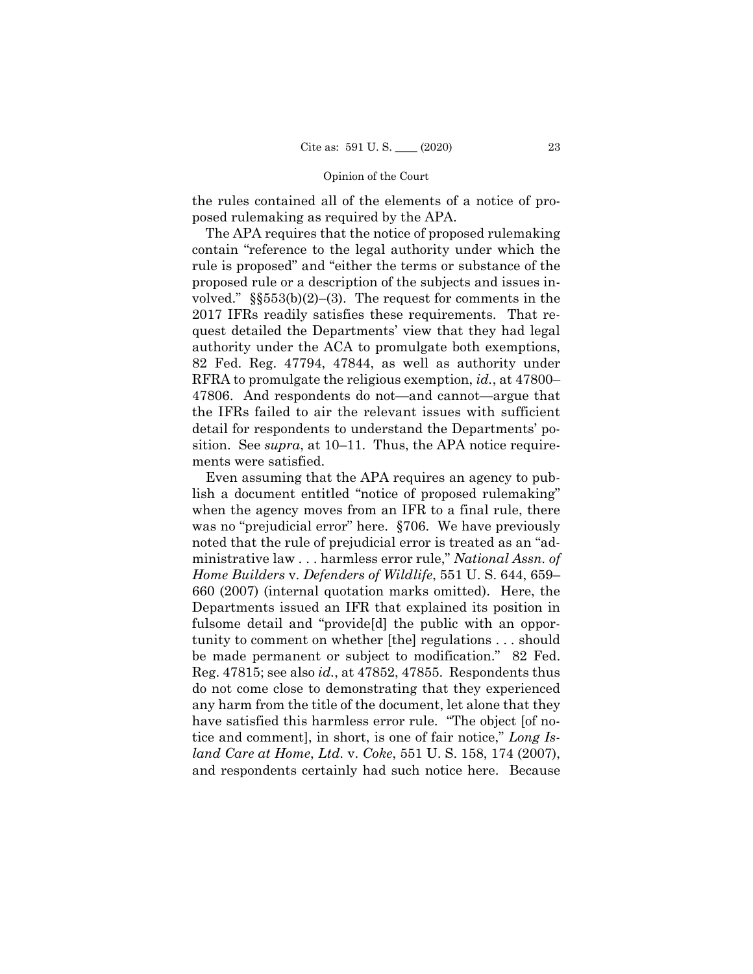the rules contained all of the elements of a notice of proposed rulemaking as required by the APA.

The APA requires that the notice of proposed rulemaking contain "reference to the legal authority under which the rule is proposed" and "either the terms or substance of the proposed rule or a description of the subjects and issues involved."  $\S$  $553(b)(2)$ –(3). The request for comments in the 2017 IFRs readily satisfies these requirements. That request detailed the Departments' view that they had legal authority under the ACA to promulgate both exemptions, 82 Fed. Reg. 47794, 47844, as well as authority under RFRA to promulgate the religious exemption, *id.*, at 47800– 47806. And respondents do not—and cannot—argue that the IFRs failed to air the relevant issues with sufficient detail for respondents to understand the Departments' position. See *supra*, at 10–11. Thus, the APA notice requirements were satisfied.

Even assuming that the APA requires an agency to publish a document entitled "notice of proposed rulemaking" when the agency moves from an IFR to a final rule, there was no "prejudicial error" here. §706. We have previously noted that the rule of prejudicial error is treated as an "administrative law . . . harmless error rule," *National Assn. of Home Builders* v. *Defenders of Wildlife*, 551 U. S. 644, 659– 660 (2007) (internal quotation marks omitted). Here, the Departments issued an IFR that explained its position in fulsome detail and "provide[d] the public with an opportunity to comment on whether [the] regulations . . . should be made permanent or subject to modification." 82 Fed. Reg. 47815; see also *id.*, at 47852, 47855. Respondents thus do not come close to demonstrating that they experienced any harm from the title of the document, let alone that they have satisfied this harmless error rule. "The object [of notice and comment], in short, is one of fair notice," *Long Island Care at Home*, *Ltd.* v. *Coke*, 551 U. S. 158, 174 (2007), and respondents certainly had such notice here. Because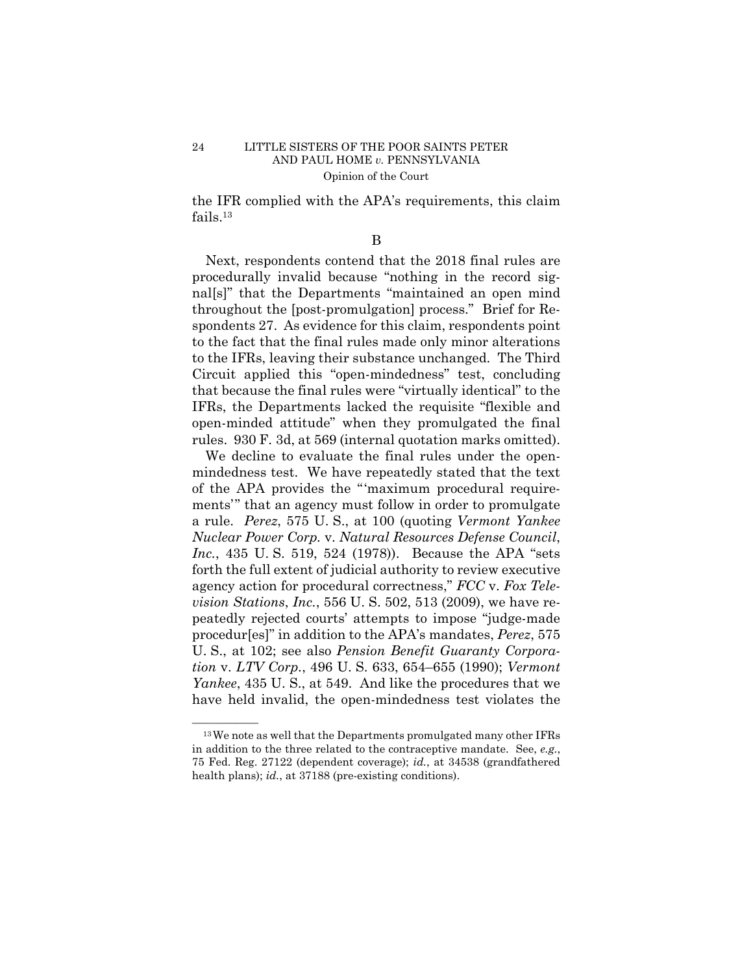the IFR complied with the APA's requirements, this claim fails.13

B

Next, respondents contend that the 2018 final rules are procedurally invalid because "nothing in the record signal[s]" that the Departments "maintained an open mind throughout the [post-promulgation] process." Brief for Respondents 27. As evidence for this claim, respondents point to the fact that the final rules made only minor alterations to the IFRs, leaving their substance unchanged. The Third Circuit applied this "open-mindedness" test, concluding that because the final rules were "virtually identical" to the IFRs, the Departments lacked the requisite "flexible and open-minded attitude" when they promulgated the final rules. 930 F. 3d, at 569 (internal quotation marks omitted).

We decline to evaluate the final rules under the openmindedness test. We have repeatedly stated that the text of the APA provides the "'maximum procedural requirements'" that an agency must follow in order to promulgate a rule. *Perez*, 575 U. S., at 100 (quoting *Vermont Yankee Nuclear Power Corp.* v. *Natural Resources Defense Council*, *Inc.*, 435 U. S. 519, 524 (1978)). Because the APA "sets forth the full extent of judicial authority to review executive agency action for procedural correctness," *FCC* v. *Fox Television Stations*, *Inc.*, 556 U. S. 502, 513 (2009), we have repeatedly rejected courts' attempts to impose "judge-made procedur[es]" in addition to the APA's mandates, *Perez*, 575 U. S., at 102; see also *Pension Benefit Guaranty Corporation* v. *LTV Corp.*, 496 U. S. 633, 654–655 (1990); *Vermont Yankee*, 435 U. S., at 549. And like the procedures that we have held invalid, the open-mindedness test violates the

 $13$  We note as well that the Departments promulgated many other IFRs in addition to the three related to the contraceptive mandate. See, *e.g.*, 75 Fed. Reg. 27122 (dependent coverage); *id.*, at 34538 (grandfathered health plans); *id.*, at 37188 (pre-existing conditions).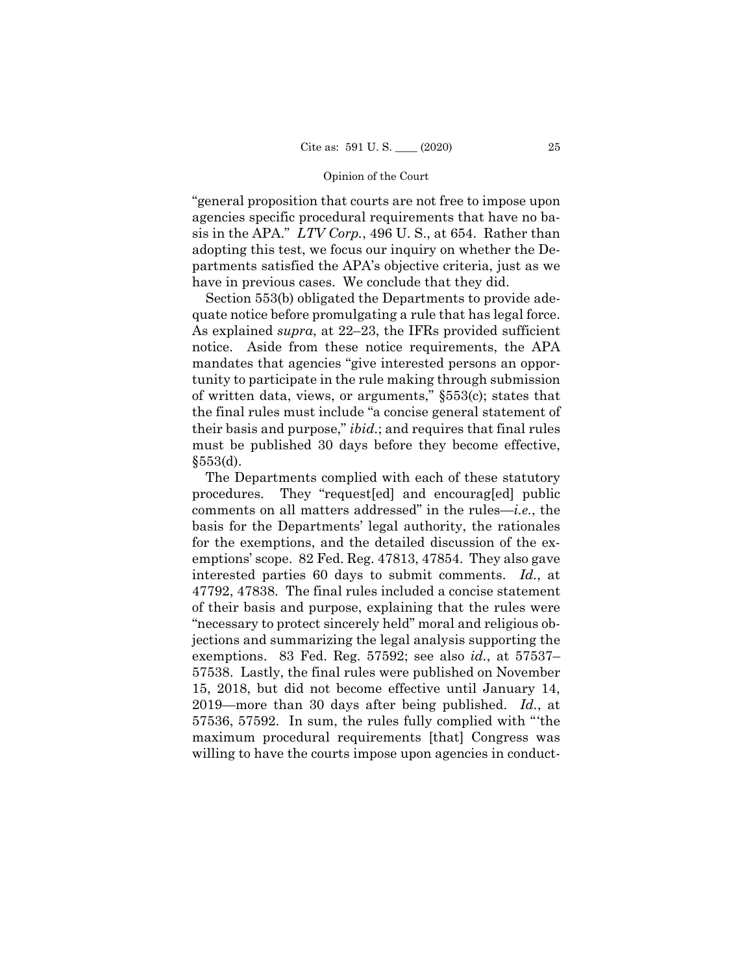"general proposition that courts are not free to impose upon agencies specific procedural requirements that have no basis in the APA." *LTV Corp.*, 496 U. S., at 654. Rather than adopting this test, we focus our inquiry on whether the Departments satisfied the APA's objective criteria, just as we have in previous cases. We conclude that they did.

Section 553(b) obligated the Departments to provide adequate notice before promulgating a rule that has legal force. As explained *supra*, at 22–23, the IFRs provided sufficient notice. Aside from these notice requirements, the APA mandates that agencies "give interested persons an opportunity to participate in the rule making through submission of written data, views, or arguments," §553(c); states that the final rules must include "a concise general statement of their basis and purpose," *ibid.*; and requires that final rules must be published 30 days before they become effective,  $$553(d)$ .

The Departments complied with each of these statutory procedures. They "request[ed] and encourag[ed] public comments on all matters addressed" in the rules—*i.e.*, the basis for the Departments' legal authority, the rationales for the exemptions, and the detailed discussion of the exemptions' scope. 82 Fed. Reg. 47813, 47854. They also gave interested parties 60 days to submit comments. *Id.*, at 47792, 47838. The final rules included a concise statement of their basis and purpose, explaining that the rules were "necessary to protect sincerely held" moral and religious objections and summarizing the legal analysis supporting the exemptions. 83 Fed. Reg. 57592; see also *id.*, at 57537– 57538. Lastly, the final rules were published on November 15, 2018, but did not become effective until January 14, 2019—more than 30 days after being published. *Id.*, at 57536, 57592. In sum, the rules fully complied with "'the maximum procedural requirements [that] Congress was willing to have the courts impose upon agencies in conduct-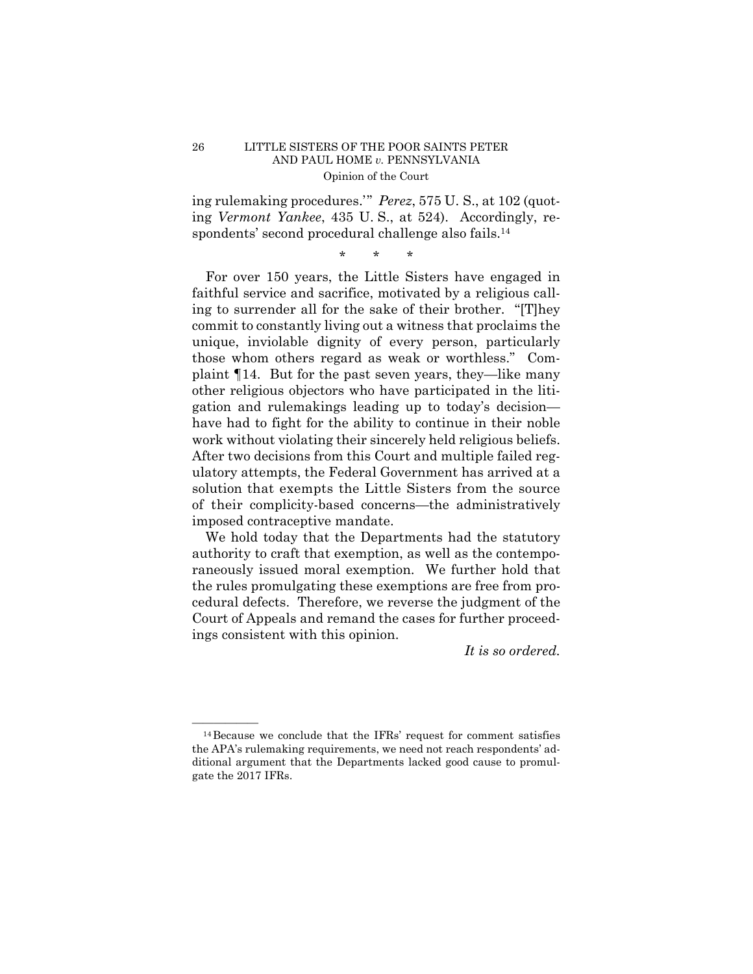ing rulemaking procedures.'" *Perez*, 575 U. S., at 102 (quoting *Vermont Yankee*, 435 U. S., at 524). Accordingly, respondents' second procedural challenge also fails.<sup>14</sup>

\* \* \*

 of their complicity-based concerns—the administratively For over 150 years, the Little Sisters have engaged in faithful service and sacrifice, motivated by a religious calling to surrender all for the sake of their brother. "[T]hey commit to constantly living out a witness that proclaims the unique, inviolable dignity of every person, particularly those whom others regard as weak or worthless." Complaint ¶14. But for the past seven years, they—like many other religious objectors who have participated in the litigation and rulemakings leading up to today's decision have had to fight for the ability to continue in their noble work without violating their sincerely held religious beliefs. After two decisions from this Court and multiple failed regulatory attempts, the Federal Government has arrived at a solution that exempts the Little Sisters from the source imposed contraceptive mandate.

We hold today that the Departments had the statutory authority to craft that exemption, as well as the contemporaneously issued moral exemption. We further hold that the rules promulgating these exemptions are free from procedural defects. Therefore, we reverse the judgment of the Court of Appeals and remand the cases for further proceedings consistent with this opinion.

*It is so ordered.* 

 $^{14}$ Because we conclude that the IFRs' request for comment satisfies the APA's rulemaking requirements, we need not reach respondents' additional argument that the Departments lacked good cause to promulgate the 2017 IFRs.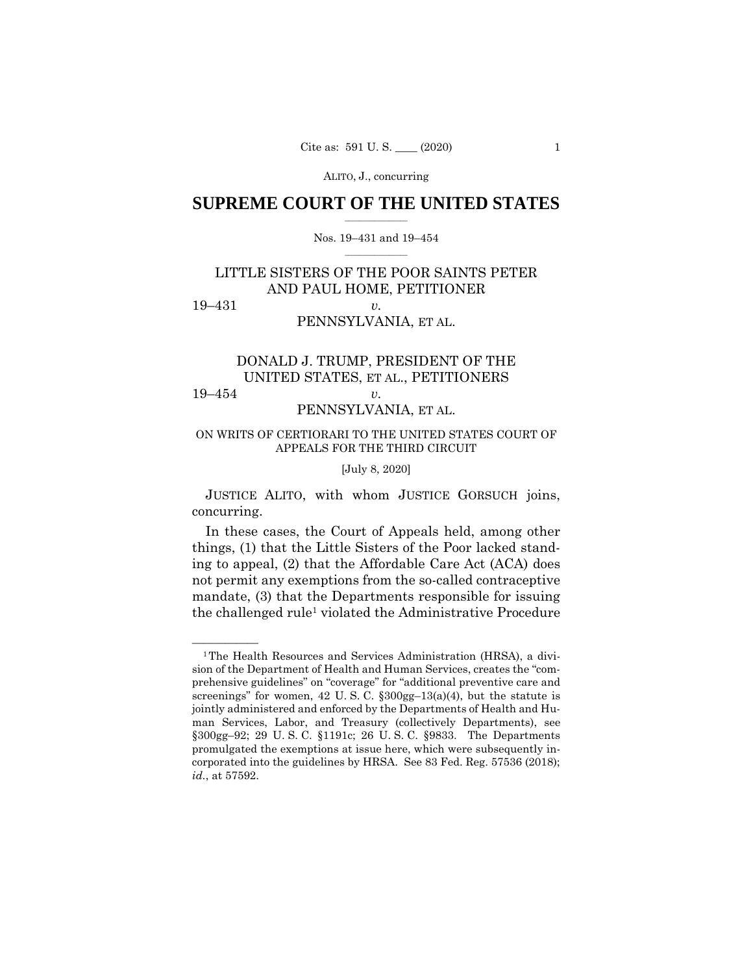ALITO, J., concurring

## $\frac{1}{2}$  ,  $\frac{1}{2}$  ,  $\frac{1}{2}$  ,  $\frac{1}{2}$  ,  $\frac{1}{2}$  ,  $\frac{1}{2}$  ,  $\frac{1}{2}$ **SUPREME COURT OF THE UNITED STATES**

### $\frac{1}{2}$  ,  $\frac{1}{2}$  ,  $\frac{1}{2}$  ,  $\frac{1}{2}$  ,  $\frac{1}{2}$  ,  $\frac{1}{2}$ Nos. 19–431 and 19–454

# LITTLE SISTERS OF THE POOR SAINTS PETER AND PAUL HOME, PETITIONER 19–431 *v.*

# PENNSYLVANIA, ET AL.

# DONALD J. TRUMP, PRESIDENT OF THE UNITED STATES, ET AL., PETITIONERS 19–454 *v.*

## PENNSYLVANIA, ET AL.

## ON WRITS OF CERTIORARI TO THE UNITED STATES COURT OF APPEALS FOR THE THIRD CIRCUIT

### [July 8, 2020]

 JUSTICE ALITO, with whom JUSTICE GORSUCH joins, concurring.

In these cases, the Court of Appeals held, among other things, (1) that the Little Sisters of the Poor lacked standing to appeal, (2) that the Affordable Care Act (ACA) does not permit any exemptions from the so-called contraceptive mandate, (3) that the Departments responsible for issuing the challenged rule1 violated the Administrative Procedure

<sup>&</sup>lt;sup>1</sup>The Health Resources and Services Administration (HRSA), a division of the Department of Health and Human Services, creates the "comprehensive guidelines" on "coverage" for "additional preventive care and screenings" for women, 42 U. S. C. §300gg–13(a)(4), but the statute is jointly administered and enforced by the Departments of Health and Human Services, Labor, and Treasury (collectively Departments), see §300gg–92; 29 U. S. C. §1191c; 26 U. S. C. §9833. The Departments promulgated the exemptions at issue here, which were subsequently incorporated into the guidelines by HRSA. See 83 Fed. Reg. 57536 (2018); *id.*, at 57592.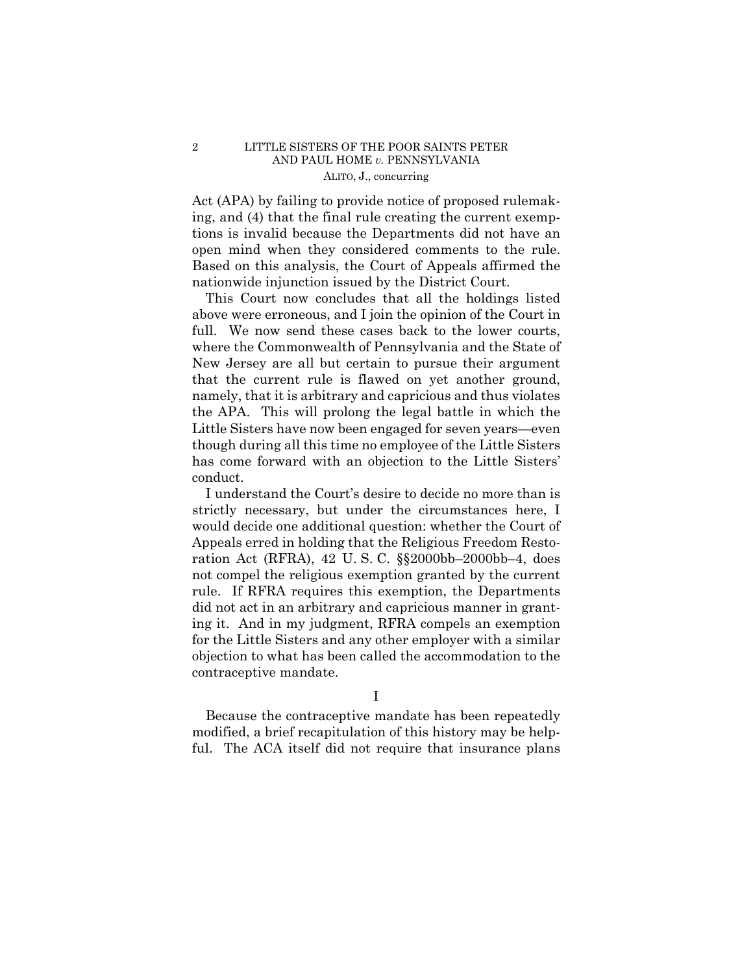## 2 LITTLE SISTERS OF THE POOR SAINTS PETER AND PAUL HOME *v.* PENNSYLVANIA ALITO, J., concurring

 open mind when they considered comments to the rule. Based on this analysis, the Court of Appeals affirmed the Act (APA) by failing to provide notice of proposed rulemaking, and (4) that the final rule creating the current exemptions is invalid because the Departments did not have an nationwide injunction issued by the District Court.

This Court now concludes that all the holdings listed above were erroneous, and I join the opinion of the Court in full. We now send these cases back to the lower courts, where the Commonwealth of Pennsylvania and the State of New Jersey are all but certain to pursue their argument that the current rule is flawed on yet another ground, namely, that it is arbitrary and capricious and thus violates the APA. This will prolong the legal battle in which the Little Sisters have now been engaged for seven years—even though during all this time no employee of the Little Sisters has come forward with an objection to the Little Sisters' conduct.

I understand the Court's desire to decide no more than is strictly necessary, but under the circumstances here, I would decide one additional question: whether the Court of Appeals erred in holding that the Religious Freedom Restoration Act (RFRA), 42 U. S. C. §§2000bb–2000bb–4, does not compel the religious exemption granted by the current rule. If RFRA requires this exemption, the Departments did not act in an arbitrary and capricious manner in granting it. And in my judgment, RFRA compels an exemption for the Little Sisters and any other employer with a similar objection to what has been called the accommodation to the contraceptive mandate.

I

Because the contraceptive mandate has been repeatedly modified, a brief recapitulation of this history may be helpful. The ACA itself did not require that insurance plans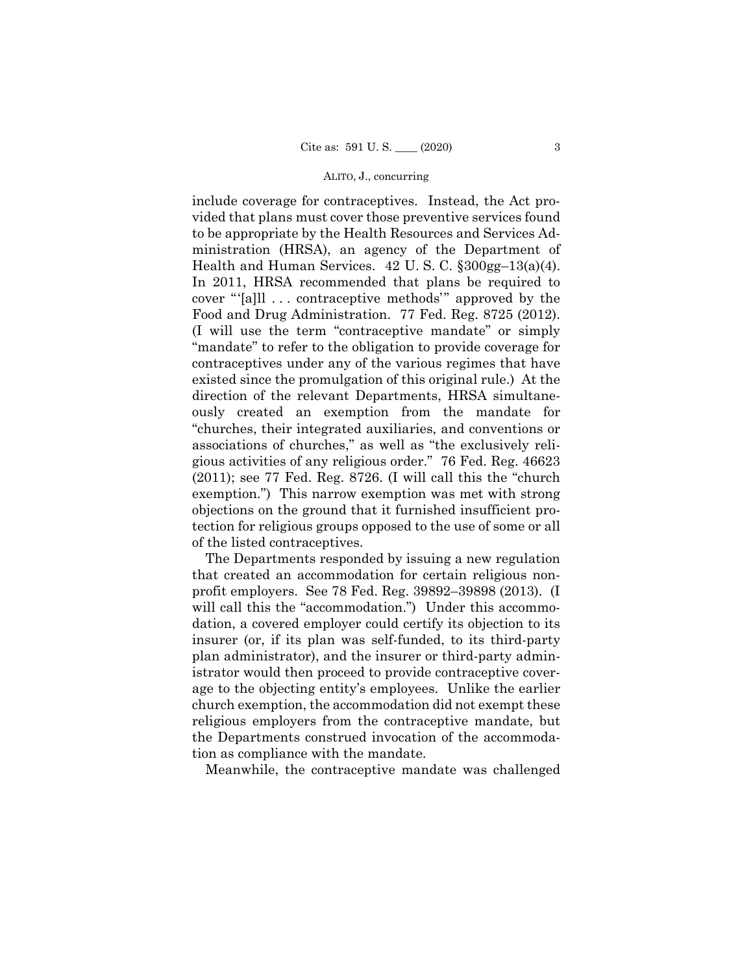### ALITO, J., concurring

 Health and Human Services. 42 U. S. C. §300gg–13(a)(4). include coverage for contraceptives. Instead, the Act provided that plans must cover those preventive services found to be appropriate by the Health Resources and Services Administration (HRSA), an agency of the Department of In 2011, HRSA recommended that plans be required to cover "'[a]ll . . . contraceptive methods'" approved by the Food and Drug Administration. 77 Fed. Reg. 8725 (2012). (I will use the term "contraceptive mandate" or simply "mandate" to refer to the obligation to provide coverage for contraceptives under any of the various regimes that have existed since the promulgation of this original rule.) At the direction of the relevant Departments, HRSA simultaneously created an exemption from the mandate for "churches, their integrated auxiliaries, and conventions or associations of churches," as well as "the exclusively religious activities of any religious order." 76 Fed. Reg. 46623 (2011); see 77 Fed. Reg. 8726. (I will call this the "church exemption.") This narrow exemption was met with strong objections on the ground that it furnished insufficient protection for religious groups opposed to the use of some or all of the listed contraceptives.

The Departments responded by issuing a new regulation that created an accommodation for certain religious nonprofit employers. See 78 Fed. Reg. 39892–39898 (2013). (I will call this the "accommodation.") Under this accommodation, a covered employer could certify its objection to its insurer (or, if its plan was self-funded, to its third-party plan administrator), and the insurer or third-party administrator would then proceed to provide contraceptive coverage to the objecting entity's employees. Unlike the earlier church exemption, the accommodation did not exempt these religious employers from the contraceptive mandate, but the Departments construed invocation of the accommodation as compliance with the mandate.

Meanwhile, the contraceptive mandate was challenged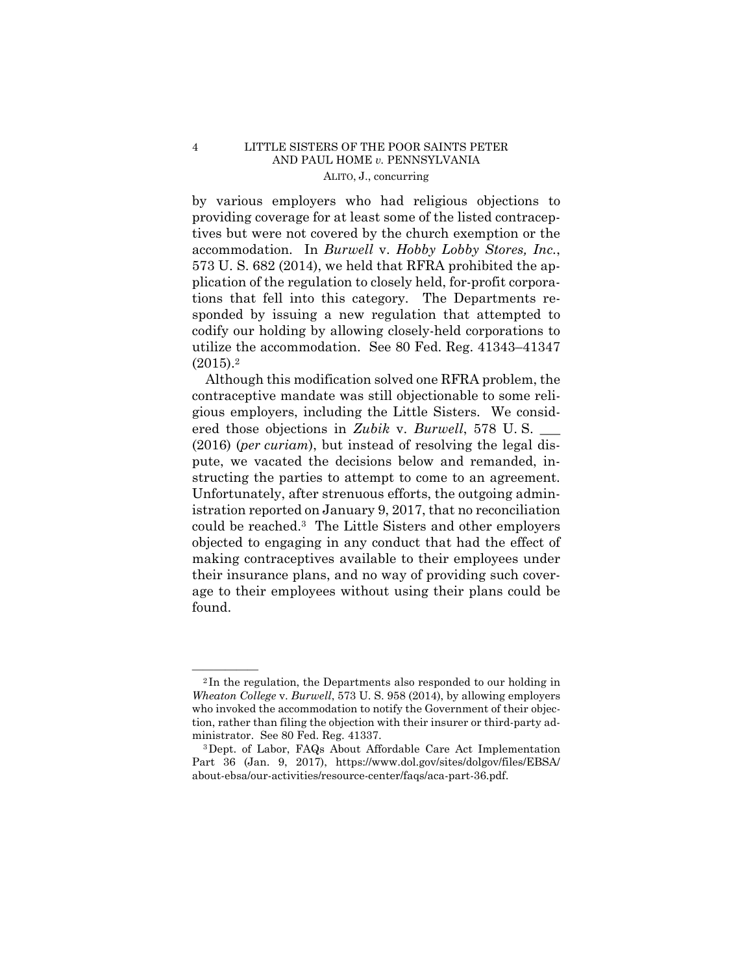## 4 LITTLE SISTERS OF THE POOR SAINTS PETER AND PAUL HOME *v.* PENNSYLVANIA ALITO, J., concurring

by various employers who had religious objections to providing coverage for at least some of the listed contraceptives but were not covered by the church exemption or the accommodation. In *Burwell* v. *Hobby Lobby Stores, Inc.*, 573 U. S. 682 (2014), we held that RFRA prohibited the application of the regulation to closely held, for-profit corporations that fell into this category. The Departments responded by issuing a new regulation that attempted to codify our holding by allowing closely-held corporations to utilize the accommodation. See 80 Fed. Reg. 41343–41347  $(2015).<sup>2</sup>$ 

 Although this modification solved one RFRA problem, the contraceptive mandate was still objectionable to some religious employers, including the Little Sisters. We considered those objections in *Zubik* v. *Burwell*, 578 U.S. (2016) (*per curiam*), but instead of resolving the legal dispute, we vacated the decisions below and remanded, instructing the parties to attempt to come to an agreement. Unfortunately, after strenuous efforts, the outgoing administration reported on January 9, 2017, that no reconciliation could be reached.3 The Little Sisters and other employers objected to engaging in any conduct that had the effect of making contraceptives available to their employees under their insurance plans, and no way of providing such coverage to their employees without using their plans could be found.

 $2$ In the regulation, the Departments also responded to our holding in *Wheaton College* v. *Burwell*, 573 U. S. 958 (2014), by allowing employers who invoked the accommodation to notify the Government of their objection, rather than filing the objection with their insurer or third-party ad-

ministrator. See 80 Fed. Reg. 41337.<br><sup>3</sup>Dept. of Labor, FAQs About Affordable Care Act Implementation Part 36 (Jan. 9, 2017), https://www.dol.gov/sites/dolgov/files/EBSA/ about-ebsa/our-activities/resource-center/faqs/aca-part-36.pdf.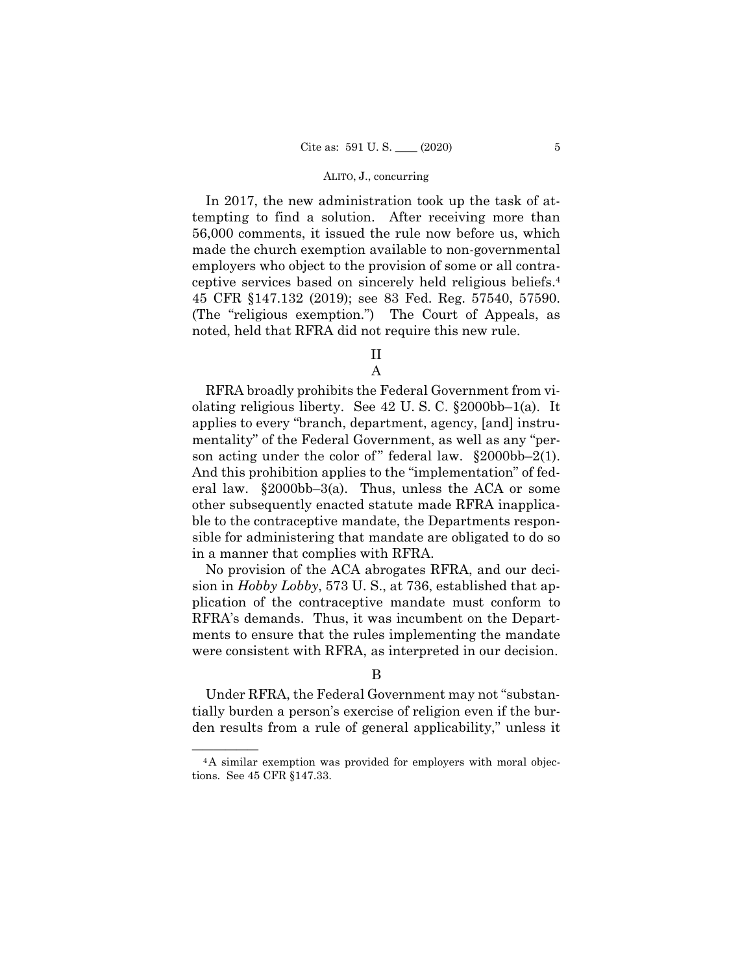### ALITO, J., concurring

 ceptive services based on sincerely held religious beliefs.4 In 2017, the new administration took up the task of attempting to find a solution. After receiving more than 56,000 comments, it issued the rule now before us, which made the church exemption available to non-governmental employers who object to the provision of some or all contra-45 CFR §147.132 (2019); see 83 Fed. Reg. 57540, 57590. (The "religious exemption.") The Court of Appeals, as noted, held that RFRA did not require this new rule.

II

A

RFRA broadly prohibits the Federal Government from violating religious liberty. See 42 U. S. C. §2000bb–1(a). It applies to every "branch, department, agency, [and] instrumentality" of the Federal Government, as well as any "person acting under the color of " federal law.  $\S 2000bb-2(1)$ . And this prohibition applies to the "implementation" of federal law. §2000bb–3(a). Thus, unless the ACA or some other subsequently enacted statute made RFRA inapplicable to the contraceptive mandate, the Departments responsible for administering that mandate are obligated to do so in a manner that complies with RFRA.

No provision of the ACA abrogates RFRA, and our decision in *Hobby Lobby*, 573 U. S., at 736, established that application of the contraceptive mandate must conform to RFRA's demands. Thus, it was incumbent on the Departments to ensure that the rules implementing the mandate were consistent with RFRA, as interpreted in our decision.

## B

Under RFRA, the Federal Government may not "substantially burden a person's exercise of religion even if the burden results from a rule of general applicability," unless it

<sup>&</sup>lt;sup>4</sup>A similar exemption was provided for employers with moral objections. See 45 CFR §147.33.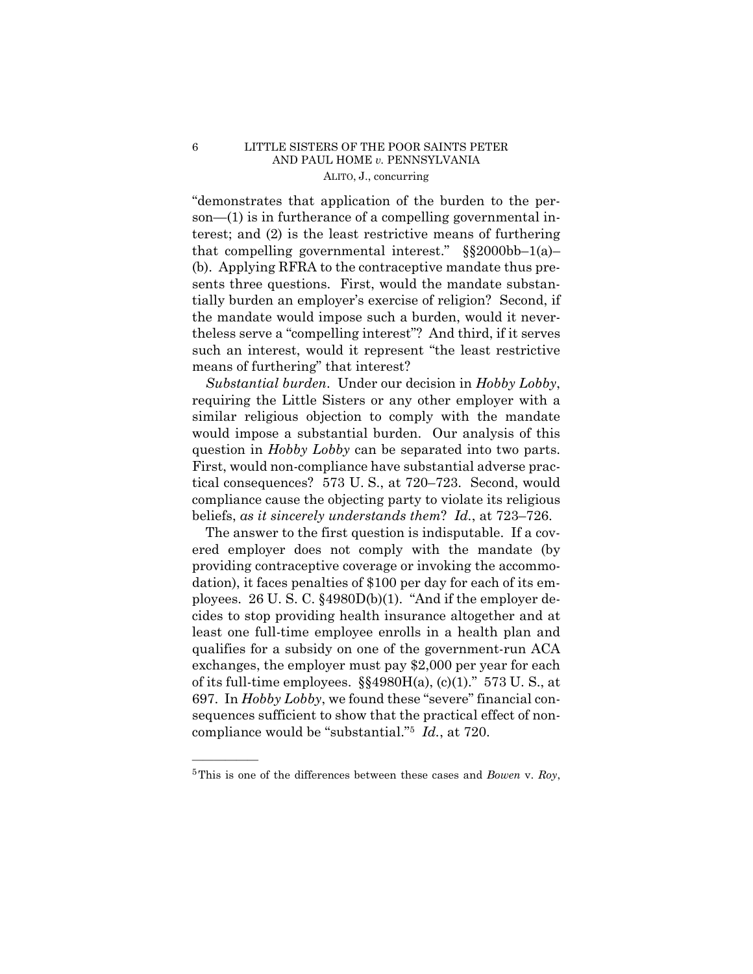## 6 LITTLE SISTERS OF THE POOR SAINTS PETER AND PAUL HOME *v.* PENNSYLVANIA ALITO, J., concurring

"demonstrates that application of the burden to the person—(1) is in furtherance of a compelling governmental interest; and (2) is the least restrictive means of furthering that compelling governmental interest."  $\S$ \$2000bb-1(a)-(b). Applying RFRA to the contraceptive mandate thus presents three questions. First, would the mandate substantially burden an employer's exercise of religion? Second, if the mandate would impose such a burden, would it nevertheless serve a "compelling interest"? And third, if it serves such an interest, would it represent "the least restrictive means of furthering" that interest?

 *Substantial burden*. Under our decision in *Hobby Lobby*, requiring the Little Sisters or any other employer with a similar religious objection to comply with the mandate would impose a substantial burden. Our analysis of this question in *Hobby Lobby* can be separated into two parts. First, would non-compliance have substantial adverse practical consequences? 573 U. S., at 720–723. Second, would compliance cause the objecting party to violate its religious beliefs, *as it sincerely understands them*? *Id.*, at 723–726.

 compliance would be "substantial."5 *Id.*, at 720. The answer to the first question is indisputable. If a covered employer does not comply with the mandate (by providing contraceptive coverage or invoking the accommodation), it faces penalties of \$100 per day for each of its employees. 26 U. S. C. §4980D(b)(1). "And if the employer decides to stop providing health insurance altogether and at least one full-time employee enrolls in a health plan and qualifies for a subsidy on one of the government-run ACA exchanges, the employer must pay \$2,000 per year for each of its full-time employees.  $\S$ §4980H(a), (c)(1)." 573 U.S., at 697. In *Hobby Lobby*, we found these "severe" financial consequences sufficient to show that the practical effect of non-

——————

<sup>5</sup>This is one of the differences between these cases and *Bowen* v. *Roy*,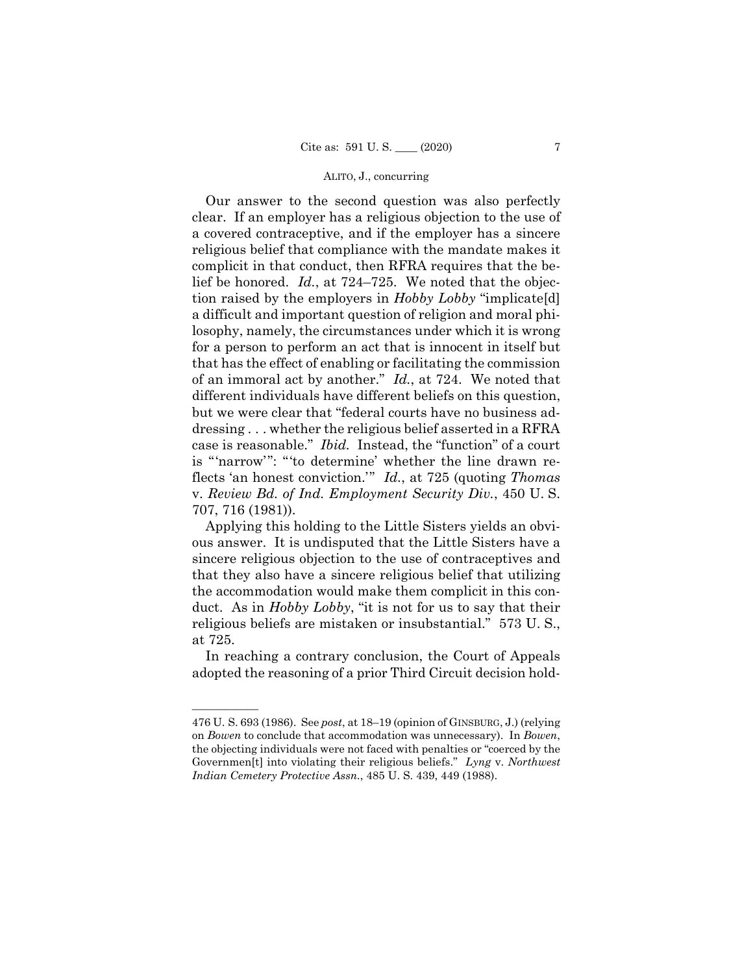## ALITO, J., concurring

 is "'narrow'": "'to determine' whether the line drawn re-Our answer to the second question was also perfectly clear. If an employer has a religious objection to the use of a covered contraceptive, and if the employer has a sincere religious belief that compliance with the mandate makes it complicit in that conduct, then RFRA requires that the belief be honored. *Id.*, at 724–725. We noted that the objection raised by the employers in *Hobby Lobby* "implicate[d] a difficult and important question of religion and moral philosophy, namely, the circumstances under which it is wrong for a person to perform an act that is innocent in itself but that has the effect of enabling or facilitating the commission of an immoral act by another." *Id.*, at 724. We noted that different individuals have different beliefs on this question, but we were clear that "federal courts have no business addressing . . . whether the religious belief asserted in a RFRA case is reasonable." *Ibid.* Instead, the "function" of a court flects 'an honest conviction.'" *Id.*, at 725 (quoting *Thomas*  v. *Review Bd. of Ind. Employment Security Div.*, 450 U. S. 707, 716 (1981)).

Applying this holding to the Little Sisters yields an obvious answer. It is undisputed that the Little Sisters have a sincere religious objection to the use of contraceptives and that they also have a sincere religious belief that utilizing the accommodation would make them complicit in this conduct. As in *Hobby Lobby*, "it is not for us to say that their religious beliefs are mistaken or insubstantial." 573 U. S., at 725.

In reaching a contrary conclusion, the Court of Appeals adopted the reasoning of a prior Third Circuit decision hold-

——————

 on *Bowen* to conclude that accommodation was unnecessary). In *Bowen*, Governmen[t] into violating their religious beliefs." *Lyng* v. *Northwest*  476 U. S. 693 (1986). See *post*, at 18–19 (opinion of GINSBURG, J.) (relying the objecting individuals were not faced with penalties or "coerced by the *Indian Cemetery Protective Assn.*, 485 U. S. 439, 449 (1988).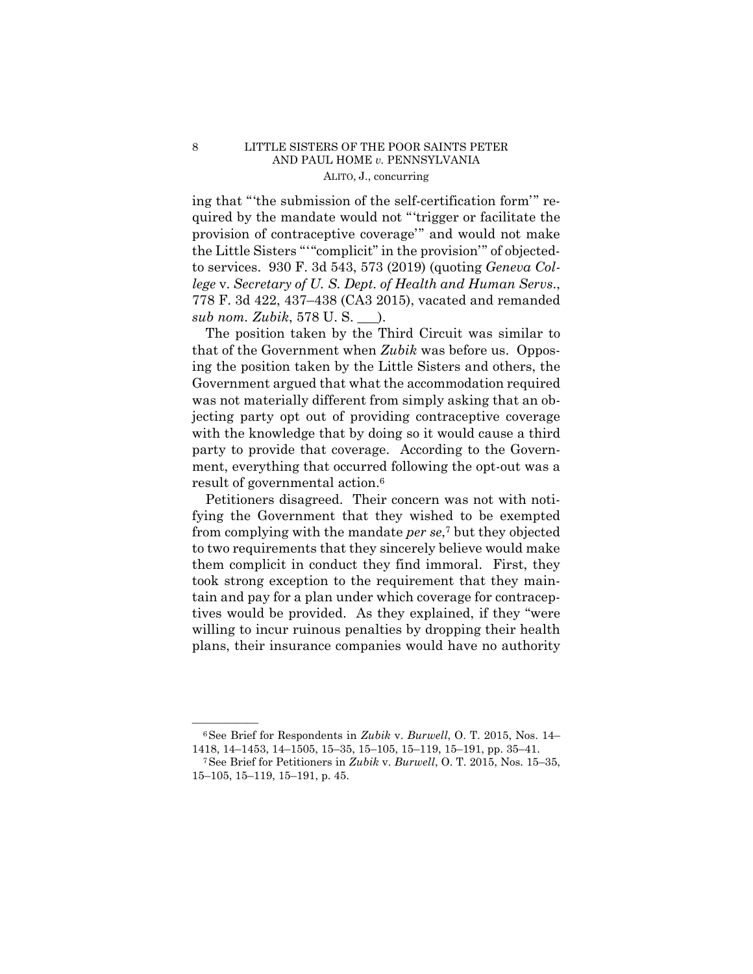## 8 LITTLE SISTERS OF THE POOR SAINTS PETER AND PAUL HOME *v.* PENNSYLVANIA ALITO, J., concurring

 the Little Sisters "'"complicit" in the provision'" of objecteding that "'the submission of the self-certification form'" required by the mandate would not "'trigger or facilitate the provision of contraceptive coverage'" and would not make to services. 930 F. 3d 543, 573 (2019) (quoting *Geneva College* v. *Secretary of U. S. Dept. of Health and Human Servs*., 778 F. 3d 422, 437–438 (CA3 2015), vacated and remanded *sub nom. Zubik*, 578 U. S. \_\_\_).

The position taken by the Third Circuit was similar to that of the Government when *Zubik* was before us. Opposing the position taken by the Little Sisters and others, the Government argued that what the accommodation required was not materially different from simply asking that an objecting party opt out of providing contraceptive coverage with the knowledge that by doing so it would cause a third party to provide that coverage. According to the Government, everything that occurred following the opt-out was a result of governmental action.6

Petitioners disagreed. Their concern was not with notifying the Government that they wished to be exempted from complying with the mandate *per se*,7 but they objected to two requirements that they sincerely believe would make them complicit in conduct they find immoral. First, they took strong exception to the requirement that they maintain and pay for a plan under which coverage for contraceptives would be provided. As they explained, if they "were willing to incur ruinous penalties by dropping their health plans, their insurance companies would have no authority

<sup>—————— 6</sup>See Brief for Respondents in *Zubik* v. *Burwell*, O. T. 2015, Nos. 14– 1418, 14–1453, 14–1505, 15–35, 15–105, 15–119, 15–191, pp. 35–41. 7See Brief for Petitioners in *Zubik* v. *Burwell*, O. T. 2015, Nos. 15–35,

<sup>15–105, 15–119, 15–191,</sup> p. 45.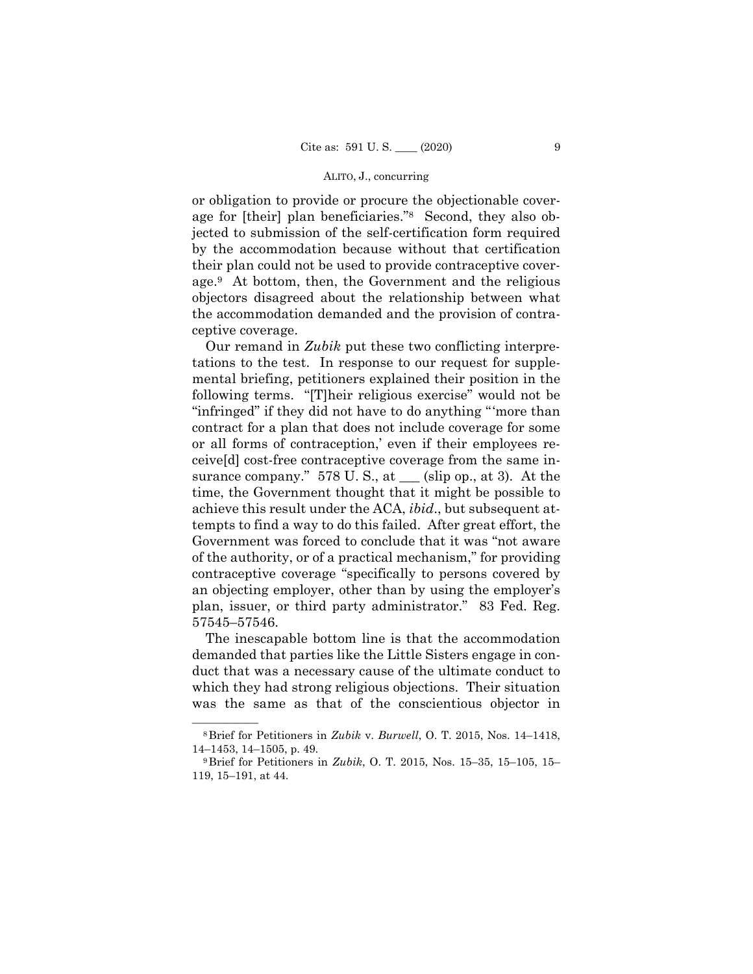## ALITO, J., concurring

or obligation to provide or procure the objectionable coverage for [their] plan beneficiaries."8 Second, they also objected to submission of the self-certification form required by the accommodation because without that certification their plan could not be used to provide contraceptive coverage.9 At bottom, then, the Government and the religious objectors disagreed about the relationship between what the accommodation demanded and the provision of contraceptive coverage.

 Our remand in *Zubik* put these two conflicting interpretations to the test. In response to our request for supplemental briefing, petitioners explained their position in the following terms. "[T]heir religious exercise" would not be "infringed" if they did not have to do anything "'more than contract for a plan that does not include coverage for some or all forms of contraception,' even if their employees receive[d] cost-free contraceptive coverage from the same insurance company."  $578$  U. S., at  $\_\_\$  (slip op., at 3). At the time, the Government thought that it might be possible to achieve this result under the ACA, *ibid*., but subsequent attempts to find a way to do this failed. After great effort, the Government was forced to conclude that it was "not aware of the authority, or of a practical mechanism," for providing contraceptive coverage "specifically to persons covered by an objecting employer, other than by using the employer's plan, issuer, or third party administrator." 83 Fed. Reg. 57545–57546.

The inescapable bottom line is that the accommodation demanded that parties like the Little Sisters engage in conduct that was a necessary cause of the ultimate conduct to which they had strong religious objections. Their situation was the same as that of the conscientious objector in

<sup>—————— 8</sup>Brief for Petitioners in *Zubik* v. *Burwell*, O. T. 2015, Nos. 14–1418, 14–1453, 14–1505, p. 49. 9Brief for Petitioners in *Zubik*, O. T. 2015, Nos. 15–35, 15–105, 15–

<sup>119, 15–191,</sup> at 44.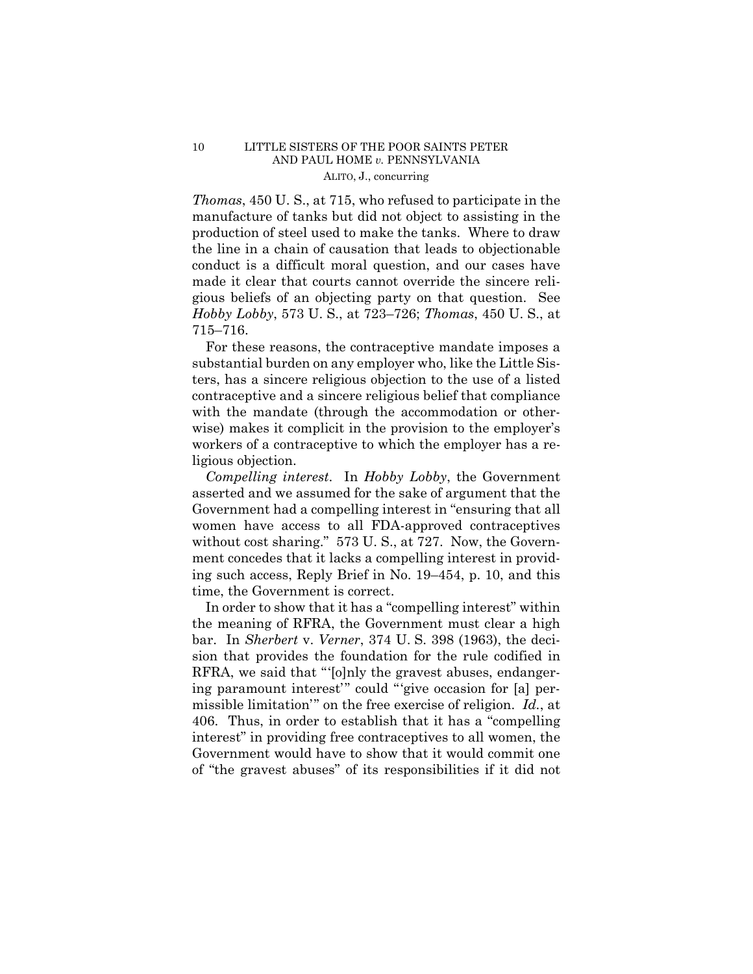## 10 LITTLE SISTERS OF THE POOR SAINTS PETER AND PAUL HOME *v.* PENNSYLVANIA ALITO, J., concurring

*Thomas*, 450 U. S., at 715, who refused to participate in the manufacture of tanks but did not object to assisting in the production of steel used to make the tanks. Where to draw the line in a chain of causation that leads to objectionable conduct is a difficult moral question, and our cases have made it clear that courts cannot override the sincere religious beliefs of an objecting party on that question. See *Hobby Lobby*, 573 U. S., at 723–726; *Thomas*, 450 U. S., at 715–716.

For these reasons, the contraceptive mandate imposes a substantial burden on any employer who, like the Little Sisters, has a sincere religious objection to the use of a listed contraceptive and a sincere religious belief that compliance with the mandate (through the accommodation or otherwise) makes it complicit in the provision to the employer's workers of a contraceptive to which the employer has a religious objection.

 *Compelling interest*. In *Hobby Lobby*, the Government asserted and we assumed for the sake of argument that the Government had a compelling interest in "ensuring that all women have access to all FDA-approved contraceptives without cost sharing." 573 U.S., at 727. Now, the Government concedes that it lacks a compelling interest in providing such access, Reply Brief in No. 19–454, p. 10, and this time, the Government is correct.

In order to show that it has a "compelling interest" within the meaning of RFRA, the Government must clear a high bar. In *Sherbert* v. *Verner*, 374 U. S. 398 (1963), the decision that provides the foundation for the rule codified in RFRA, we said that "'[o]nly the gravest abuses, endangering paramount interest'" could "'give occasion for [a] permissible limitation'" on the free exercise of religion. *Id.*, at 406. Thus, in order to establish that it has a "compelling interest" in providing free contraceptives to all women, the Government would have to show that it would commit one of "the gravest abuses" of its responsibilities if it did not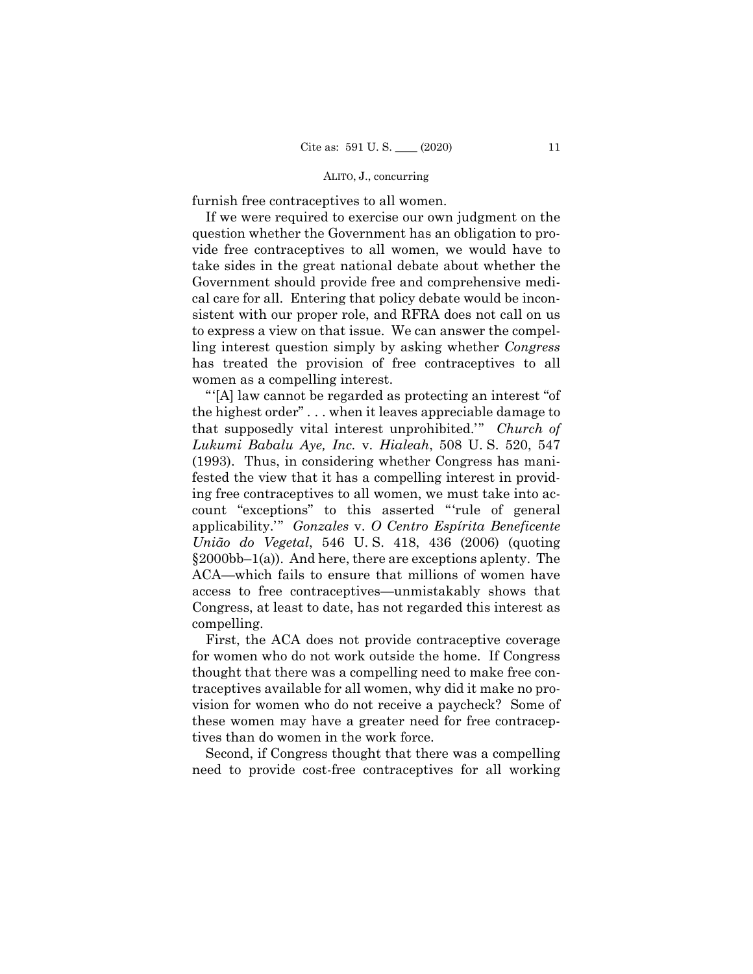## ALITO, J., concurring

furnish free contraceptives to all women.

If we were required to exercise our own judgment on the question whether the Government has an obligation to provide free contraceptives to all women, we would have to take sides in the great national debate about whether the Government should provide free and comprehensive medical care for all. Entering that policy debate would be inconsistent with our proper role, and RFRA does not call on us to express a view on that issue. We can answer the compelling interest question simply by asking whether *Congress*  has treated the provision of free contraceptives to all women as a compelling interest.

 "'[A] law cannot be regarded as protecting an interest "of the highest order" . . . when it leaves appreciable damage to that supposedly vital interest unprohibited.'" *Church of Lukumi Babalu Aye, Inc.* v. *Hialeah*, 508 U. S. 520, 547 (1993). Thus, in considering whether Congress has manifested the view that it has a compelling interest in providing free contraceptives to all women, we must take into account "exceptions" to this asserted "'rule of general applicability.'" *Gonzales* v. *O Centro Espírita Beneficente União do Vegetal*, 546 U. S. 418, 436 (2006) (quoting  $§2000bb-1(a)$ . And here, there are exceptions aplenty. The ACA—which fails to ensure that millions of women have access to free contraceptives—unmistakably shows that Congress, at least to date, has not regarded this interest as compelling.

First, the ACA does not provide contraceptive coverage for women who do not work outside the home. If Congress thought that there was a compelling need to make free contraceptives available for all women, why did it make no provision for women who do not receive a paycheck? Some of these women may have a greater need for free contraceptives than do women in the work force.

Second, if Congress thought that there was a compelling need to provide cost-free contraceptives for all working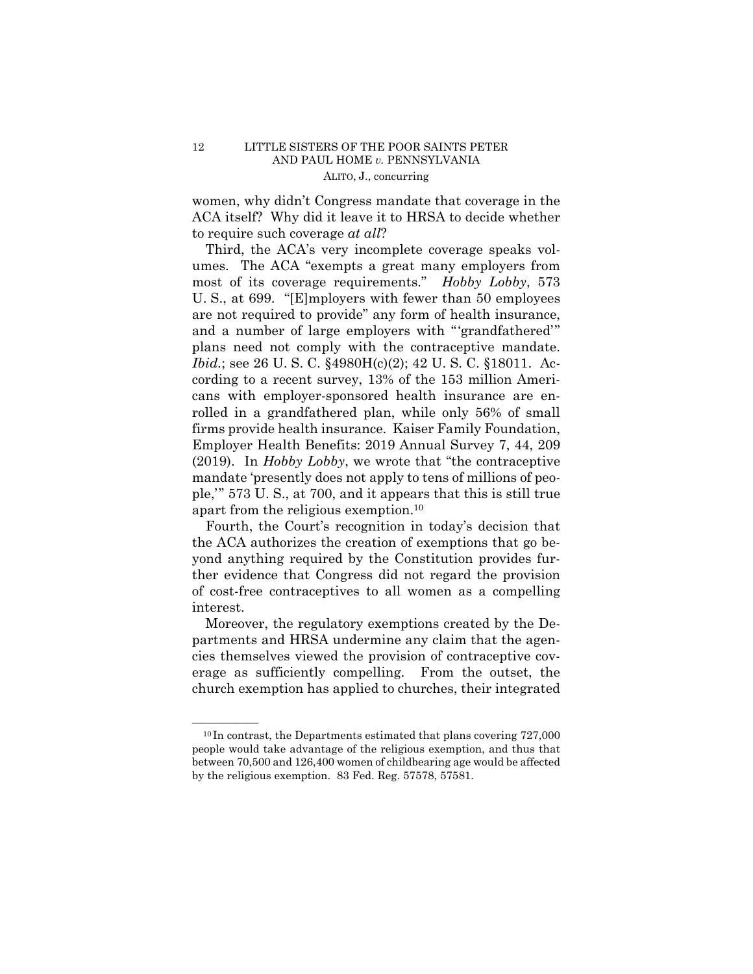# 12 LITTLE SISTERS OF THE POOR SAINTS PETER AND PAUL HOME *v.* PENNSYLVANIA ALITO, J., concurring

women, why didn't Congress mandate that coverage in the ACA itself? Why did it leave it to HRSA to decide whether to require such coverage *at all*?

Third, the ACA's very incomplete coverage speaks volumes. The ACA "exempts a great many employers from most of its coverage requirements." *Hobby Lobby*, 573 U. S., at 699. "[E]mployers with fewer than 50 employees are not required to provide" any form of health insurance, and a number of large employers with "'grandfathered'" plans need not comply with the contraceptive mandate. *Ibid.*; see 26 U. S. C. §4980H(c)(2); 42 U. S. C. §18011. According to a recent survey, 13% of the 153 million Americans with employer-sponsored health insurance are enrolled in a grandfathered plan, while only 56% of small firms provide health insurance. Kaiser Family Foundation, Employer Health Benefits: 2019 Annual Survey 7, 44, 209 (2019). In *Hobby Lobby*, we wrote that "the contraceptive mandate 'presently does not apply to tens of millions of people,'" 573 U. S., at 700, and it appears that this is still true apart from the religious exemption.10

Fourth, the Court's recognition in today's decision that the ACA authorizes the creation of exemptions that go beyond anything required by the Constitution provides further evidence that Congress did not regard the provision of cost-free contraceptives to all women as a compelling interest.

Moreover, the regulatory exemptions created by the Departments and HRSA undermine any claim that the agencies themselves viewed the provision of contraceptive coverage as sufficiently compelling. From the outset, the church exemption has applied to churches, their integrated

 by the religious exemption. 83 Fed. Reg. 57578, 57581.  $^{10}$ In contrast, the Departments estimated that plans covering 727,000 people would take advantage of the religious exemption, and thus that between 70,500 and 126,400 women of childbearing age would be affected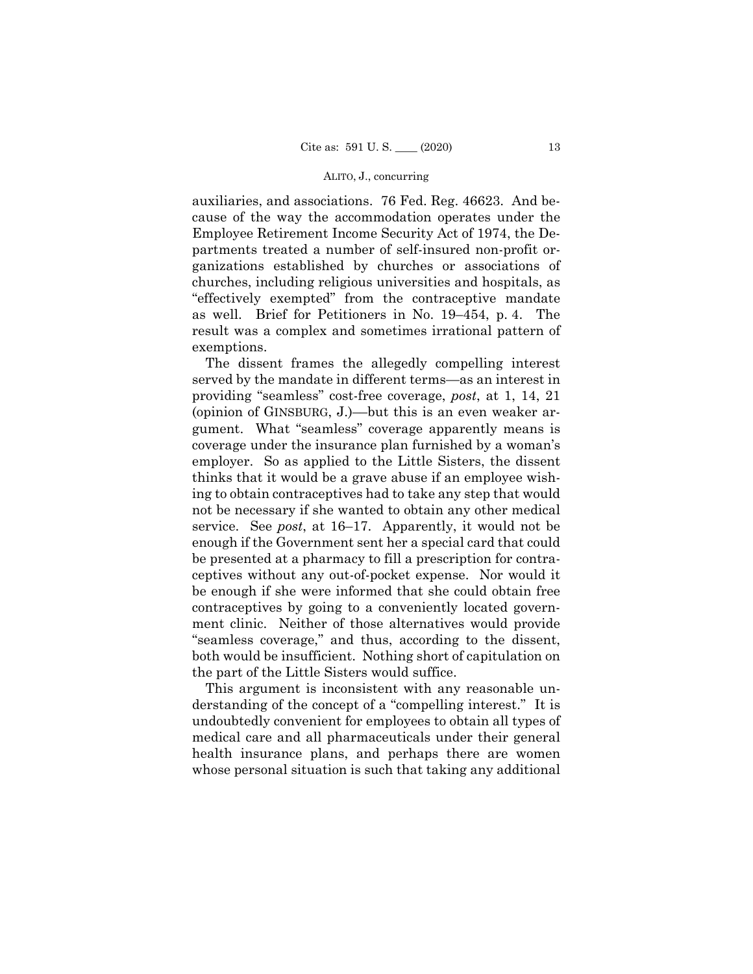### ALITO, J., concurring

auxiliaries, and associations. 76 Fed. Reg. 46623. And because of the way the accommodation operates under the Employee Retirement Income Security Act of 1974, the Departments treated a number of self-insured non-profit organizations established by churches or associations of churches, including religious universities and hospitals, as "effectively exempted" from the contraceptive mandate as well. Brief for Petitioners in No. 19–454, p. 4. The result was a complex and sometimes irrational pattern of exemptions.

The dissent frames the allegedly compelling interest served by the mandate in different terms—as an interest in providing "seamless" cost-free coverage, *post*, at 1, 14, 21 (opinion of GINSBURG, J.)––but this is an even weaker argument. What "seamless" coverage apparently means is coverage under the insurance plan furnished by a woman's employer. So as applied to the Little Sisters, the dissent thinks that it would be a grave abuse if an employee wishing to obtain contraceptives had to take any step that would not be necessary if she wanted to obtain any other medical service. See *post*, at 16–17. Apparently, it would not be enough if the Government sent her a special card that could be presented at a pharmacy to fill a prescription for contraceptives without any out-of-pocket expense. Nor would it be enough if she were informed that she could obtain free contraceptives by going to a conveniently located government clinic. Neither of those alternatives would provide "seamless coverage," and thus, according to the dissent, both would be insufficient. Nothing short of capitulation on the part of the Little Sisters would suffice.

This argument is inconsistent with any reasonable understanding of the concept of a "compelling interest." It is undoubtedly convenient for employees to obtain all types of medical care and all pharmaceuticals under their general health insurance plans, and perhaps there are women whose personal situation is such that taking any additional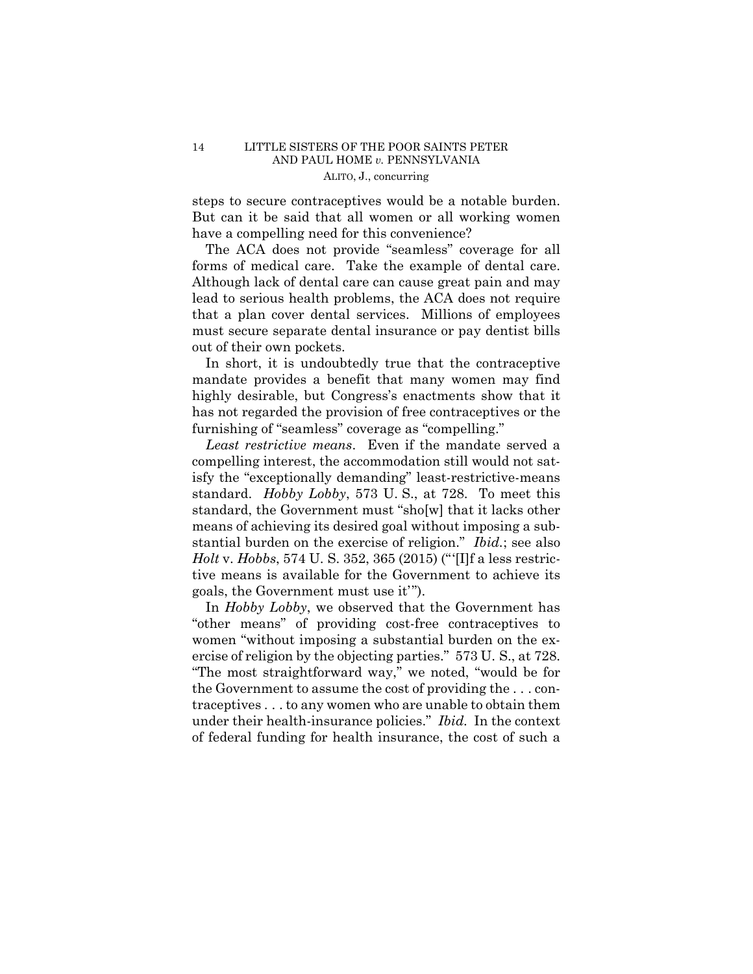## 14 LITTLE SISTERS OF THE POOR SAINTS PETER AND PAUL HOME *v.* PENNSYLVANIA ALITO, J., concurring

steps to secure contraceptives would be a notable burden. But can it be said that all women or all working women have a compelling need for this convenience?

The ACA does not provide "seamless" coverage for all forms of medical care. Take the example of dental care. Although lack of dental care can cause great pain and may lead to serious health problems, the ACA does not require that a plan cover dental services. Millions of employees must secure separate dental insurance or pay dentist bills out of their own pockets.

In short, it is undoubtedly true that the contraceptive mandate provides a benefit that many women may find highly desirable, but Congress's enactments show that it has not regarded the provision of free contraceptives or the furnishing of "seamless" coverage as "compelling."

 standard. *Hobby Lobby*, 573 U. S., at 728. To meet this *Least restrictive means*. Even if the mandate served a compelling interest, the accommodation still would not satisfy the "exceptionally demanding" least-restrictive-means standard, the Government must "sho[w] that it lacks other means of achieving its desired goal without imposing a substantial burden on the exercise of religion." *Ibid.*; see also *Holt* v. *Hobbs*, 574 U. S. 352, 365 (2015) ("'[I]f a less restrictive means is available for the Government to achieve its goals, the Government must use it'").

 under their health-insurance policies." *Ibid.* In the context In *Hobby Lobby*, we observed that the Government has "other means" of providing cost-free contraceptives to women "without imposing a substantial burden on the exercise of religion by the objecting parties." 573 U. S., at 728. "The most straightforward way," we noted, "would be for the Government to assume the cost of providing the . . . contraceptives . . . to any women who are unable to obtain them of federal funding for health insurance, the cost of such a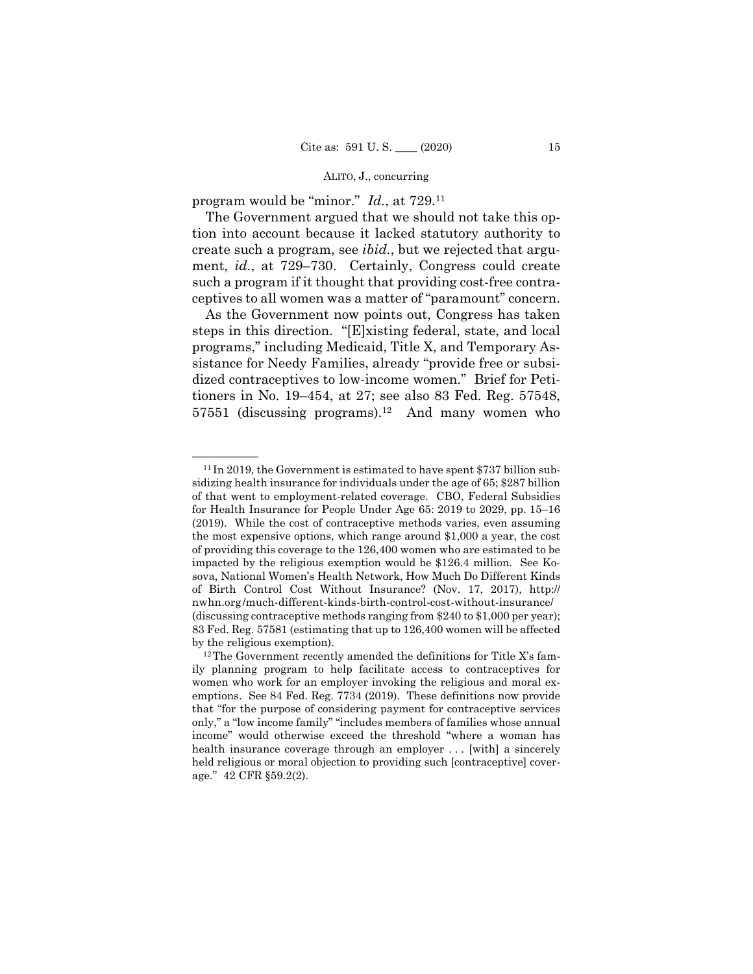## ALITO, J., concurring

program would be "minor." *Id.*, at 729.11

The Government argued that we should not take this option into account because it lacked statutory authority to create such a program, see *ibid.*, but we rejected that argument, *id.*, at 729–730. Certainly, Congress could create such a program if it thought that providing cost-free contraceptives to all women was a matter of "paramount" concern.

As the Government now points out, Congress has taken steps in this direction. "[E]xisting federal, state, and local programs," including Medicaid, Title X, and Temporary Assistance for Needy Families, already "provide free or subsidized contraceptives to low-income women." Brief for Petitioners in No. 19–454, at 27; see also 83 Fed. Reg. 57548,  $57551$  (discussing programs).<sup>12</sup> And many women who

 $^{11}$  In 2019, the Government is estimated to have spent \$737 billion subsidizing health insurance for individuals under the age of 65; \$287 billion of that went to employment-related coverage. CBO, Federal Subsidies for Health Insurance for People Under Age 65: 2019 to 2029, pp. 15–16 (2019). While the cost of contraceptive methods varies, even assuming the most expensive options, which range around \$1,000 a year, the cost of providing this coverage to the 126,400 women who are estimated to be impacted by the religious exemption would be \$126.4 million. See Kosova, National Women's Health Network, How Much Do Different Kinds of Birth Control Cost Without Insurance? (Nov. 17, 2017), http:// nwhn.org/much-different-kinds-birth-control-cost-without-insurance/ (discussing contraceptive methods ranging from \$240 to \$1,000 per year); 83 Fed. Reg. 57581 (estimating that up to 126,400 women will be affected by the religious exemption).<br><sup>12</sup>The Government recently amended the definitions for Title X's fam-

ily planning program to help facilitate access to contraceptives for women who work for an employer invoking the religious and moral exemptions. See 84 Fed. Reg. 7734 (2019). These definitions now provide that "for the purpose of considering payment for contraceptive services only," a "low income family" "includes members of families whose annual income" would otherwise exceed the threshold "where a woman has health insurance coverage through an employer ... [with] a sincerely held religious or moral objection to providing such [contraceptive] coverage." 42 CFR §59.2(2).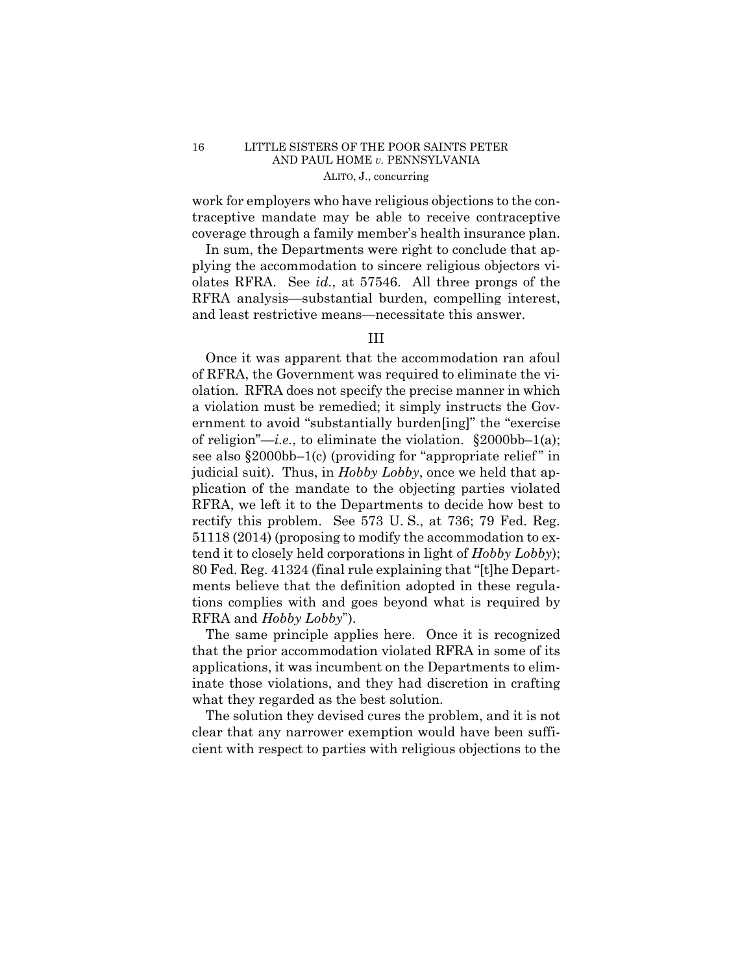## 16 LITTLE SISTERS OF THE POOR SAINTS PETER AND PAUL HOME *v.* PENNSYLVANIA ALITO, J., concurring

work for employers who have religious objections to the contraceptive mandate may be able to receive contraceptive coverage through a family member's health insurance plan.

In sum, the Departments were right to conclude that applying the accommodation to sincere religious objectors violates RFRA. See *id.*, at 57546. All three prongs of the RFRA analysis—substantial burden, compelling interest, and least restrictive means—necessitate this answer.

# III

Once it was apparent that the accommodation ran afoul of RFRA, the Government was required to eliminate the violation. RFRA does not specify the precise manner in which a violation must be remedied; it simply instructs the Government to avoid "substantially burden[ing]" the "exercise of religion"—*i.e.*, to eliminate the violation. §2000bb–1(a); see also  $\S 2000bb-1(c)$  (providing for "appropriate relief" in judicial suit). Thus, in *Hobby Lobby*, once we held that application of the mandate to the objecting parties violated RFRA, we left it to the Departments to decide how best to rectify this problem. See 573 U. S., at 736; 79 Fed. Reg. 51118 (2014) (proposing to modify the accommodation to extend it to closely held corporations in light of *Hobby Lobby*); 80 Fed. Reg. 41324 (final rule explaining that "[t]he Departments believe that the definition adopted in these regulations complies with and goes beyond what is required by RFRA and *Hobby Lobby*").

The same principle applies here. Once it is recognized that the prior accommodation violated RFRA in some of its applications, it was incumbent on the Departments to eliminate those violations, and they had discretion in crafting what they regarded as the best solution.

The solution they devised cures the problem, and it is not clear that any narrower exemption would have been sufficient with respect to parties with religious objections to the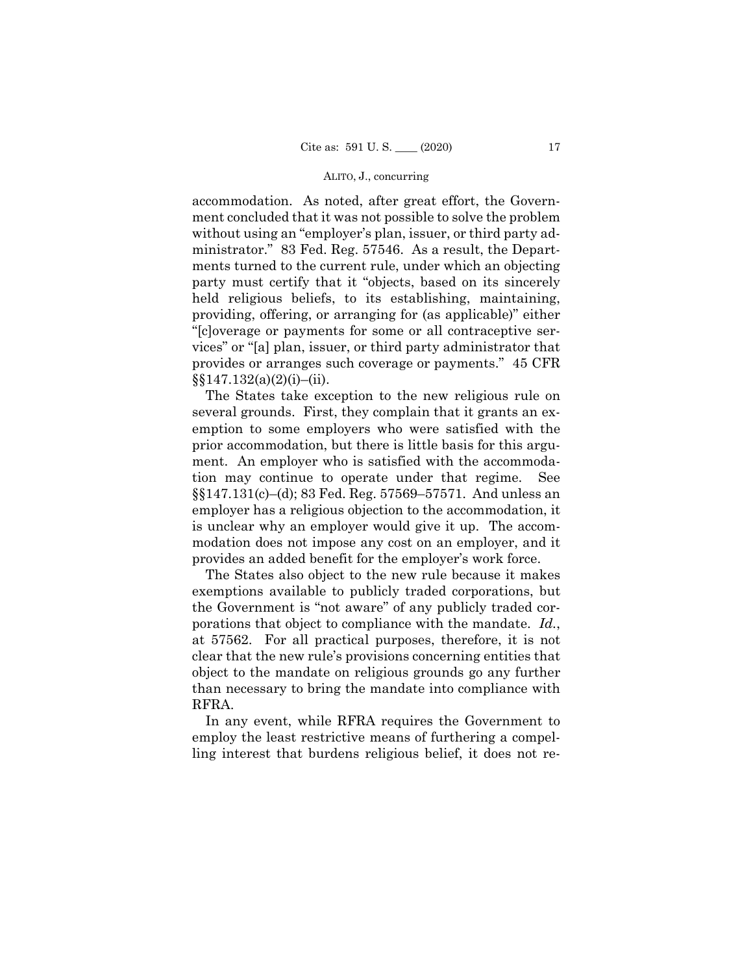### ALITO, J., concurring

accommodation. As noted, after great effort, the Government concluded that it was not possible to solve the problem without using an "employer's plan, issuer, or third party administrator." 83 Fed. Reg. 57546. As a result, the Departments turned to the current rule, under which an objecting party must certify that it "objects, based on its sincerely held religious beliefs, to its establishing, maintaining, providing, offering, or arranging for (as applicable)" either "[c]overage or payments for some or all contraceptive services" or "[a] plan, issuer, or third party administrator that provides or arranges such coverage or payments." 45 CFR  $\S$ §147.132(a)(2)(i)–(ii).

The States take exception to the new religious rule on several grounds. First, they complain that it grants an exemption to some employers who were satisfied with the prior accommodation, but there is little basis for this argument. An employer who is satisfied with the accommodation may continue to operate under that regime. See §§147.131(c)–(d); 83 Fed. Reg. 57569–57571. And unless an employer has a religious objection to the accommodation, it is unclear why an employer would give it up. The accommodation does not impose any cost on an employer, and it provides an added benefit for the employer's work force.

The States also object to the new rule because it makes exemptions available to publicly traded corporations, but the Government is "not aware" of any publicly traded corporations that object to compliance with the mandate. *Id.*, at 57562. For all practical purposes, therefore, it is not clear that the new rule's provisions concerning entities that object to the mandate on religious grounds go any further than necessary to bring the mandate into compliance with RFRA.

In any event, while RFRA requires the Government to employ the least restrictive means of furthering a compelling interest that burdens religious belief, it does not re-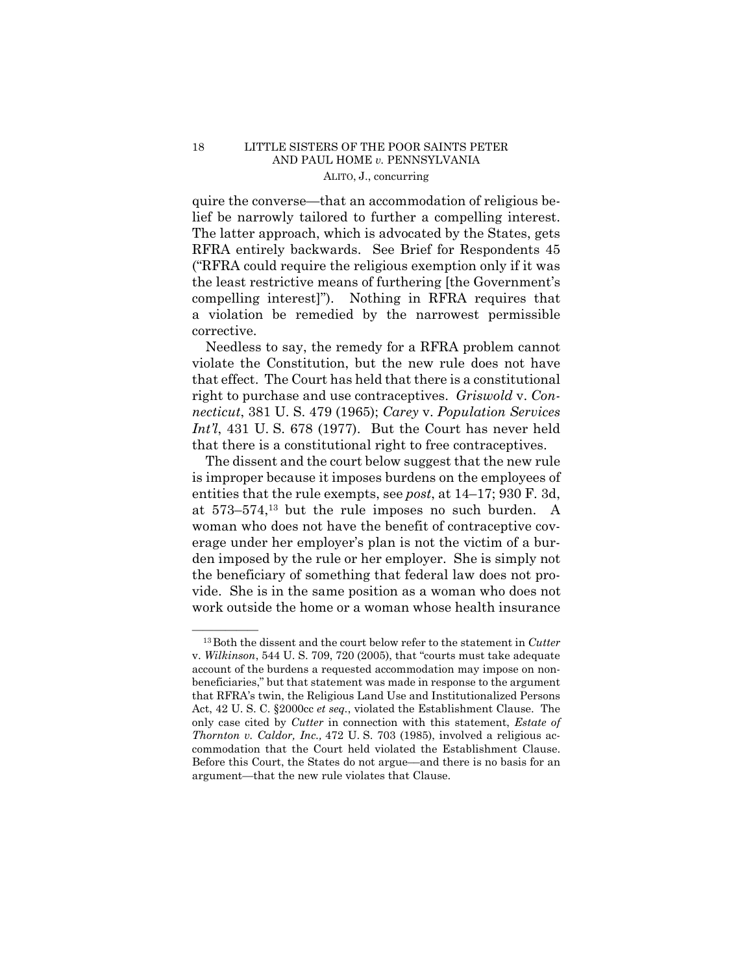## 18 LITTLE SISTERS OF THE POOR SAINTS PETER AND PAUL HOME *v.* PENNSYLVANIA ALITO, J., concurring

quire the converse—that an accommodation of religious belief be narrowly tailored to further a compelling interest. The latter approach, which is advocated by the States, gets RFRA entirely backwards. See Brief for Respondents 45 ("RFRA could require the religious exemption only if it was the least restrictive means of furthering [the Government's compelling interest]"). Nothing in RFRA requires that a violation be remedied by the narrowest permissible corrective.

 Needless to say, the remedy for a RFRA problem cannot violate the Constitution, but the new rule does not have that effect. The Court has held that there is a constitutional right to purchase and use contraceptives. *Griswold* v. *Connecticut*, 381 U. S. 479 (1965); *Carey* v. *Population Services Int'l*, 431 U. S. 678 (1977). But the Court has never held that there is a constitutional right to free contraceptives.

 The dissent and the court below suggest that the new rule is improper because it imposes burdens on the employees of entities that the rule exempts, see *post*, at 14–17; 930 F. 3d, at 573–574,13 but the rule imposes no such burden. A woman who does not have the benefit of contraceptive coverage under her employer's plan is not the victim of a burden imposed by the rule or her employer. She is simply not the beneficiary of something that federal law does not provide. She is in the same position as a woman who does not work outside the home or a woman whose health insurance

<sup>&</sup>lt;sup>13</sup> Both the dissent and the court below refer to the statement in *Cutter* v. *Wilkinson*, 544 U. S. 709, 720 (2005), that "courts must take adequate account of the burdens a requested accommodation may impose on nonbeneficiaries," but that statement was made in response to the argument that RFRA's twin, the Religious Land Use and Institutionalized Persons Act, 42 U. S. C. §2000cc *et seq.*, violated the Establishment Clause. The only case cited by *Cutter* in connection with this statement, *Estate of Thornton v. Caldor, Inc.,* 472 U. S. 703 (1985), involved a religious accommodation that the Court held violated the Establishment Clause. Before this Court, the States do not argue––and there is no basis for an argument—that the new rule violates that Clause.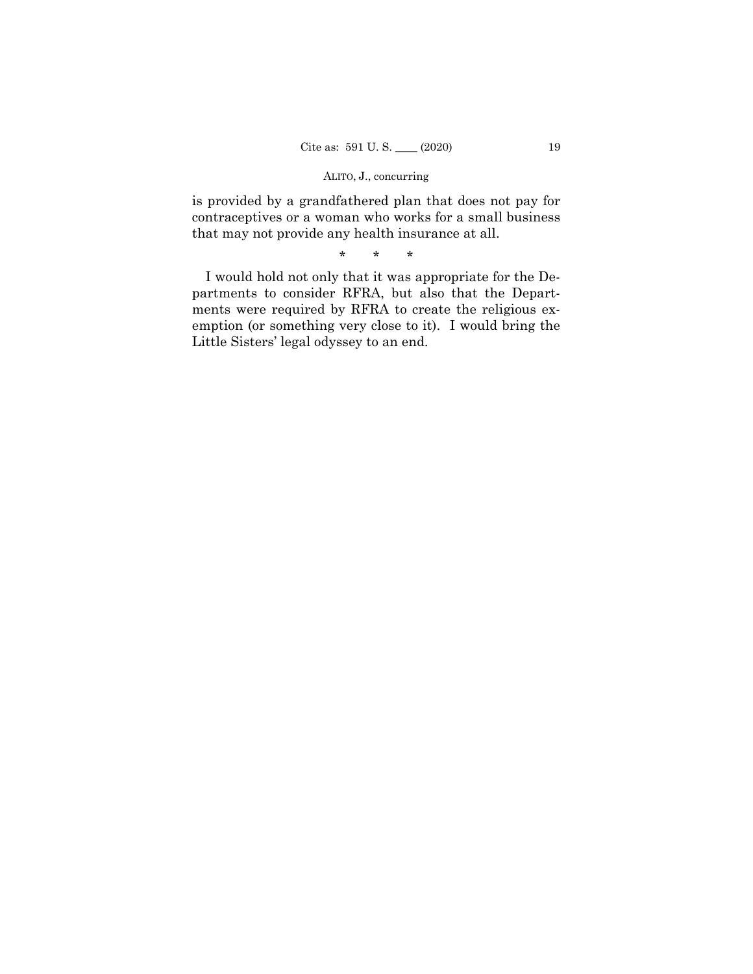# ALITO, J., concurring

is provided by a grandfathered plan that does not pay for contraceptives or a woman who works for a small business that may not provide any health insurance at all.

\* \* \*

I would hold not only that it was appropriate for the Departments to consider RFRA, but also that the Departments were required by RFRA to create the religious exemption (or something very close to it). I would bring the Little Sisters' legal odyssey to an end.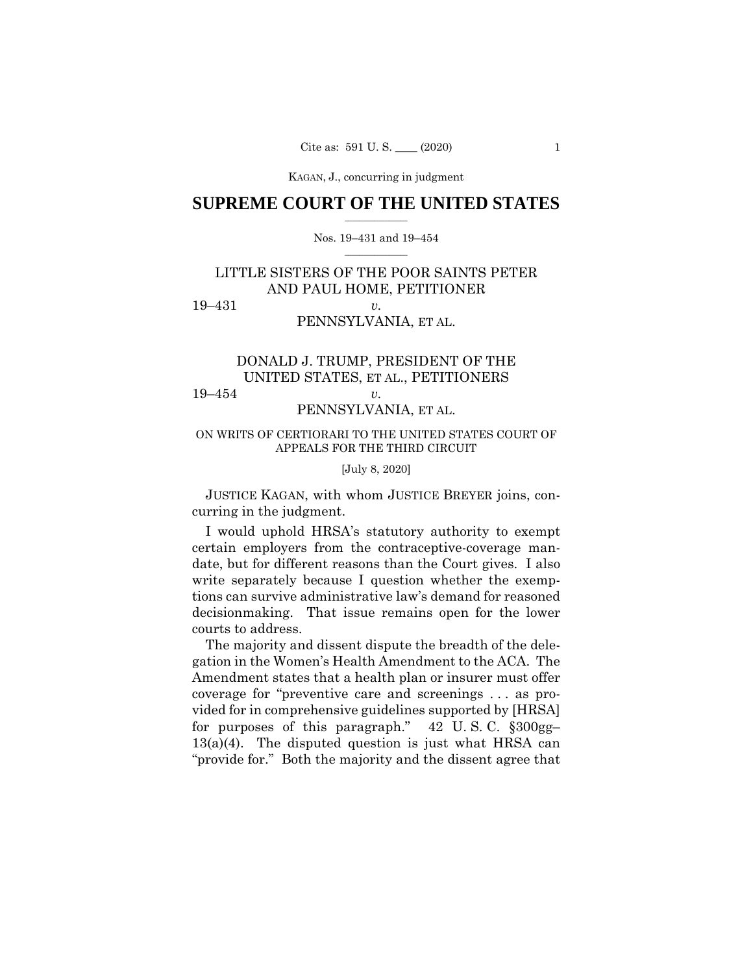KAGAN, J., concurring KAGAN, J., concurring in judgment

## $\frac{1}{2}$  ,  $\frac{1}{2}$  ,  $\frac{1}{2}$  ,  $\frac{1}{2}$  ,  $\frac{1}{2}$  ,  $\frac{1}{2}$  ,  $\frac{1}{2}$ **SUPREME COURT OF THE UNITED STATES**

## $\frac{1}{2}$  ,  $\frac{1}{2}$  ,  $\frac{1}{2}$  ,  $\frac{1}{2}$  ,  $\frac{1}{2}$  ,  $\frac{1}{2}$ Nos. 19–431 and 19–454

# LITTLE SISTERS OF THE POOR SAINTS PETER AND PAUL HOME, PETITIONER 19–431 *v.*

# PENNSYLVANIA, ET AL.

# DONALD J. TRUMP, PRESIDENT OF THE UNITED STATES, ET AL., PETITIONERS 19–454 *v.*

# PENNSYLVANIA, ET AL.

# ON WRITS OF CERTIORARI TO THE UNITED STATES COURT OF APPEALS FOR THE THIRD CIRCUIT

## [July 8, 2020]

 JUSTICE KAGAN, with whom JUSTICE BREYER joins, concurring in the judgment.

I would uphold HRSA's statutory authority to exempt certain employers from the contraceptive-coverage mandate, but for different reasons than the Court gives. I also write separately because I question whether the exemptions can survive administrative law's demand for reasoned decisionmaking. That issue remains open for the lower courts to address.

The majority and dissent dispute the breadth of the delegation in the Women's Health Amendment to the ACA. The Amendment states that a health plan or insurer must offer coverage for "preventive care and screenings . . . as provided for in comprehensive guidelines supported by [HRSA] for purposes of this paragraph." 42 U. S. C. §300gg–  $13(a)(4)$ . The disputed question is just what HRSA can "provide for." Both the majority and the dissent agree that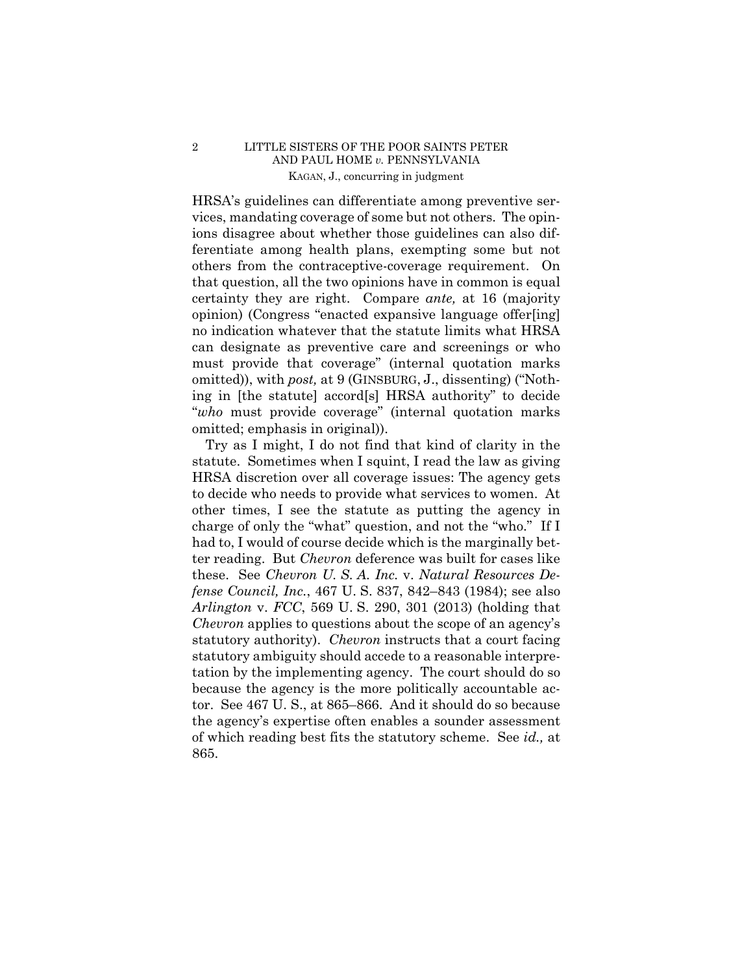# 2 LITTLE SISTERS OF THE POOR SAINTS PETER AND PAUL HOME *v.* PENNSYLVANIA KAGAN, J., concurring in judgment

HRSA's guidelines can differentiate among preventive services, mandating coverage of some but not others. The opinions disagree about whether those guidelines can also differentiate among health plans, exempting some but not others from the contraceptive-coverage requirement. On that question, all the two opinions have in common is equal certainty they are right. Compare *ante,* at 16 (majority opinion) (Congress "enacted expansive language offer[ing] no indication whatever that the statute limits what HRSA can designate as preventive care and screenings or who must provide that coverage" (internal quotation marks omitted)), with *post,* at 9 (GINSBURG, J., dissenting) ("Nothing in [the statute] accord[s] HRSA authority" to decide "*who* must provide coverage" (internal quotation marks omitted; emphasis in original)).

Try as I might, I do not find that kind of clarity in the statute. Sometimes when I squint, I read the law as giving HRSA discretion over all coverage issues: The agency gets to decide who needs to provide what services to women. At other times, I see the statute as putting the agency in charge of only the "what" question, and not the "who." If I had to, I would of course decide which is the marginally better reading. But *Chevron* deference was built for cases like these. See *Chevron U. S. A. Inc.* v. *Natural Resources Defense Council, Inc.*, 467 U. S. 837, 842–843 (1984); see also *Arlington* v. *FCC*, 569 U. S. 290, 301 (2013) (holding that *Chevron* applies to questions about the scope of an agency's statutory authority). *Chevron* instructs that a court facing statutory ambiguity should accede to a reasonable interpretation by the implementing agency. The court should do so because the agency is the more politically accountable actor. See 467 U. S., at 865–866. And it should do so because the agency's expertise often enables a sounder assessment of which reading best fits the statutory scheme. See *id.,* at 865.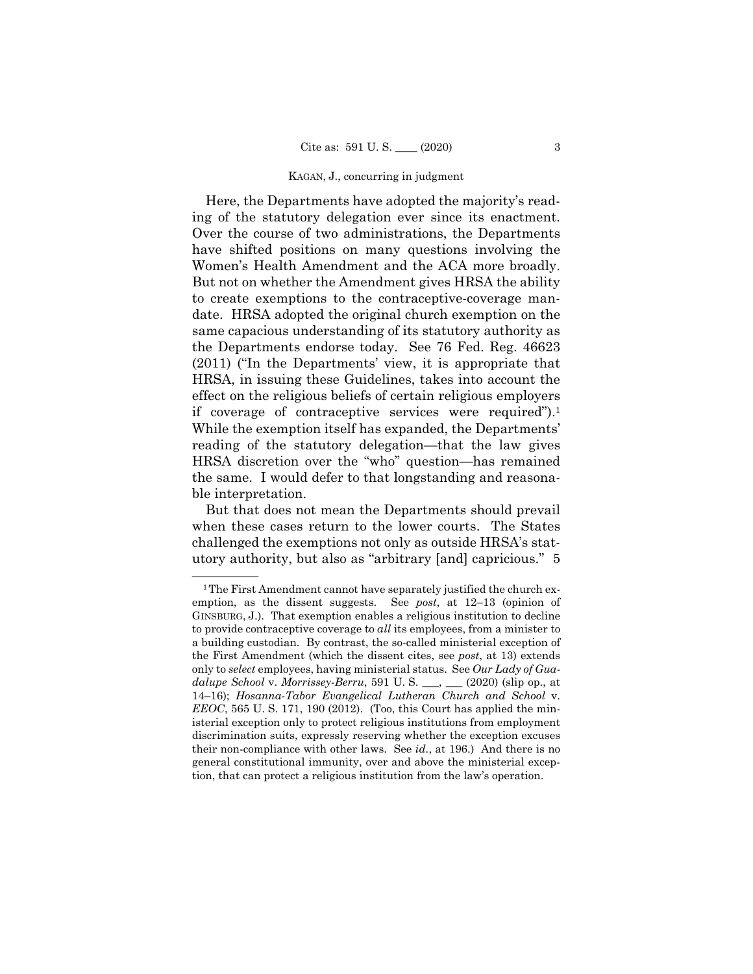### KAGAN, J., concurring in judgment

Here, the Departments have adopted the majority's reading of the statutory delegation ever since its enactment. Over the course of two administrations, the Departments have shifted positions on many questions involving the Women's Health Amendment and the ACA more broadly. But not on whether the Amendment gives HRSA the ability to create exemptions to the contraceptive-coverage mandate. HRSA adopted the original church exemption on the same capacious understanding of its statutory authority as the Departments endorse today. See 76 Fed. Reg. 46623 (2011) ("In the Departments' view, it is appropriate that HRSA, in issuing these Guidelines, takes into account the effect on the religious beliefs of certain religious employers if coverage of contraceptive services were required").1 While the exemption itself has expanded, the Departments' reading of the statutory delegation—that the law gives HRSA discretion over the "who" question—has remained the same. I would defer to that longstanding and reasonable interpretation.

But that does not mean the Departments should prevail when these cases return to the lower courts. The States challenged the exemptions not only as outside HRSA's statutory authority, but also as "arbitrary [and] capricious." 5

<sup>&</sup>lt;sup>1</sup>The First Amendment cannot have separately justified the church exemption, as the dissent suggests. See *post*, at 12–13 (opinion of GINSBURG, J.). That exemption enables a religious institution to decline to provide contraceptive coverage to *all* its employees, from a minister to a building custodian. By contrast, the so-called ministerial exception of the First Amendment (which the dissent cites, see *post*, at 13) extends only to *select* employees, having ministerial status. See *Our Lady of Guadalupe School* v. *Morrissey-Berru*, 591 U. S. \_\_\_, \_\_\_ (2020) (slip op., at 14–16); *Hosanna-Tabor Evangelical Lutheran Church and School* v. *EEOC*, 565 U. S. 171, 190 (2012). (Too, this Court has applied the ministerial exception only to protect religious institutions from employment discrimination suits, expressly reserving whether the exception excuses their non-compliance with other laws. See *id.*, at 196.) And there is no general constitutional immunity, over and above the ministerial exception, that can protect a religious institution from the law's operation.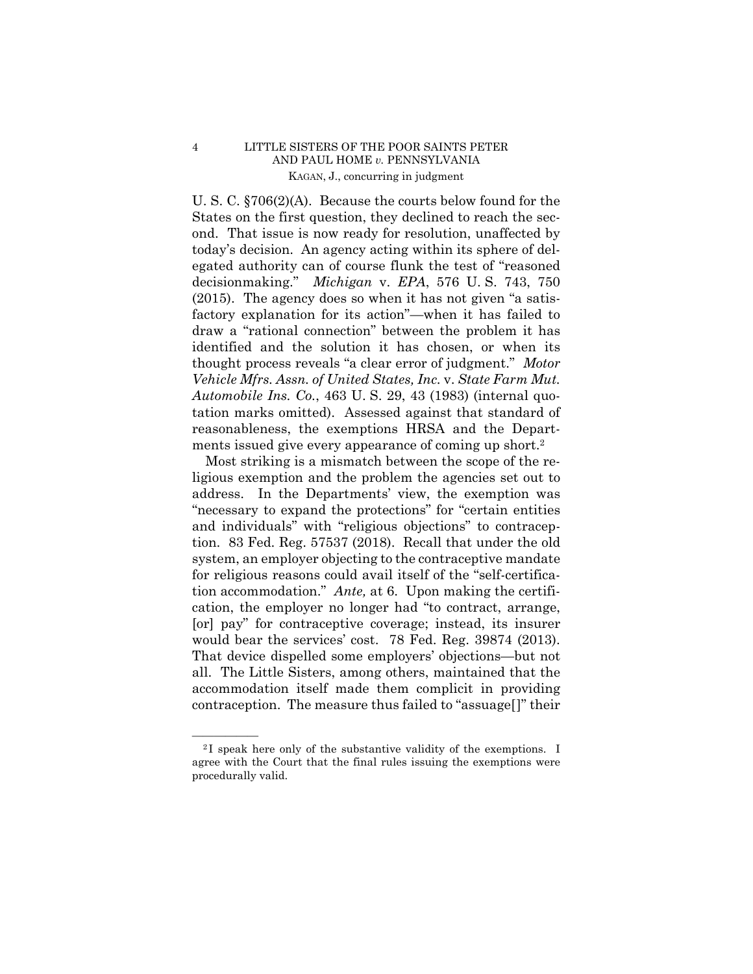# 4 LITTLE SISTERS OF THE POOR SAINTS PETER AND PAUL HOME *v.* PENNSYLVANIA KAGAN, J., concurring in judgment

U. S. C. §706(2)(A). Because the courts below found for the States on the first question, they declined to reach the second. That issue is now ready for resolution, unaffected by today's decision. An agency acting within its sphere of delegated authority can of course flunk the test of "reasoned decisionmaking." *Michigan* v. *EPA*, 576 U. S. 743, 750 (2015). The agency does so when it has not given "a satisfactory explanation for its action"—when it has failed to draw a "rational connection" between the problem it has identified and the solution it has chosen, or when its thought process reveals "a clear error of judgment." *Motor Vehicle Mfrs. Assn. of United States, Inc.* v. *State Farm Mut. Automobile Ins. Co.*, 463 U. S. 29, 43 (1983) (internal quotation marks omitted). Assessed against that standard of reasonableness, the exemptions HRSA and the Departments issued give every appearance of coming up short.2

 would bear the services' cost. 78 Fed. Reg. 39874 (2013). Most striking is a mismatch between the scope of the religious exemption and the problem the agencies set out to address. In the Departments' view, the exemption was "necessary to expand the protections" for "certain entities and individuals" with "religious objections" to contraception. 83 Fed. Reg. 57537 (2018). Recall that under the old system, an employer objecting to the contraceptive mandate for religious reasons could avail itself of the "self-certification accommodation." *Ante,* at 6. Upon making the certification, the employer no longer had "to contract, arrange, [or] pay" for contraceptive coverage; instead, its insurer That device dispelled some employers' objections—but not all. The Little Sisters, among others, maintained that the accommodation itself made them complicit in providing contraception. The measure thus failed to "assuage[]" their

 $\frac{1}{2}$  speak here only of the substantive validity of the exemptions. I agree with the Court that the final rules issuing the exemptions were procedurally valid.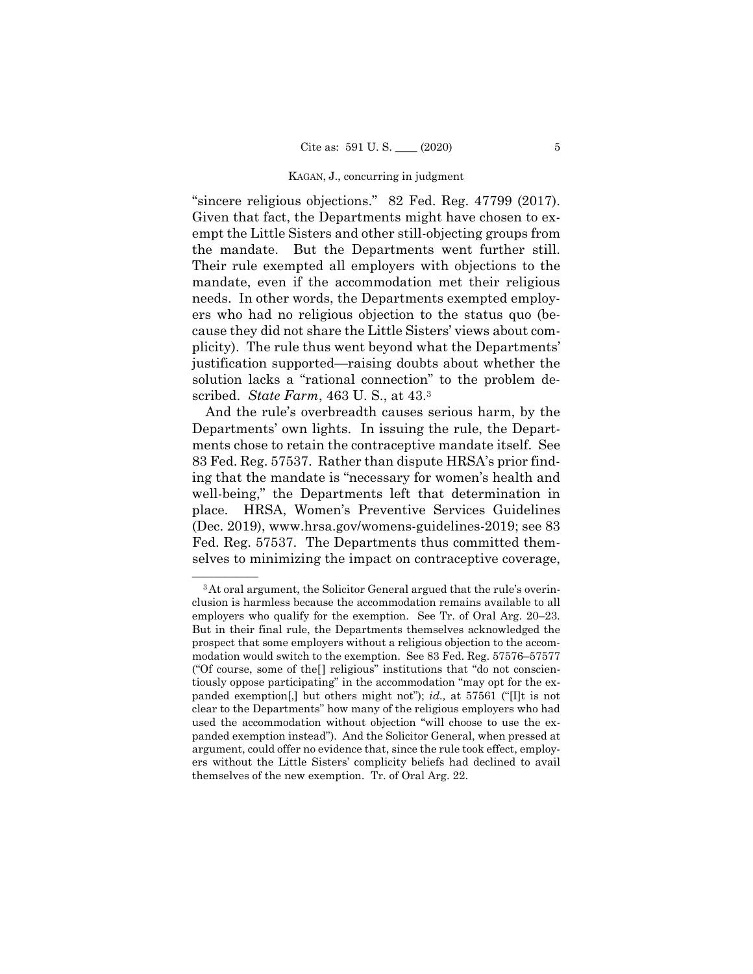### KAGAN, J., concurring in judgment

"sincere religious objections." 82 Fed. Reg. 47799 (2017). Given that fact, the Departments might have chosen to exempt the Little Sisters and other still-objecting groups from the mandate. But the Departments went further still. Their rule exempted all employers with objections to the mandate, even if the accommodation met their religious needs. In other words, the Departments exempted employers who had no religious objection to the status quo (because they did not share the Little Sisters' views about complicity). The rule thus went beyond what the Departments' justification supported—raising doubts about whether the solution lacks a "rational connection" to the problem described. *State Farm*, 463 U. S., at 43.3

And the rule's overbreadth causes serious harm, by the Departments' own lights. In issuing the rule, the Departments chose to retain the contraceptive mandate itself. See 83 Fed. Reg. 57537. Rather than dispute HRSA's prior finding that the mandate is "necessary for women's health and well-being," the Departments left that determination in place. HRSA, Women's Preventive Services Guidelines (Dec. 2019), www.hrsa.gov/womens-guidelines-2019; see 83 Fed. Reg. 57537. The Departments thus committed themselves to minimizing the impact on contraceptive coverage,

<sup>&</sup>lt;sup>3</sup>At oral argument, the Solicitor General argued that the rule's overinclusion is harmless because the accommodation remains available to all employers who qualify for the exemption. See Tr. of Oral Arg. 20–23. But in their final rule, the Departments themselves acknowledged the prospect that some employers without a religious objection to the accommodation would switch to the exemption. See 83 Fed. Reg. 57576–57577 ("Of course, some of the[] religious" institutions that "do not conscientiously oppose participating" in the accommodation "may opt for the expanded exemption[,] but others might not"); *id.,* at 57561 ("[I]t is not clear to the Departments" how many of the religious employers who had used the accommodation without objection "will choose to use the expanded exemption instead"). And the Solicitor General, when pressed at argument, could offer no evidence that, since the rule took effect, employers without the Little Sisters' complicity beliefs had declined to avail themselves of the new exemption. Tr. of Oral Arg. 22.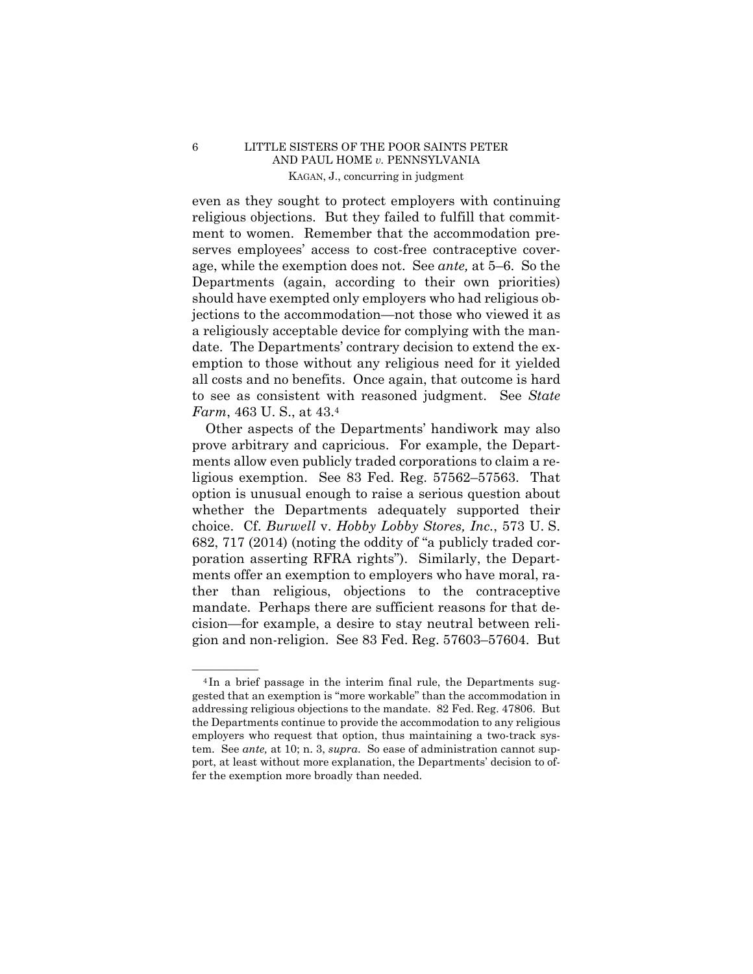# 6 LITTLE SISTERS OF THE POOR SAINTS PETER AND PAUL HOME *v.* PENNSYLVANIA KAGAN, J., concurring in judgment

even as they sought to protect employers with continuing religious objections. But they failed to fulfill that commitment to women. Remember that the accommodation preserves employees' access to cost-free contraceptive coverage, while the exemption does not. See *ante,* at 5–6. So the Departments (again, according to their own priorities) should have exempted only employers who had religious objections to the accommodation—not those who viewed it as a religiously acceptable device for complying with the mandate. The Departments' contrary decision to extend the exemption to those without any religious need for it yielded all costs and no benefits. Once again, that outcome is hard to see as consistent with reasoned judgment. See *State Farm*, 463 U. S., at 43.4

Other aspects of the Departments' handiwork may also prove arbitrary and capricious. For example, the Departments allow even publicly traded corporations to claim a religious exemption. See 83 Fed. Reg. 57562–57563. That option is unusual enough to raise a serious question about whether the Departments adequately supported their choice. Cf. *Burwell* v. *Hobby Lobby Stores, Inc.*, 573 U. S. 682, 717 (2014) (noting the oddity of "a publicly traded corporation asserting RFRA rights"). Similarly, the Departments offer an exemption to employers who have moral, rather than religious, objections to the contraceptive mandate. Perhaps there are sufficient reasons for that decision—for example, a desire to stay neutral between religion and non-religion. See 83 Fed. Reg. 57603–57604. But

 $4$ In a brief passage in the interim final rule, the Departments suggested that an exemption is "more workable" than the accommodation in addressing religious objections to the mandate. 82 Fed. Reg. 47806. But the Departments continue to provide the accommodation to any religious employers who request that option, thus maintaining a two-track system. See *ante,* at 10; n. 3, *supra*. So ease of administration cannot support, at least without more explanation, the Departments' decision to offer the exemption more broadly than needed.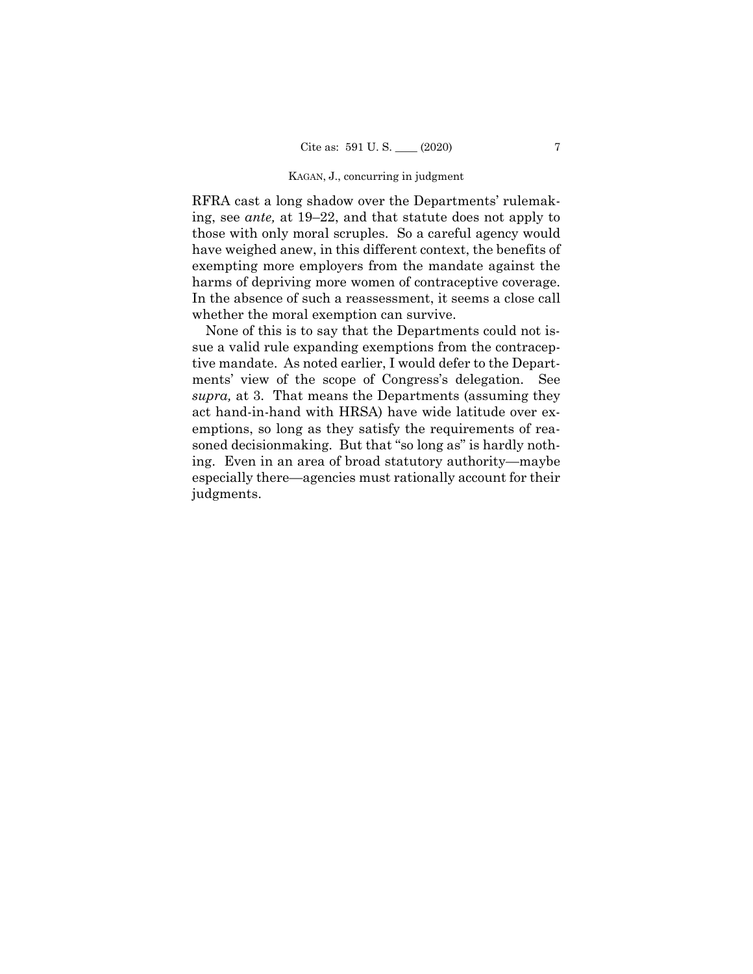### KAGAN, J., concurring in judgment

RFRA cast a long shadow over the Departments' rulemaking, see *ante,* at 19–22, and that statute does not apply to those with only moral scruples. So a careful agency would have weighed anew, in this different context, the benefits of exempting more employers from the mandate against the harms of depriving more women of contraceptive coverage. In the absence of such a reassessment, it seems a close call whether the moral exemption can survive.

None of this is to say that the Departments could not issue a valid rule expanding exemptions from the contraceptive mandate. As noted earlier, I would defer to the Departments' view of the scope of Congress's delegation. See *supra,* at 3. That means the Departments (assuming they act hand-in-hand with HRSA) have wide latitude over exemptions, so long as they satisfy the requirements of reasoned decisionmaking. But that "so long as" is hardly nothing. Even in an area of broad statutory authority—maybe especially there—agencies must rationally account for their judgments.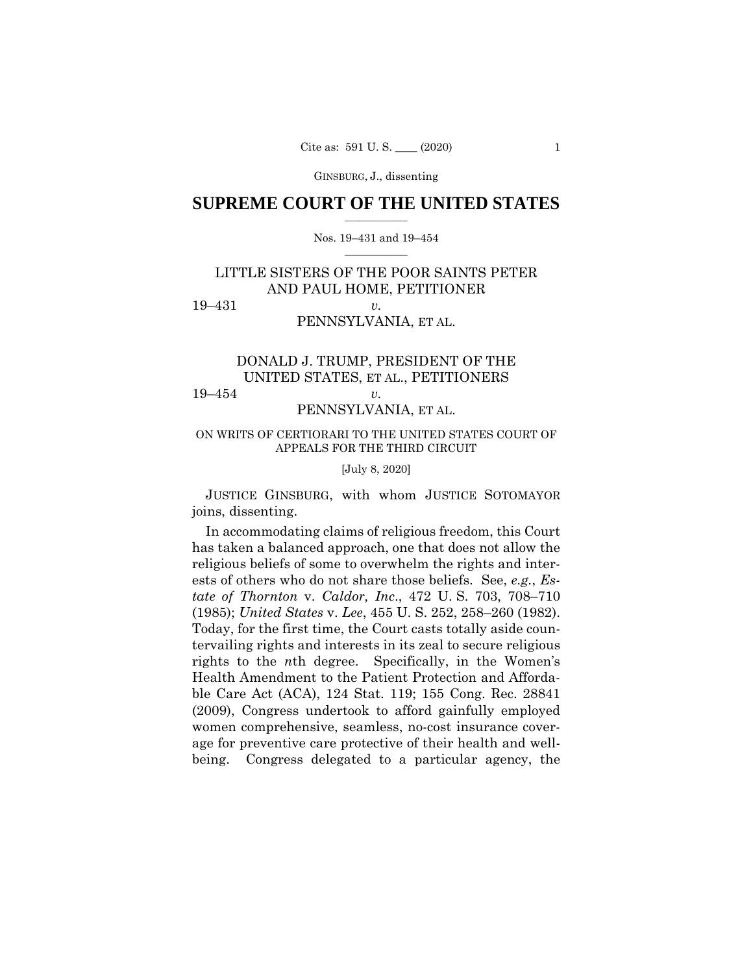GINSBURG, J., dissenting

## $\frac{1}{2}$  ,  $\frac{1}{2}$  ,  $\frac{1}{2}$  ,  $\frac{1}{2}$  ,  $\frac{1}{2}$  ,  $\frac{1}{2}$  ,  $\frac{1}{2}$ **SUPREME COURT OF THE UNITED STATES**

## $\frac{1}{2}$  ,  $\frac{1}{2}$  ,  $\frac{1}{2}$  ,  $\frac{1}{2}$  ,  $\frac{1}{2}$  ,  $\frac{1}{2}$ Nos. 19–431 and 19–454

# LITTLE SISTERS OF THE POOR SAINTS PETER AND PAUL HOME, PETITIONER 19–431 *v.*

## PENNSYLVANIA, ET AL.

# DONALD J. TRUMP, PRESIDENT OF THE UNITED STATES, ET AL., PETITIONERS 19–454 *v.*

# PENNSYLVANIA, ET AL.

## ON WRITS OF CERTIORARI TO THE UNITED STATES COURT OF APPEALS FOR THE THIRD CIRCUIT

## [July 8, 2020]

 JUSTICE GINSBURG, with whom JUSTICE SOTOMAYOR joins, dissenting.

 (1985); *United States* v. *Lee*, 455 U. S. 252, 258–260 (1982). In accommodating claims of religious freedom, this Court has taken a balanced approach, one that does not allow the religious beliefs of some to overwhelm the rights and interests of others who do not share those beliefs. See, *e.g.*, *Estate of Thornton* v. *Caldor, Inc*., 472 U. S. 703, 708–710 Today, for the first time, the Court casts totally aside countervailing rights and interests in its zeal to secure religious rights to the *n*th degree. Specifically, in the Women's Health Amendment to the Patient Protection and Affordable Care Act (ACA), 124 Stat. 119; 155 Cong. Rec. 28841 (2009), Congress undertook to afford gainfully employed women comprehensive, seamless, no-cost insurance coverage for preventive care protective of their health and wellbeing. Congress delegated to a particular agency, the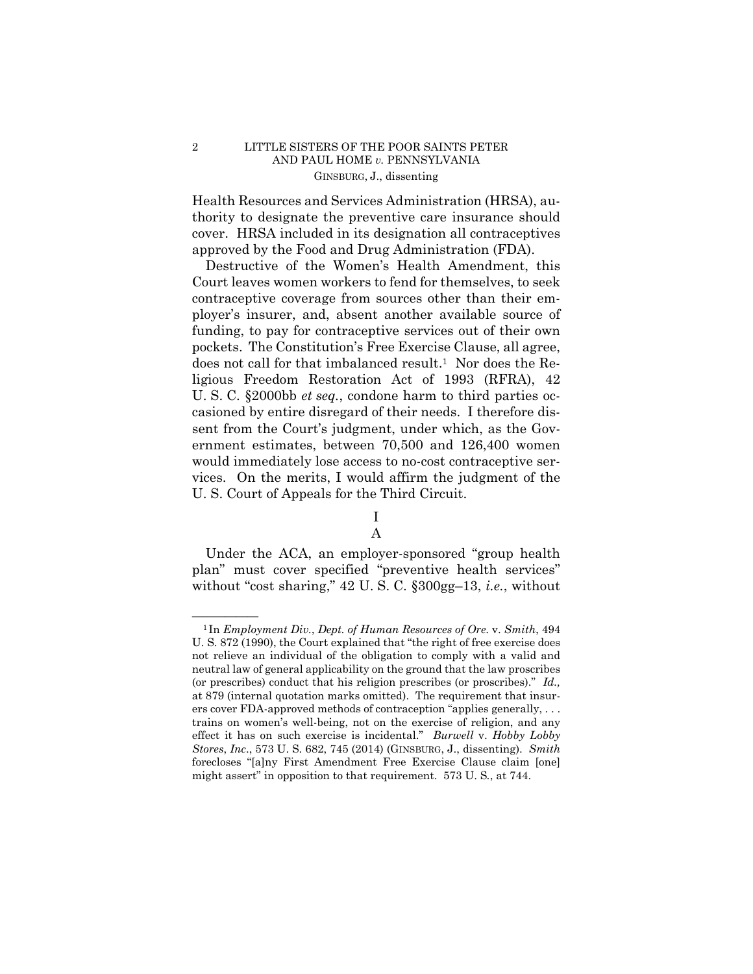Health Resources and Services Administration (HRSA), authority to designate the preventive care insurance should cover. HRSA included in its designation all contraceptives approved by the Food and Drug Administration (FDA).

Destructive of the Women's Health Amendment, this Court leaves women workers to fend for themselves, to seek contraceptive coverage from sources other than their employer's insurer, and, absent another available source of funding, to pay for contraceptive services out of their own pockets. The Constitution's Free Exercise Clause, all agree, does not call for that imbalanced result.<sup>1</sup> Nor does the Religious Freedom Restoration Act of 1993 (RFRA), 42 U. S. C. §2000bb *et seq.*, condone harm to third parties occasioned by entire disregard of their needs. I therefore dissent from the Court's judgment, under which, as the Government estimates, between 70,500 and 126,400 women would immediately lose access to no-cost contraceptive services. On the merits, I would affirm the judgment of the U. S. Court of Appeals for the Third Circuit.

# I A

Under the ACA, an employer-sponsored "group health plan" must cover specified "preventive health services" without "cost sharing," 42 U. S. C. §300gg–13, *i.e.*, without

 (or prescribes) conduct that his religion prescribes (or proscribes)." *Id.,*  effect it has on such exercise is incidental." *Burwell* v. *Hobby Lobby*  —————— 1 In *Employment Div.*, *Dept. of Human Resources of Ore*. v. *Smith*, 494 U. S. 872 (1990), the Court explained that "the right of free exercise does not relieve an individual of the obligation to comply with a valid and neutral law of general applicability on the ground that the law proscribes at 879 (internal quotation marks omitted). The requirement that insurers cover FDA-approved methods of contraception "applies generally, . . . trains on women's well-being, not on the exercise of religion, and any *Stores*, *Inc*., 573 U. S. 682, 745 (2014) (GINSBURG, J., dissenting). *Smith*  forecloses "[a]ny First Amendment Free Exercise Clause claim [one] might assert" in opposition to that requirement. 573 U. S*.*, at 744.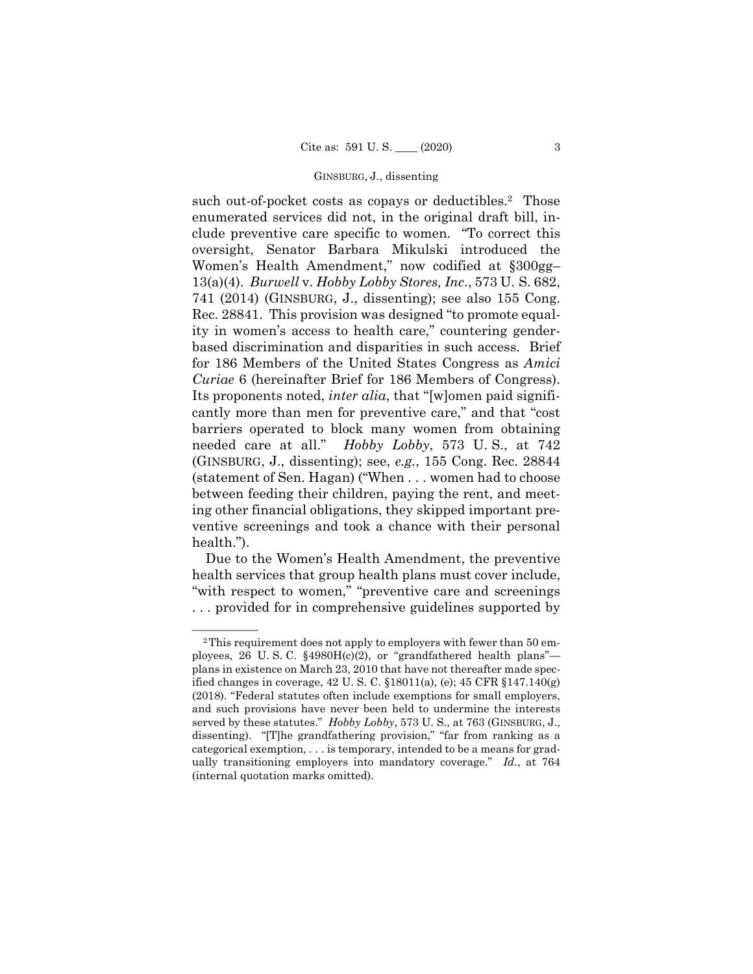## GINSBURG, J., dissenting

 *Curiae* 6 (hereinafter Brief for 186 Members of Congress). such out-of-pocket costs as copays or deductibles.<sup>2</sup> Those enumerated services did not, in the original draft bill, include preventive care specific to women. "To correct this oversight, Senator Barbara Mikulski introduced the Women's Health Amendment," now codified at §300gg– 13(a)(4). *Burwell* v. *Hobby Lobby Stores, Inc*., 573 U. S. 682, 741 (2014) (GINSBURG, J., dissenting); see also 155 Cong. Rec. 28841. This provision was designed "to promote equality in women's access to health care," countering genderbased discrimination and disparities in such access. Brief for 186 Members of the United States Congress as *Amici*  Its proponents noted, *inter alia*, that "[w]omen paid significantly more than men for preventive care," and that "cost barriers operated to block many women from obtaining needed care at all." *Hobby Lobby*, 573 U. S., at 742 (GINSBURG, J., dissenting); see, *e.g.*, 155 Cong. Rec. 28844 (statement of Sen. Hagan) ("When . . . women had to choose between feeding their children, paying the rent, and meeting other financial obligations, they skipped important preventive screenings and took a chance with their personal health.").

Due to the Women's Health Amendment, the preventive health services that group health plans must cover include, "with respect to women," "preventive care and screenings . . . provided for in comprehensive guidelines supported by

<sup>&</sup>lt;sup>2</sup>This requirement does not apply to employers with fewer than 50 employees, 26 U. S. C. §4980H(c)(2), or "grandfathered health plans" plans in existence on March 23, 2010 that have not thereafter made specified changes in coverage, 42 U. S. C. §18011(a), (e); 45 CFR §147.140(g) (2018). "Federal statutes often include exemptions for small employers, and such provisions have never been held to undermine the interests served by these statutes." *Hobby Lobby*, 573 U. S., at 763 (GINSBURG, J., dissenting). "[T]he grandfathering provision," "far from ranking as a categorical exemption, . . . is temporary, intended to be a means for gradually transitioning employers into mandatory coverage." *Id.*, at 764 (internal quotation marks omitted).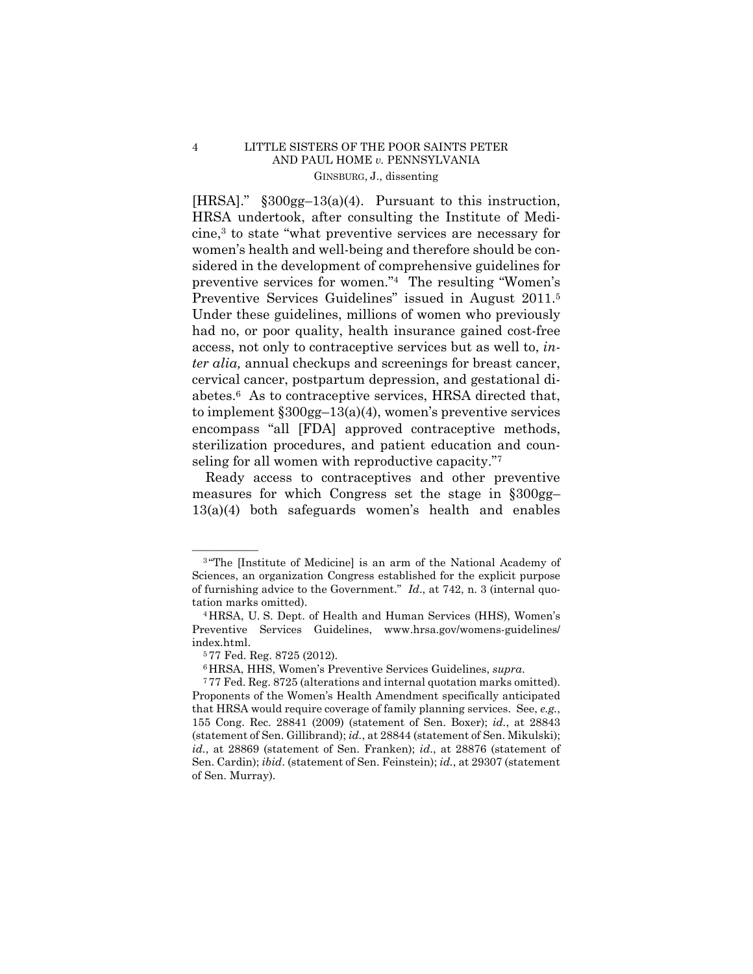preventive services for women."4 The resulting "Women's Preventive Services Guidelines" issued in August 2011.5 [HRSA]." §300gg–13(a)(4). Pursuant to this instruction, HRSA undertook, after consulting the Institute of Medicine,3 to state "what preventive services are necessary for women's health and well-being and therefore should be considered in the development of comprehensive guidelines for Under these guidelines, millions of women who previously had no, or poor quality, health insurance gained cost-free access, not only to contraceptive services but as well to, *inter alia,* annual checkups and screenings for breast cancer, cervical cancer, postpartum depression, and gestational diabetes.6 As to contraceptive services, HRSA directed that, to implement  $\S 300gg-13(a)(4)$ , women's preventive services encompass "all [FDA] approved contraceptive methods, sterilization procedures, and patient education and counseling for all women with reproductive capacity."<sup>7</sup>

Ready access to contraceptives and other preventive measures for which Congress set the stage in §300gg– 13(a)(4) both safeguards women's health and enables

<sup>&</sup>lt;sup>3</sup> "The [Institute of Medicine] is an arm of the National Academy of Sciences, an organization Congress established for the explicit purpose of furnishing advice to the Government." *Id*., at 742, n. 3 (internal quotation marks omitted).

<sup>4</sup>HRSA, U. S. Dept. of Health and Human Services (HHS), Women's Preventive Services Guidelines, www.hrsa.gov/womens-guidelines/ index.html. 5 77 Fed. Reg. 8725 (2012).

 (statement of Sen. Gillibrand); *id.*, at 28844 (statement of Sen. Mikulski); 6HRSA, HHS, Women's Preventive Services Guidelines, *supra*. 7 77 Fed. Reg. 8725 (alterations and internal quotation marks omitted). Proponents of the Women's Health Amendment specifically anticipated that HRSA would require coverage of family planning services. See, *e.g.*, 155 Cong. Rec. 28841 (2009) (statement of Sen. Boxer); *id.*, at 28843 *id.*, at 28869 (statement of Sen. Franken); *id*., at 28876 (statement of Sen. Cardin); *ibid*. (statement of Sen. Feinstein); *id.*, at 29307 (statement of Sen. Murray).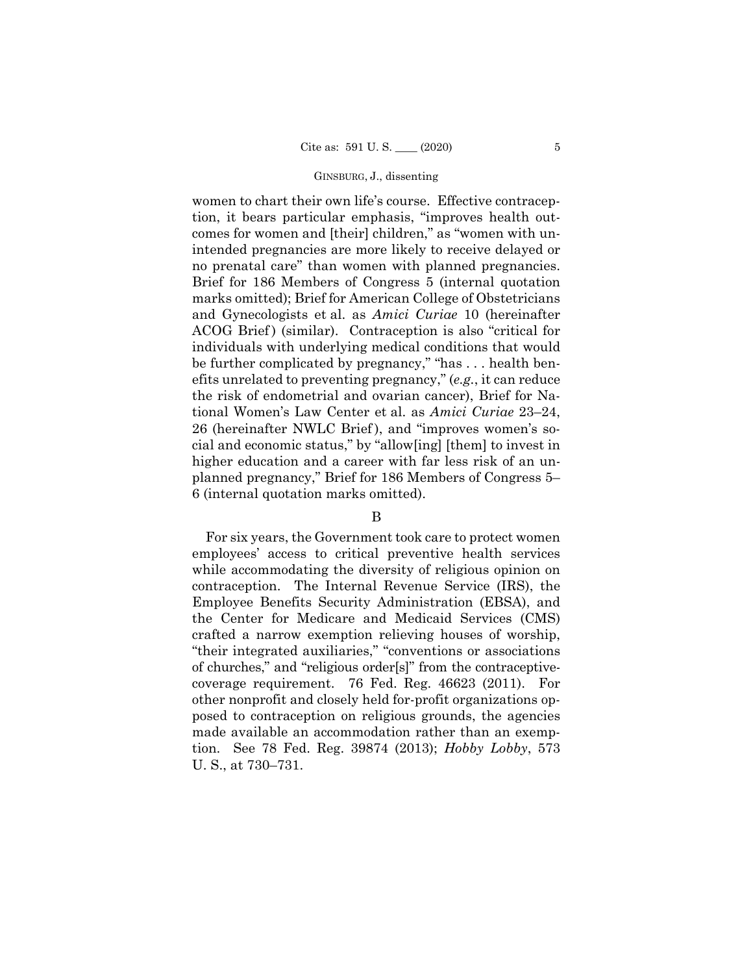### GINSBURG, J., dissenting

women to chart their own life's course. Effective contraception, it bears particular emphasis, "improves health outcomes for women and [their] children," as "women with unintended pregnancies are more likely to receive delayed or no prenatal care" than women with planned pregnancies. Brief for 186 Members of Congress 5 (internal quotation marks omitted); Brief for American College of Obstetricians and Gynecologists et al. as *Amici Curiae* 10 (hereinafter ACOG Brief) (similar). Contraception is also "critical for individuals with underlying medical conditions that would be further complicated by pregnancy," "has . . . health benefits unrelated to preventing pregnancy," (*e.g.*, it can reduce the risk of endometrial and ovarian cancer), Brief for National Women's Law Center et al. as *Amici Curiae* 23–24, 26 (hereinafter NWLC Brief ), and "improves women's social and economic status," by "allow[ing] [them] to invest in higher education and a career with far less risk of an unplanned pregnancy," Brief for 186 Members of Congress 5– 6 (internal quotation marks omitted).

## B

For six years, the Government took care to protect women employees' access to critical preventive health services while accommodating the diversity of religious opinion on contraception. The Internal Revenue Service (IRS), the Employee Benefits Security Administration (EBSA), and the Center for Medicare and Medicaid Services (CMS) crafted a narrow exemption relieving houses of worship, "their integrated auxiliaries," "conventions or associations of churches," and "religious order[s]" from the contraceptivecoverage requirement. 76 Fed. Reg. 46623 (2011). For other nonprofit and closely held for-profit organizations opposed to contraception on religious grounds, the agencies made available an accommodation rather than an exemption. See 78 Fed. Reg. 39874 (2013); *Hobby Lobby*, 573 U. S., at 730–731.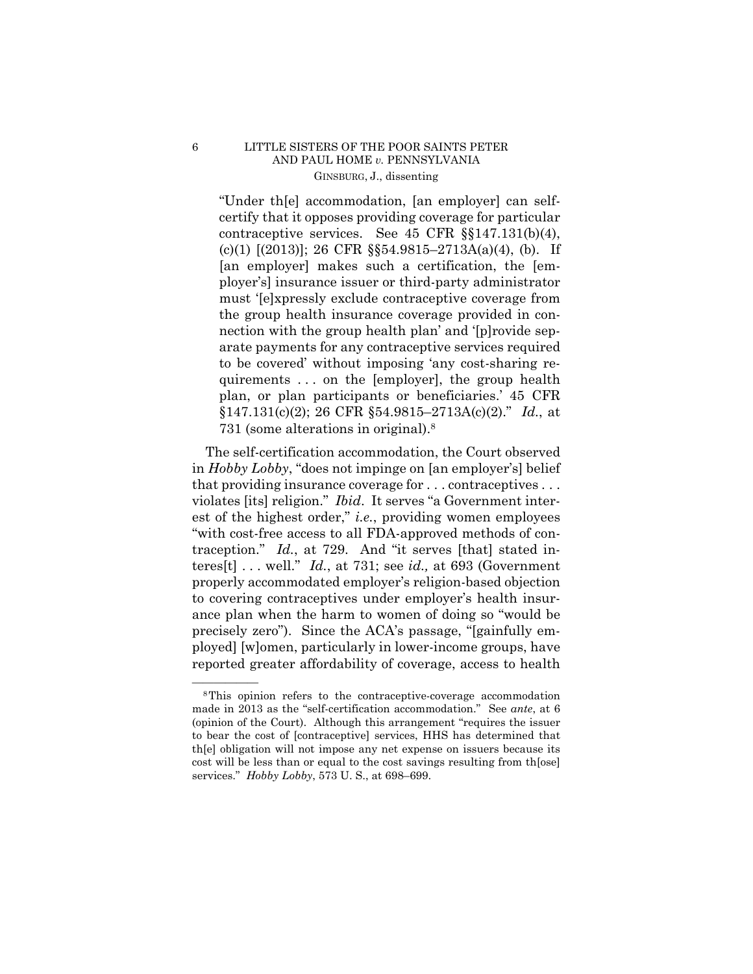"Under th[e] accommodation, [an employer] can selfcertify that it opposes providing coverage for particular contraceptive services. See 45 CFR §§147.131(b)(4), (c)(1) [(2013)]; 26 CFR §§54.9815–2713A(a)(4), (b). If [an employer] makes such a certification, the [employer's] insurance issuer or third-party administrator must '[e]xpressly exclude contraceptive coverage from the group health insurance coverage provided in connection with the group health plan' and '[p]rovide separate payments for any contraceptive services required to be covered' without imposing 'any cost-sharing requirements . . . on the [employer], the group health plan, or plan participants or beneficiaries.' 45 CFR §147.131(c)(2); 26 CFR §54.9815–2713A(c)(2)." *Id.*, at 731 (some alterations in original).8

 traception." *Id.*, at 729. And "it serves [that] stated in-The self-certification accommodation, the Court observed in *Hobby Lobby*, "does not impinge on [an employer's] belief that providing insurance coverage for . . . contraceptives . . . violates [its] religion." *Ibid*. It serves "a Government interest of the highest order," *i.e.*, providing women employees "with cost-free access to all FDA-approved methods of conteres[t] . . . well." *Id.*, at 731; see *id.,* at 693 (Government properly accommodated employer's religion-based objection to covering contraceptives under employer's health insurance plan when the harm to women of doing so "would be precisely zero"). Since the ACA's passage, "[gainfully employed] [w]omen, particularly in lower-income groups, have reported greater affordability of coverage, access to health

<sup>&</sup>lt;sup>8</sup>This opinion refers to the contraceptive-coverage accommodation made in 2013 as the "self-certification accommodation." See *ante*, at 6 (opinion of the Court). Although this arrangement "requires the issuer to bear the cost of [contraceptive] services, HHS has determined that th[e] obligation will not impose any net expense on issuers because its cost will be less than or equal to the cost savings resulting from th[ose] services." *Hobby Lobby*, 573 U. S., at 698–699.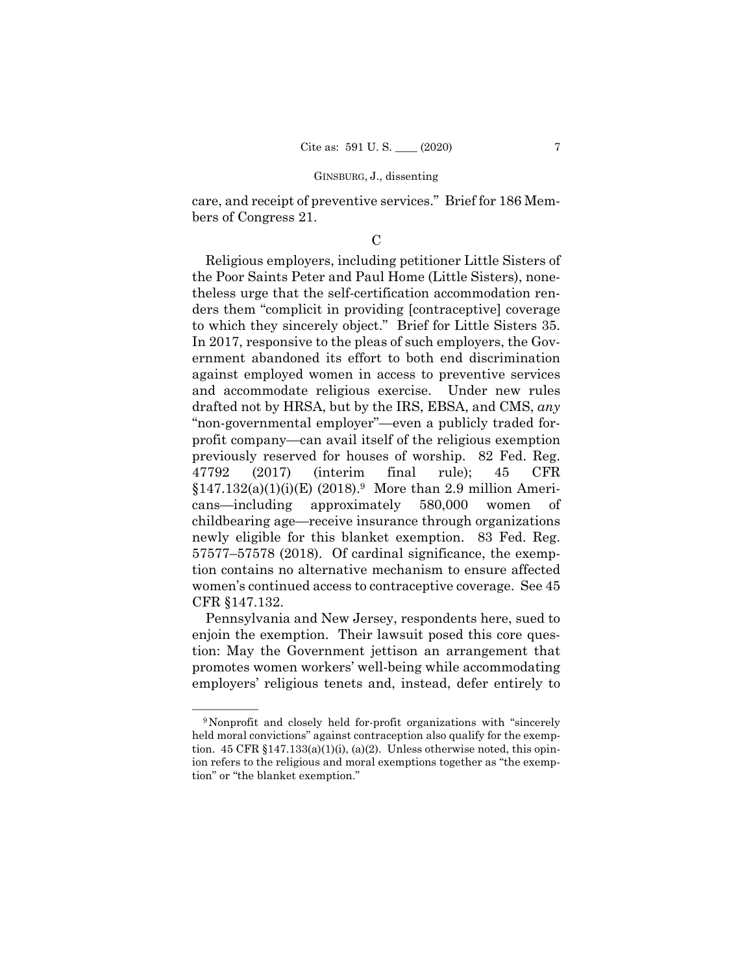care, and receipt of preventive services." Brief for 186 Members of Congress 21.

## $\overline{C}$

Religious employers, including petitioner Little Sisters of the Poor Saints Peter and Paul Home (Little Sisters), nonetheless urge that the self-certification accommodation renders them "complicit in providing [contraceptive] coverage to which they sincerely object." Brief for Little Sisters 35. In 2017, responsive to the pleas of such employers, the Government abandoned its effort to both end discrimination against employed women in access to preventive services and accommodate religious exercise. Under new rules drafted not by HRSA, but by the IRS, EBSA, and CMS, *any*  "non-governmental employer"—even a publicly traded forprofit company—can avail itself of the religious exemption previously reserved for houses of worship. 82 Fed. Reg. 47792 (2017) (interim final rule); 45 CFR  $$147.132(a)(1)(i)(E) (2018).$ <sup>9</sup> More than 2.9 million Americans—including approximately 580,000 women of childbearing age—receive insurance through organizations newly eligible for this blanket exemption. 83 Fed. Reg. 57577–57578 (2018). Of cardinal significance, the exemption contains no alternative mechanism to ensure affected women's continued access to contraceptive coverage. See 45 CFR §147.132.

Pennsylvania and New Jersey, respondents here, sued to enjoin the exemption. Their lawsuit posed this core question: May the Government jettison an arrangement that promotes women workers' well-being while accommodating employers' religious tenets and, instead, defer entirely to

<sup>&</sup>lt;sup>9</sup>Nonprofit and closely held for-profit organizations with "sincerely held moral convictions" against contraception also qualify for the exemption.  $45 \text{ CFR } \S 147.133(a)(1)(i)$ ,  $(a)(2)$ . Unless otherwise noted, this opinion refers to the religious and moral exemptions together as "the exemption" or "the blanket exemption."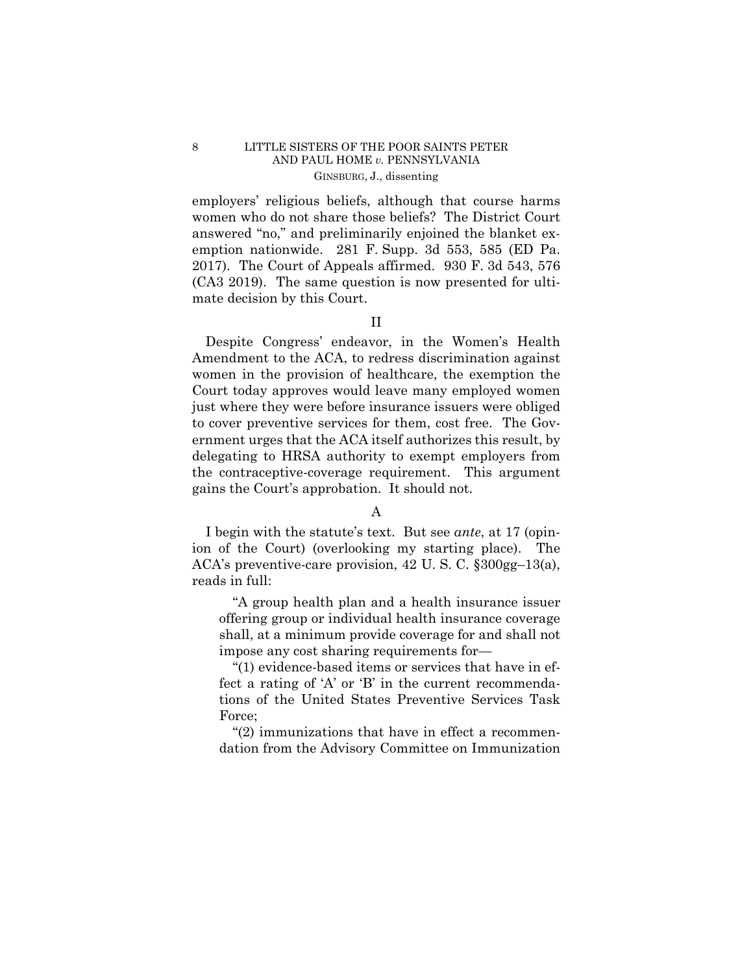employers' religious beliefs, although that course harms women who do not share those beliefs? The District Court answered "no," and preliminarily enjoined the blanket exemption nationwide. 281 F. Supp. 3d 553, 585 (ED Pa. 2017). The Court of Appeals affirmed. 930 F. 3d 543, 576 (CA3 2019). The same question is now presented for ultimate decision by this Court.

# II

Despite Congress' endeavor, in the Women's Health Amendment to the ACA, to redress discrimination against women in the provision of healthcare, the exemption the Court today approves would leave many employed women just where they were before insurance issuers were obliged to cover preventive services for them, cost free. The Government urges that the ACA itself authorizes this result, by delegating to HRSA authority to exempt employers from the contraceptive-coverage requirement. This argument gains the Court's approbation. It should not.

# A

ion of the Court) (overlooking my starting place). The I begin with the statute's text. But see *ante*, at 17 (opin-ACA's preventive-care provision, 42 U. S. C. §300gg–13(a), reads in full:

"A group health plan and a health insurance issuer offering group or individual health insurance coverage shall, at a minimum provide coverage for and shall not impose any cost sharing requirements for—

"(1) evidence-based items or services that have in effect a rating of 'A' or 'B' in the current recommendations of the United States Preventive Services Task Force;

"(2) immunizations that have in effect a recommendation from the Advisory Committee on Immunization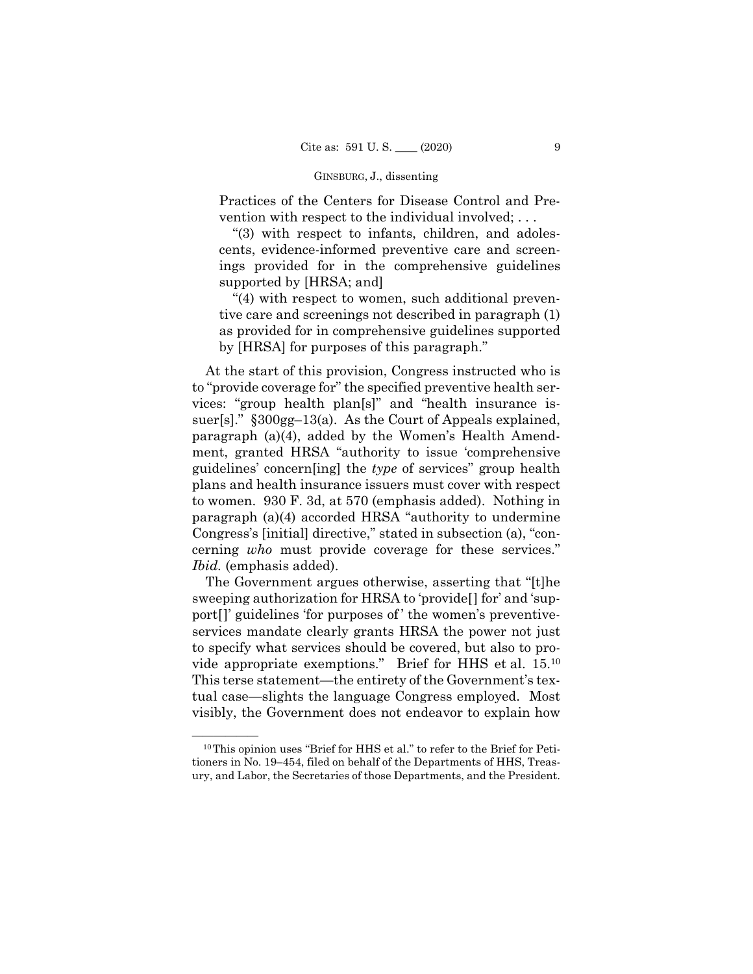### GINSBURG, J., dissenting

Practices of the Centers for Disease Control and Prevention with respect to the individual involved; . . .

"(3) with respect to infants, children, and adolescents, evidence-informed preventive care and screenings provided for in the comprehensive guidelines supported by [HRSA; and]

"(4) with respect to women, such additional preventive care and screenings not described in paragraph (1) as provided for in comprehensive guidelines supported by [HRSA] for purposes of this paragraph."

At the start of this provision, Congress instructed who is to "provide coverage for" the specified preventive health services: "group health plan[s]" and "health insurance issuer[s]." §300gg-13(a). As the Court of Appeals explained, paragraph (a)(4), added by the Women's Health Amendment, granted HRSA "authority to issue 'comprehensive guidelines' concern[ing] the *type* of services" group health plans and health insurance issuers must cover with respect to women. 930 F. 3d, at 570 (emphasis added). Nothing in paragraph (a)(4) accorded HRSA "authority to undermine Congress's [initial] directive," stated in subsection (a), "concerning *who* must provide coverage for these services." *Ibid.* (emphasis added).

 vide appropriate exemptions." Brief for HHS et al. 15.10 The Government argues otherwise, asserting that "[t]he sweeping authorization for HRSA to 'provide[] for' and 'support[]' guidelines 'for purposes of ' the women's preventiveservices mandate clearly grants HRSA the power not just to specify what services should be covered, but also to pro-This terse statement—the entirety of the Government's textual case—slights the language Congress employed. Most visibly, the Government does not endeavor to explain how

 $10$ This opinion uses "Brief for HHS et al." to refer to the Brief for Petitioners in No. 19–454, filed on behalf of the Departments of HHS, Treasury, and Labor, the Secretaries of those Departments, and the President.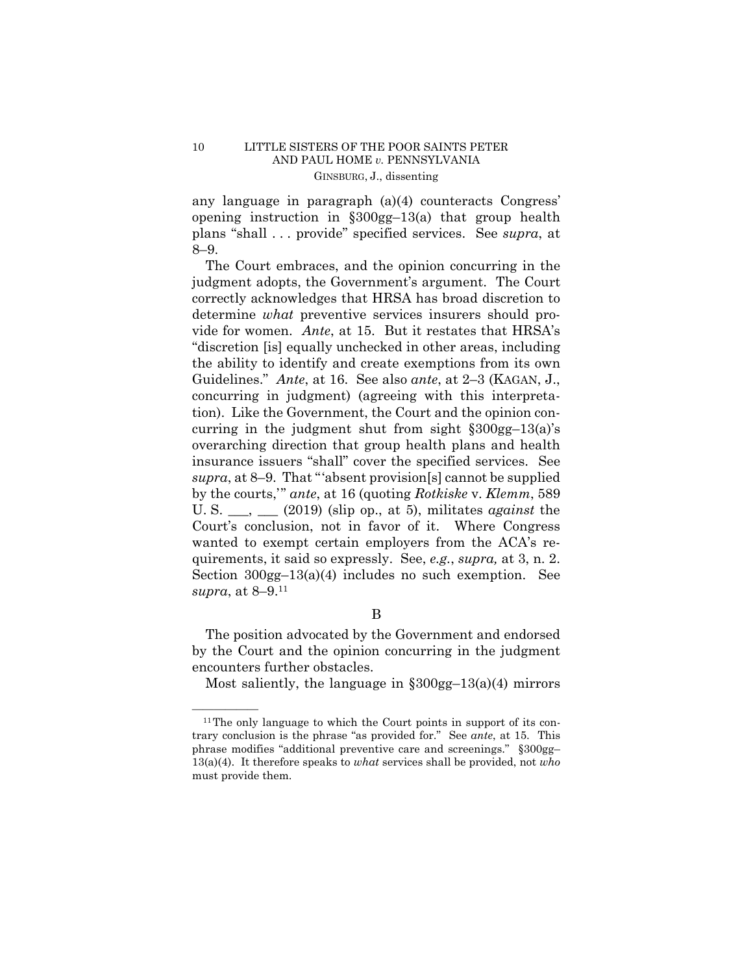any language in paragraph (a)(4) counteracts Congress' opening instruction in §300gg–13(a) that group health plans "shall . . . provide" specified services. See *supra*, at 8–9.

vide for women. *Ante*, at 15. But it restates that HRSA's Guidelines." *Ante*, at 16. See also *ante*, at 2–3 (KAGAN, J., quirements, it said so expressly. See, *e.g.*, *supra,* at 3, n. 2. Section 300gg–13(a)(4) includes no such exemption. See The Court embraces, and the opinion concurring in the judgment adopts, the Government's argument. The Court correctly acknowledges that HRSA has broad discretion to determine *what* preventive services insurers should pro-"discretion [is] equally unchecked in other areas, including the ability to identify and create exemptions from its own concurring in judgment) (agreeing with this interpretation). Like the Government, the Court and the opinion concurring in the judgment shut from sight  $\S 300gg-13(a)$ 's overarching direction that group health plans and health insurance issuers "shall" cover the specified services. See *supra*, at 8–9. That "'absent provision[s] cannot be supplied by the courts,'" *ante*, at 16 (quoting *Rotkiske* v. *Klemm*, 589 U. S. \_\_\_, \_\_\_ (2019) (slip op., at 5), militates *against* the Court's conclusion, not in favor of it. Where Congress wanted to exempt certain employers from the ACA's re*supra*, at 8–9.11

B

The position advocated by the Government and endorsed by the Court and the opinion concurring in the judgment encounters further obstacles.

Most saliently, the language in  $\S 300$ gg-13(a)(4) mirrors

 $11$ <sup>The only language to which the Court points in support of its con-</sup> trary conclusion is the phrase "as provided for." See *ante*, at 15. This phrase modifies "additional preventive care and screenings." §300gg– 13(a)(4). It therefore speaks to *what* services shall be provided, not *who*  must provide them.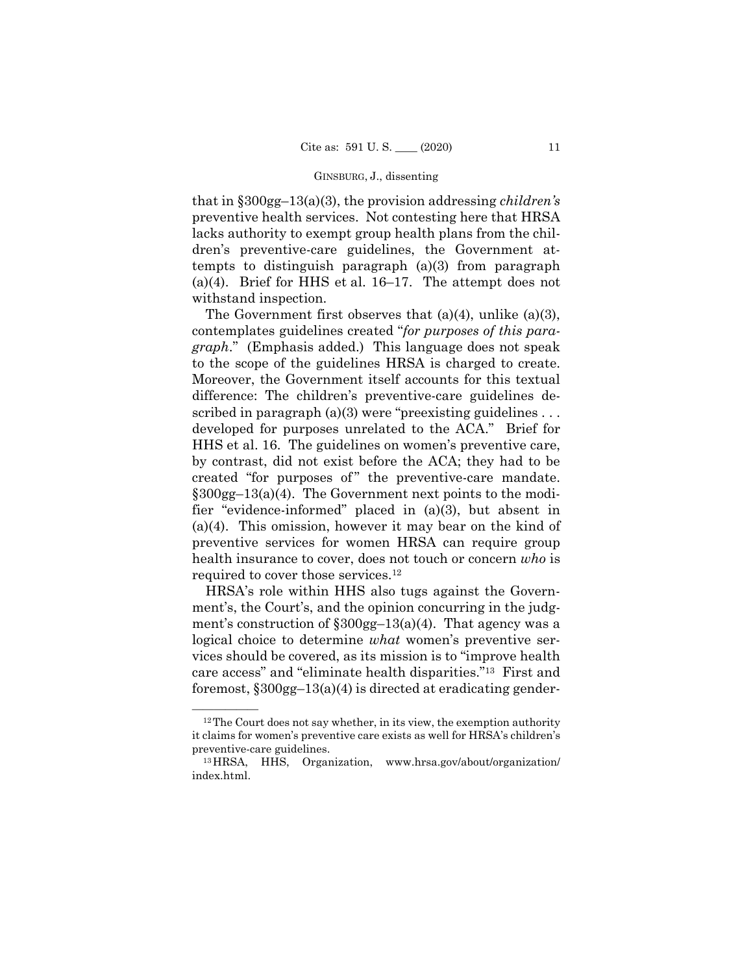### GINSBURG, J., dissenting

that in §300gg–13(a)(3), the provision addressing *children's*  preventive health services. Not contesting here that HRSA lacks authority to exempt group health plans from the children's preventive-care guidelines, the Government attempts to distinguish paragraph (a)(3) from paragraph (a)(4). Brief for HHS et al. 16–17. The attempt does not withstand inspection.

The Government first observes that  $(a)(4)$ , unlike  $(a)(3)$ , contemplates guidelines created "*for purposes of this paragraph*." (Emphasis added.) This language does not speak to the scope of the guidelines HRSA is charged to create. Moreover, the Government itself accounts for this textual difference: The children's preventive-care guidelines described in paragraph  $(a)(3)$  were "preexisting guidelines ... developed for purposes unrelated to the ACA." Brief for HHS et al. 16. The guidelines on women's preventive care, by contrast, did not exist before the ACA; they had to be created "for purposes of" the preventive-care mandate. §300gg–13(a)(4). The Government next points to the modifier "evidence-informed" placed in (a)(3), but absent in (a)(4). This omission, however it may bear on the kind of preventive services for women HRSA can require group health insurance to cover, does not touch or concern *who* is required to cover those services.12

HRSA's role within HHS also tugs against the Government's, the Court's, and the opinion concurring in the judgment's construction of  $\frac{\$300gg-13(a)(4)}{300q}$ . That agency was a logical choice to determine *what* women's preventive services should be covered, as its mission is to "improve health care access" and "eliminate health disparities."13 First and foremost, §300gg–13(a)(4) is directed at eradicating gender-

 $12$ The Court does not say whether, in its view, the exemption authority it claims for women's preventive care exists as well for HRSA's children's preventive-care guidelines.<br><sup>13</sup>HRSA, HHS, Organization, www.hrsa.gov/about/organization/

index.html.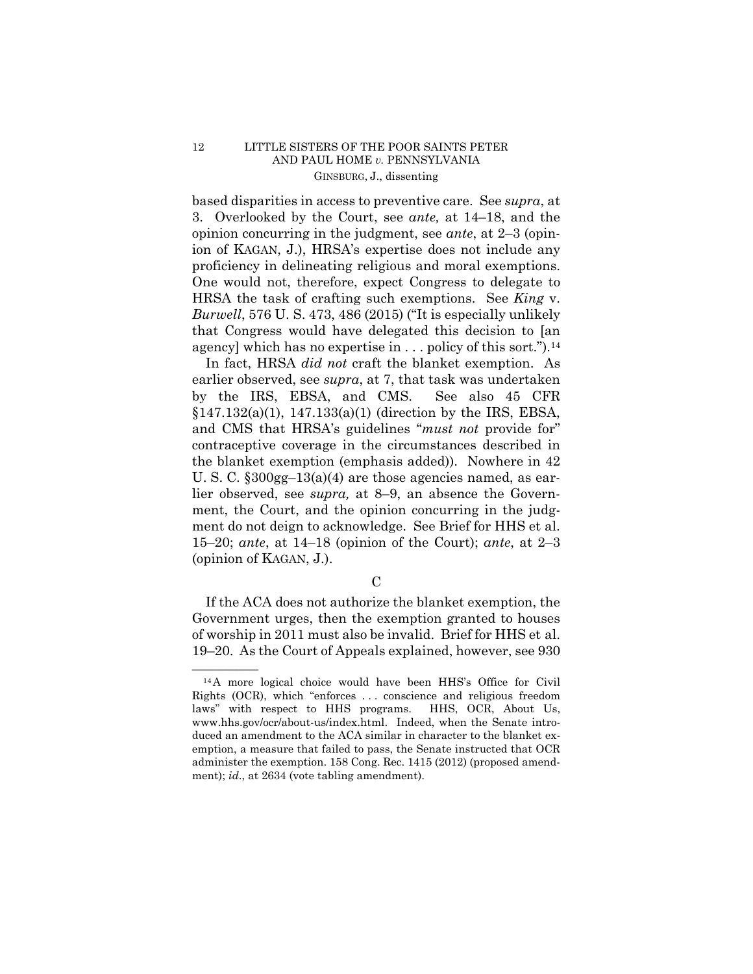based disparities in access to preventive care. See *supra*, at 3. Overlooked by the Court, see *ante,* at 14–18, and the opinion concurring in the judgment, see *ante*, at 2–3 (opinion of KAGAN, J.), HRSA's expertise does not include any proficiency in delineating religious and moral exemptions. One would not, therefore, expect Congress to delegate to HRSA the task of crafting such exemptions. See *King* v. *Burwell*, 576 U. S. 473, 486 (2015) ("It is especially unlikely that Congress would have delegated this decision to [an agency] which has no expertise in  $\ldots$  policy of this sort.").<sup>14</sup>

In fact, HRSA *did not* craft the blanket exemption. As earlier observed, see *supra*, at 7, that task was undertaken by the IRS, EBSA, and CMS. See also 45 CFR §147.132(a)(1), 147.133(a)(1) (direction by the IRS, EBSA, and CMS that HRSA's guidelines "*must not* provide for" contraceptive coverage in the circumstances described in the blanket exemption (emphasis added)). Nowhere in 42 U. S. C.  $\S 300$ gg-13(a)(4) are those agencies named, as earlier observed, see *supra,* at 8–9, an absence the Government, the Court, and the opinion concurring in the judgment do not deign to acknowledge. See Brief for HHS et al. 15–20; *ante*, at 14–18 (opinion of the Court); *ante*, at 2–3 (opinion of KAGAN, J.).

 $\mathcal{C}$ 

If the ACA does not authorize the blanket exemption, the Government urges, then the exemption granted to houses of worship in 2011 must also be invalid. Brief for HHS et al. 19–20. As the Court of Appeals explained, however, see 930

 $^{14}$ A more logical choice would have been HHS's Office for Civil Rights (OCR), which "enforces . . . conscience and religious freedom laws" with respect to HHS programs. HHS, OCR, About Us, www.hhs.gov/ocr/about-us/index.html. Indeed, when the Senate introduced an amendment to the ACA similar in character to the blanket exemption, a measure that failed to pass, the Senate instructed that OCR administer the exemption. 158 Cong. Rec. 1415 (2012) (proposed amendment); *id*., at 2634 (vote tabling amendment).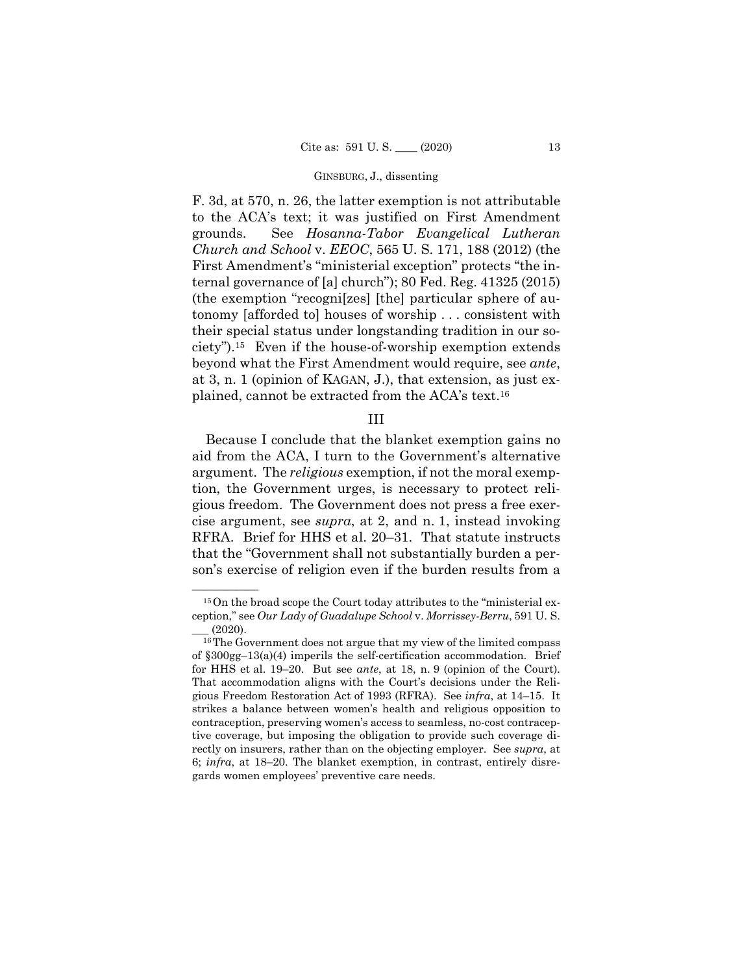### GINSBURG, J., dissenting

F. 3d, at 570, n. 26, the latter exemption is not attributable to the ACA's text; it was justified on First Amendment grounds. See *Hosanna-Tabor Evangelical Lutheran Church and School* v. *EEOC*, 565 U. S. 171, 188 (2012) (the First Amendment's "ministerial exception" protects "the internal governance of [a] church"); 80 Fed. Reg. 41325 (2015) (the exemption "recogni[zes] [the] particular sphere of autonomy [afforded to] houses of worship . . . consistent with their special status under longstanding tradition in our society").15 Even if the house-of-worship exemption extends beyond what the First Amendment would require, see *ante*, at 3, n. 1 (opinion of KAGAN, J.), that extension, as just explained, cannot be extracted from the ACA's text.16

# III

Because I conclude that the blanket exemption gains no aid from the ACA, I turn to the Government's alternative argument. The *religious* exemption, if not the moral exemption, the Government urges, is necessary to protect religious freedom. The Government does not press a free exercise argument, see *supra*, at 2, and n. 1, instead invoking RFRA. Brief for HHS et al. 20–31. That statute instructs that the "Government shall not substantially burden a person's exercise of religion even if the burden results from a

 $15$ On the broad scope the Court today attributes to the "ministerial exception," see *Our Lady of Guadalupe School* v. *Morrissey-Berru*, 591 U. S.

 for HHS et al. 19–20. But see *ante*, at 18, n. 9 (opinion of the Court)*.*   $(2020)$ .<br><sup>16</sup>The Government does not argue that my view of the limited compass of §300gg–13(a)(4) imperils the self-certification accommodation. Brief That accommodation aligns with the Court's decisions under the Religious Freedom Restoration Act of 1993 (RFRA). See *infra*, at 14–15. It strikes a balance between women's health and religious opposition to contraception, preserving women's access to seamless, no-cost contraceptive coverage, but imposing the obligation to provide such coverage directly on insurers, rather than on the objecting employer. See *supra*, at 6; *infra*, at 18–20. The blanket exemption, in contrast, entirely disregards women employees' preventive care needs.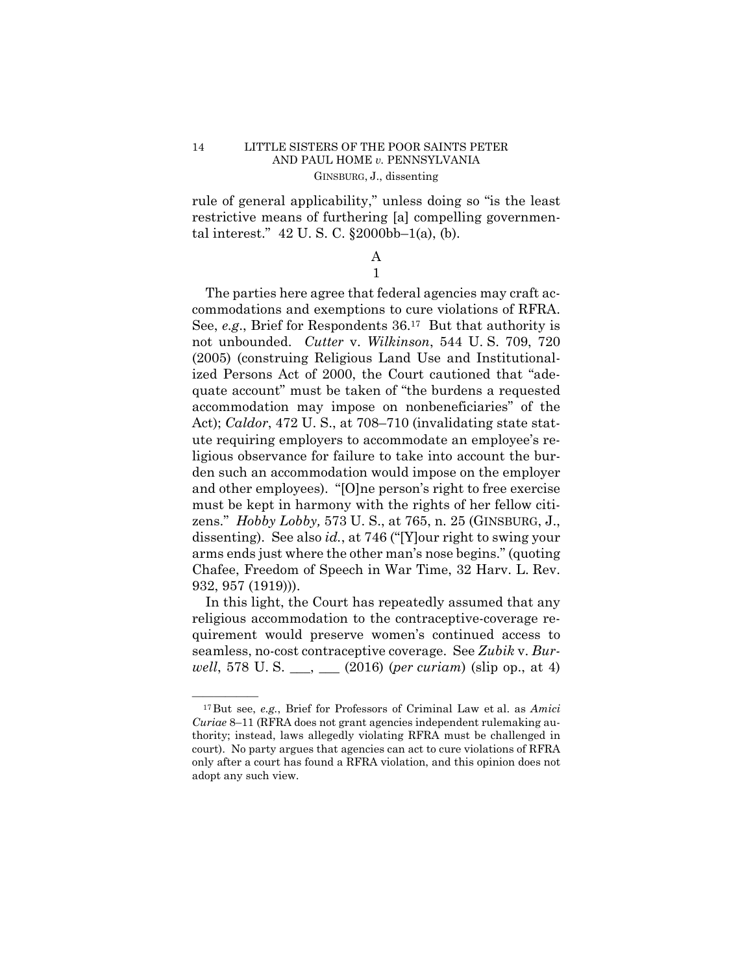rule of general applicability," unless doing so "is the least restrictive means of furthering [a] compelling governmental interest." 42 U. S. C. §2000bb–1(a), (b).

## A 1

The parties here agree that federal agencies may craft accommodations and exemptions to cure violations of RFRA. See, *e.g*., Brief for Respondents 36.17 But that authority is not unbounded. *Cutter* v. *Wilkinson*, 544 U. S. 709, 720 (2005) (construing Religious Land Use and Institutionalized Persons Act of 2000, the Court cautioned that "adequate account" must be taken of "the burdens a requested accommodation may impose on nonbeneficiaries" of the Act); *Caldor*, 472 U. S., at 708–710 (invalidating state statute requiring employers to accommodate an employee's religious observance for failure to take into account the burden such an accommodation would impose on the employer and other employees). "[O]ne person's right to free exercise must be kept in harmony with the rights of her fellow citizens." *Hobby Lobby,* 573 U. S., at 765, n. 25 (GINSBURG, J., dissenting). See also *id.*, at 746 ("[Y]our right to swing your arms ends just where the other man's nose begins." (quoting Chafee, Freedom of Speech in War Time, 32 Harv. L. Rev. 932, 957 (1919))).

In this light, the Court has repeatedly assumed that any religious accommodation to the contraceptive-coverage requirement would preserve women's continued access to seamless, no-cost contraceptive coverage. See *Zubik* v. *Burwell*, 578 U. S. \_\_\_, \_\_\_ (2016) (*per curiam*) (slip op., at 4)

<sup>&</sup>lt;sup>17</sup>But see, *e.g.*, Brief for Professors of Criminal Law et al. as *Amici Curiae* 8–11 (RFRA does not grant agencies independent rulemaking authority; instead, laws allegedly violating RFRA must be challenged in court). No party argues that agencies can act to cure violations of RFRA only after a court has found a RFRA violation, and this opinion does not adopt any such view.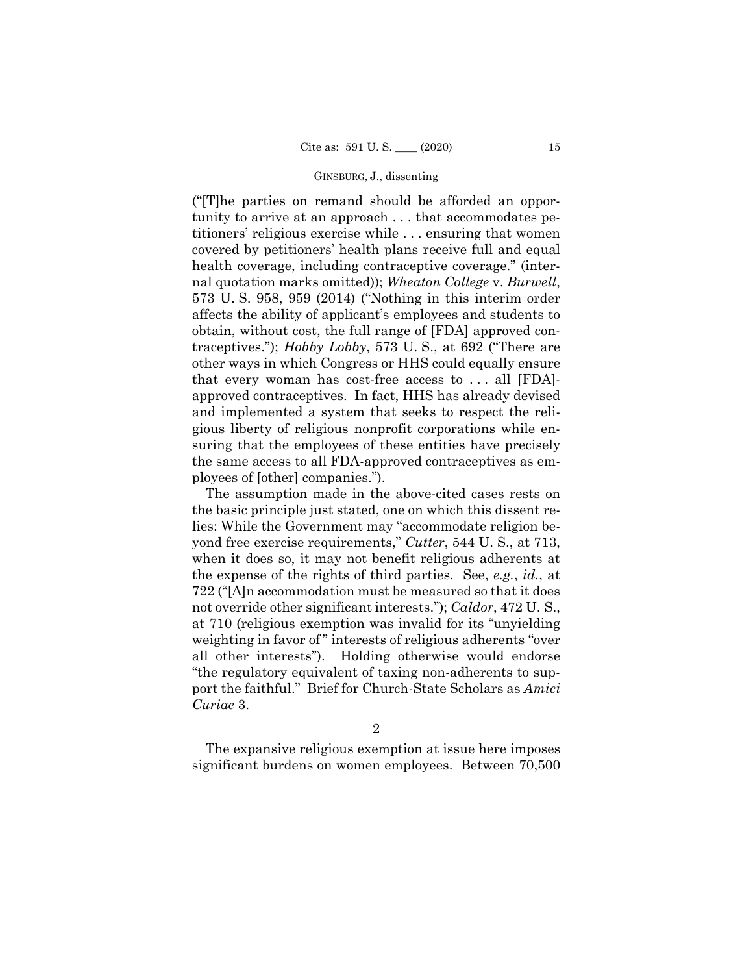### GINSBURG, J., dissenting

("[T]he parties on remand should be afforded an opportunity to arrive at an approach . . . that accommodates petitioners' religious exercise while . . . ensuring that women covered by petitioners' health plans receive full and equal health coverage, including contraceptive coverage." (internal quotation marks omitted)); *Wheaton College* v. *Burwell*, 573 U. S. 958, 959 (2014) ("Nothing in this interim order affects the ability of applicant's employees and students to obtain, without cost, the full range of [FDA] approved contraceptives."); *Hobby Lobby*, 573 U. S., at 692 ("There are other ways in which Congress or HHS could equally ensure that every woman has cost-free access to . . . all [FDA] approved contraceptives. In fact, HHS has already devised and implemented a system that seeks to respect the religious liberty of religious nonprofit corporations while ensuring that the employees of these entities have precisely the same access to all FDA-approved contraceptives as employees of [other] companies.").

The assumption made in the above-cited cases rests on the basic principle just stated, one on which this dissent relies: While the Government may "accommodate religion beyond free exercise requirements," *Cutter*, 544 U. S., at 713, when it does so, it may not benefit religious adherents at the expense of the rights of third parties. See, *e.g.*, *id.*, at 722 ("[A]n accommodation must be measured so that it does not override other significant interests."); *Caldor*, 472 U. S., at 710 (religious exemption was invalid for its "unyielding weighting in favor of" interests of religious adherents "over all other interests"). Holding otherwise would endorse "the regulatory equivalent of taxing non-adherents to support the faithful." Brief for Church-State Scholars as *Amici Curiae* 3.

The expansive religious exemption at issue here imposes significant burdens on women employees. Between 70,500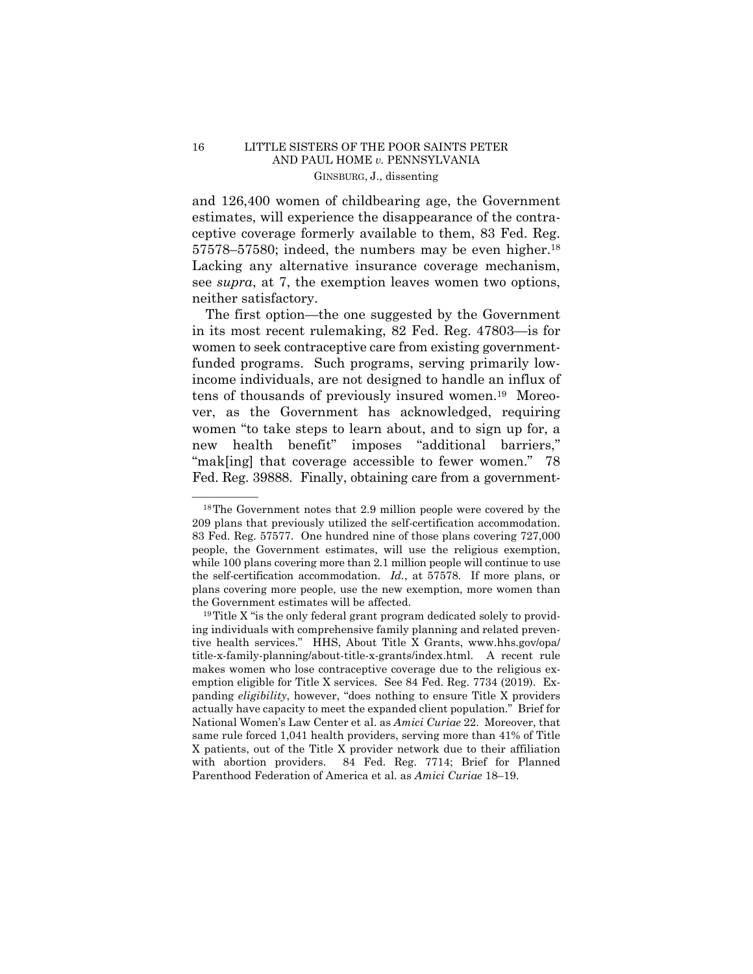57578–57580; indeed, the numbers may be even higher.<sup>18</sup> and 126,400 women of childbearing age, the Government estimates, will experience the disappearance of the contraceptive coverage formerly available to them, 83 Fed. Reg. Lacking any alternative insurance coverage mechanism, see *supra*, at 7, the exemption leaves women two options, neither satisfactory.

The first option—the one suggested by the Government in its most recent rulemaking, 82 Fed. Reg. 47803—is for women to seek contraceptive care from existing governmentfunded programs. Such programs, serving primarily lowincome individuals, are not designed to handle an influx of tens of thousands of previously insured women.19 Moreover, as the Government has acknowledged, requiring women "to take steps to learn about, and to sign up for, a new health benefit" imposes "additional barriers," "mak[ing] that coverage accessible to fewer women." 78 Fed. Reg. 39888. Finally, obtaining care from a government-

 209 plans that previously utilized the self-certification accommodation. while 100 plans covering more than 2.1 million people will continue to use the self-certification accommodation. *Id.*, at 57578*.* If more plans, or  $^{18}$ The Government notes that 2.9 million people were covered by the 83 Fed. Reg. 57577. One hundred nine of those plans covering 727,000 people, the Government estimates, will use the religious exemption, plans covering more people, use the new exemption, more women than

the Government estimates will be affected.<br><sup>19</sup>Title X "is the only federal grant program dedicated solely to providing individuals with comprehensive family planning and related preventive health services." HHS, About Title X Grants, www.hhs.gov/opa/ title-x-family-planning/about-title-x-grants/index.html. A recent rule makes women who lose contraceptive coverage due to the religious exemption eligible for Title X services. See 84 Fed. Reg. 7734 (2019). Expanding *eligibility*, however, "does nothing to ensure Title X providers actually have capacity to meet the expanded client population." Brief for National Women's Law Center et al. as *Amici Curiae* 22. Moreover, that same rule forced 1,041 health providers, serving more than 41% of Title X patients, out of the Title X provider network due to their affiliation with abortion providers. 84 Fed. Reg. 7714; Brief for Planned Parenthood Federation of America et al. as *Amici Curiae* 18–19.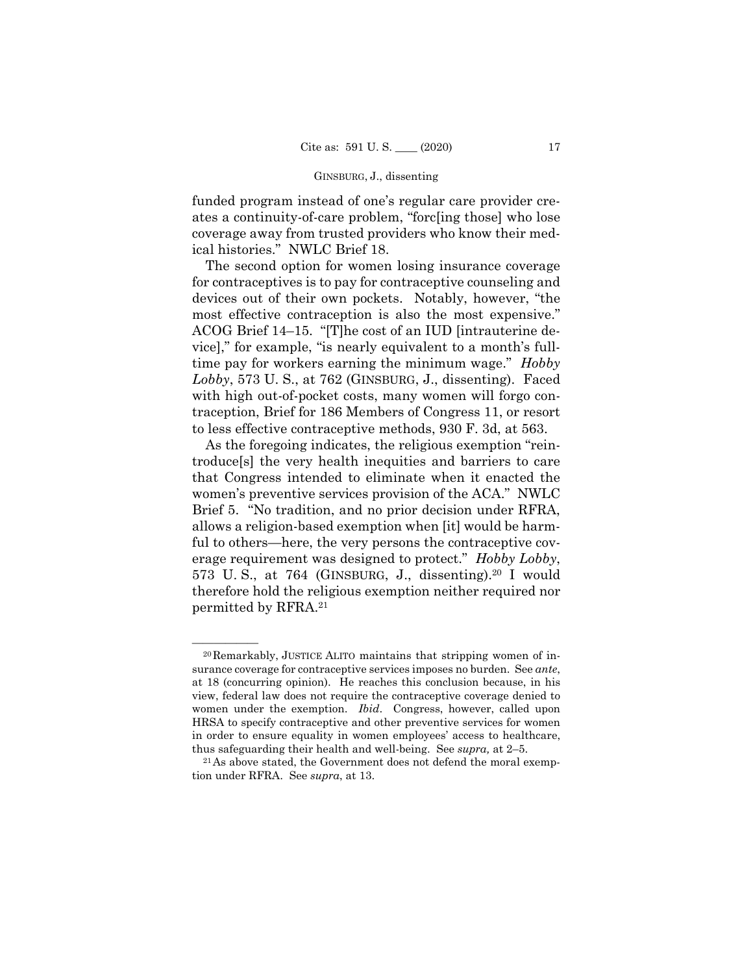### GINSBURG, J., dissenting

funded program instead of one's regular care provider creates a continuity-of-care problem, "forc[ing those] who lose coverage away from trusted providers who know their medical histories." NWLC Brief 18.

The second option for women losing insurance coverage for contraceptives is to pay for contraceptive counseling and devices out of their own pockets. Notably, however, "the most effective contraception is also the most expensive." ACOG Brief 14–15. "[T]he cost of an IUD [intrauterine device]," for example, "is nearly equivalent to a month's fulltime pay for workers earning the minimum wage." *Hobby Lobby*, 573 U. S., at 762 (GINSBURG, J., dissenting). Faced with high out-of-pocket costs, many women will forgo contraception, Brief for 186 Members of Congress 11, or resort to less effective contraceptive methods, 930 F. 3d, at 563.

As the foregoing indicates, the religious exemption "reintroduce[s] the very health inequities and barriers to care that Congress intended to eliminate when it enacted the women's preventive services provision of the ACA." NWLC Brief 5. "No tradition, and no prior decision under RFRA, allows a religion-based exemption when [it] would be harmful to others—here, the very persons the contraceptive coverage requirement was designed to protect." *Hobby Lobby*, 573 U. S., at 764 (GINSBURG, J., dissenting).20 I would therefore hold the religious exemption neither required nor permitted by RFRA.21

 at 18 (concurring opinion). He reaches this conclusion because, in his women under the exemption. *Ibid*. Congress, however, called upon  $20$ Remarkably, JUSTICE ALITO maintains that stripping women of insurance coverage for contraceptive services imposes no burden. See *ante*, view, federal law does not require the contraceptive coverage denied to HRSA to specify contraceptive and other preventive services for women in order to ensure equality in women employees' access to healthcare, thus safeguarding their health and well-being. See *supra*, at 2–5.<br><sup>21</sup>As above stated, the Government does not defend the moral exemp-

tion under RFRA. See *supra*, at 13.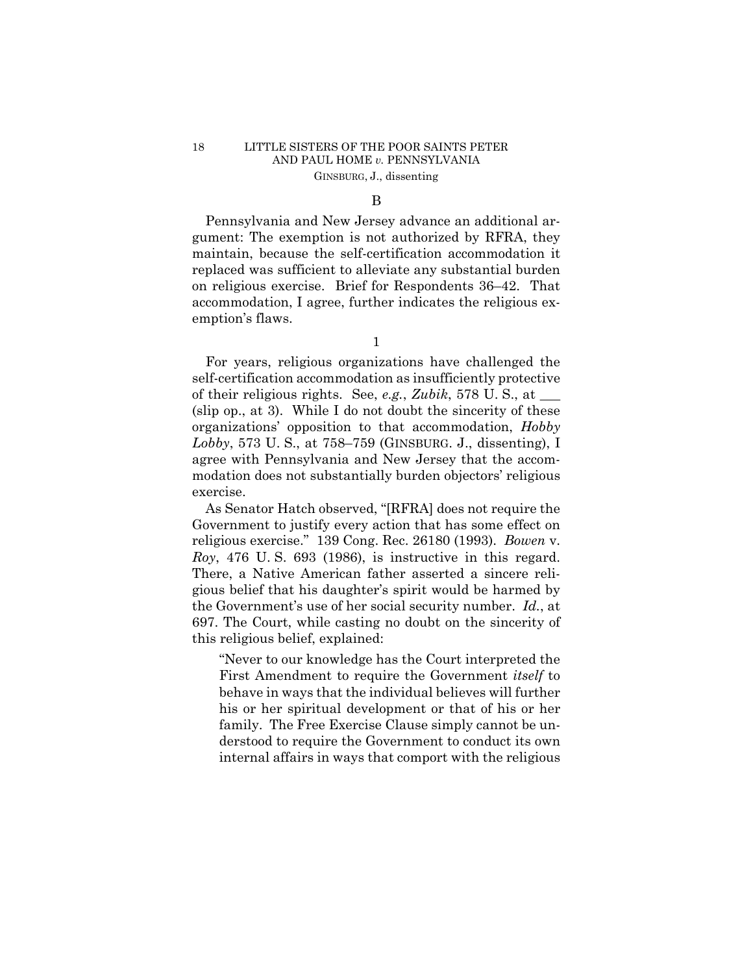# 18 LITTLE SISTERS OF THE POOR SAINTS PETER AND PAUL HOME *v.* PENNSYLVANIA GINSBURG, J., dissenting

### B

Pennsylvania and New Jersey advance an additional argument: The exemption is not authorized by RFRA, they maintain, because the self-certification accommodation it replaced was sufficient to alleviate any substantial burden on religious exercise. Brief for Respondents 36–42. That accommodation, I agree, further indicates the religious exemption's flaws.

1

For years, religious organizations have challenged the self-certification accommodation as insufficiently protective of their religious rights. See, *e.g.*, *Zubik*, 578 U. S., at \_\_\_ (slip op., at 3). While I do not doubt the sincerity of these organizations' opposition to that accommodation, *Hobby Lobby*, 573 U. S., at 758–759 (GINSBURG. J., dissenting), I agree with Pennsylvania and New Jersey that the accommodation does not substantially burden objectors' religious exercise.

As Senator Hatch observed, "[RFRA] does not require the Government to justify every action that has some effect on religious exercise." 139 Cong. Rec. 26180 (1993). *Bowen* v. *Roy*, 476 U. S. 693 (1986), is instructive in this regard. There, a Native American father asserted a sincere religious belief that his daughter's spirit would be harmed by the Government's use of her social security number. *Id.*, at 697. The Court, while casting no doubt on the sincerity of this religious belief, explained:

"Never to our knowledge has the Court interpreted the First Amendment to require the Government *itself* to behave in ways that the individual believes will further his or her spiritual development or that of his or her family. The Free Exercise Clause simply cannot be understood to require the Government to conduct its own internal affairs in ways that comport with the religious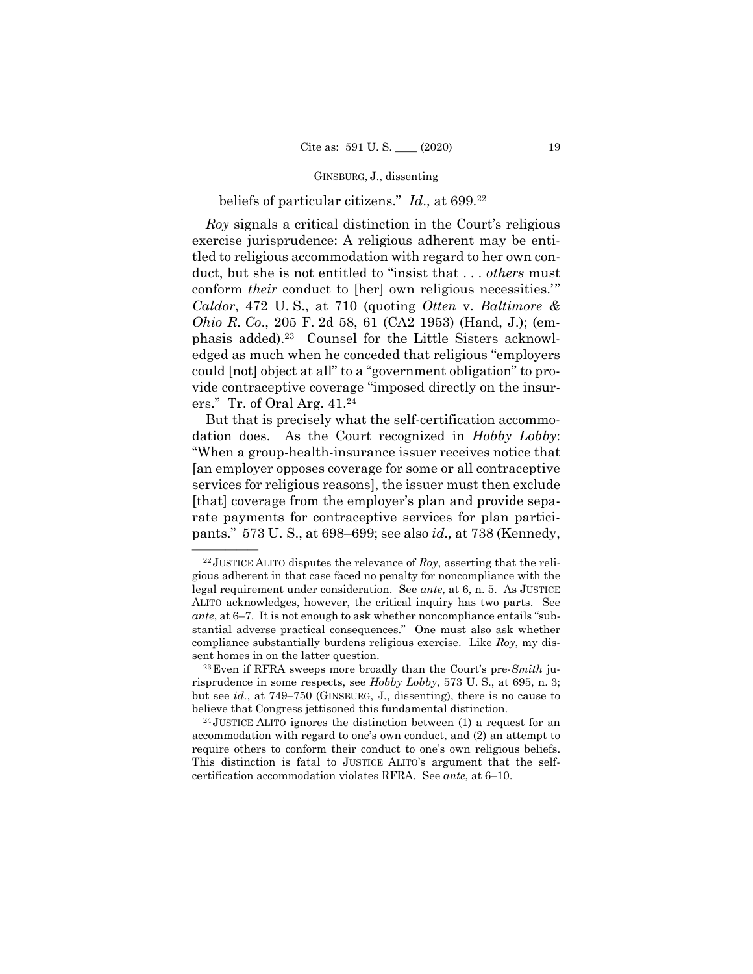### GINSBURG, J., dissenting

## beliefs of particular citizens." *Id*., at 699.22

*Roy* signals a critical distinction in the Court's religious exercise jurisprudence: A religious adherent may be entitled to religious accommodation with regard to her own conduct, but she is not entitled to "insist that . . . *others* must conform *their* conduct to [her] own religious necessities.'" *Caldor*, 472 U. S., at 710 (quoting *Otten* v. *Baltimore & Ohio R. Co*., 205 F. 2d 58, 61 (CA2 1953) (Hand, J.); (emphasis added).23 Counsel for the Little Sisters acknowledged as much when he conceded that religious "employers could [not] object at all" to a "government obligation" to provide contraceptive coverage "imposed directly on the insurers." Tr. of Oral Arg. 41.24

But that is precisely what the self-certification accommodation does. As the Court recognized in *Hobby Lobby*: "When a group-health-insurance issuer receives notice that [an employer opposes coverage for some or all contraceptive services for religious reasons], the issuer must then exclude [that] coverage from the employer's plan and provide separate payments for contraceptive services for plan participants." 573 U. S., at 698–699; see also *id.,* at 738 (Kennedy,

 $^{22}$ JUSTICE ALITO disputes the relevance of *Roy*, asserting that the religious adherent in that case faced no penalty for noncompliance with the legal requirement under consideration. See *ante*, at 6, n. 5. As JUSTICE ALITO acknowledges, however, the critical inquiry has two parts. See *ante*, at 6–7. It is not enough to ask whether noncompliance entails "substantial adverse practical consequences." One must also ask whether compliance substantially burdens religious exercise. Like *Roy*, my dissent homes in on the latter question.<br><sup>23</sup> Even if RFRA sweeps more broadly than the Court's pre-*Smith* ju-

 risprudence in some respects, see *Hobby Lobby*, 573 U. S., at 695, n. 3; but see *id.*, at 749–750 (GINSBURG, J., dissenting), there is no cause to believe that Congress jettisoned this fundamental distinction.<br><sup>24</sup> JUSTICE ALITO ignores the distinction between (1) a request for an

accommodation with regard to one's own conduct, and (2) an attempt to require others to conform their conduct to one's own religious beliefs. This distinction is fatal to JUSTICE ALITO's argument that the selfcertification accommodation violates RFRA. See *ante*, at 6–10.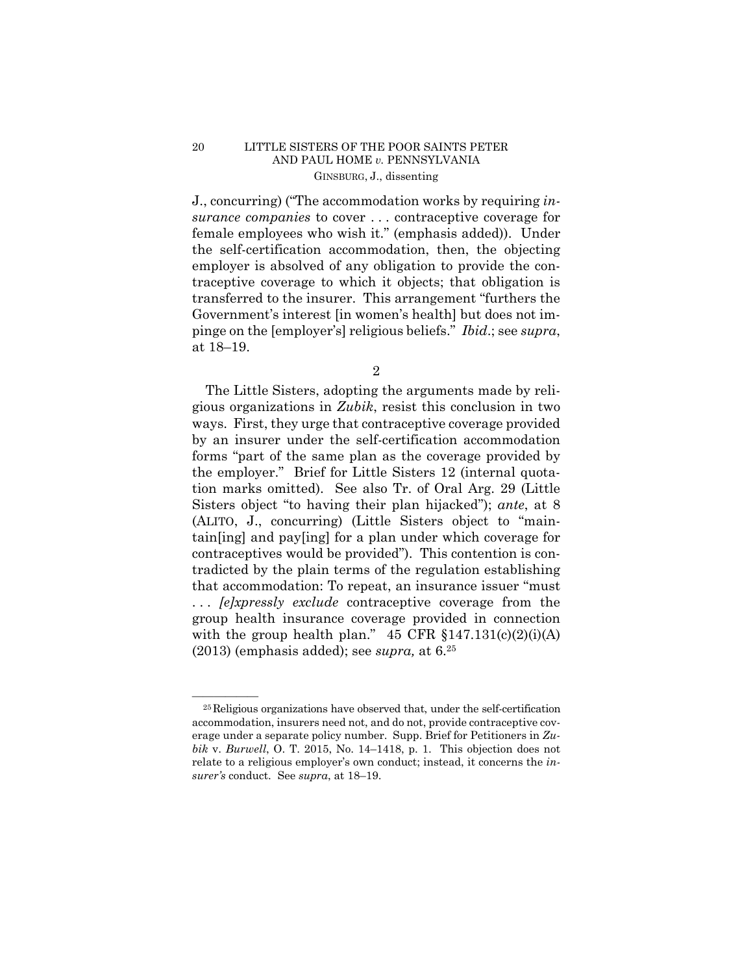## 20 LITTLE SISTERS OF THE POOR SAINTS PETER AND PAUL HOME *v.* PENNSYLVANIA GINSBURG, J., dissenting

 pinge on the [employer's] religious beliefs." *Ibid*.; see *supra*, J., concurring) ("The accommodation works by requiring *insurance companies* to cover . . . contraceptive coverage for female employees who wish it." (emphasis added)). Under the self-certification accommodation, then, the objecting employer is absolved of any obligation to provide the contraceptive coverage to which it objects; that obligation is transferred to the insurer. This arrangement "furthers the Government's interest [in women's health] but does not imat 18–19.

2

The Little Sisters, adopting the arguments made by religious organizations in *Zubik*, resist this conclusion in two ways. First, they urge that contraceptive coverage provided by an insurer under the self-certification accommodation forms "part of the same plan as the coverage provided by the employer." Brief for Little Sisters 12 (internal quotation marks omitted). See also Tr. of Oral Arg. 29 (Little Sisters object "to having their plan hijacked"); *ante*, at 8 (ALITO, J., concurring) (Little Sisters object to "maintain[ing] and pay[ing] for a plan under which coverage for contraceptives would be provided"). This contention is contradicted by the plain terms of the regulation establishing that accommodation: To repeat, an insurance issuer "must . . . *[e]xpressly exclude* contraceptive coverage from the group health insurance coverage provided in connection with the group health plan."  $45 \text{ CFR } \S 147.131(c)(2)(i)(A)$ (2013) (emphasis added); see *supra,* at 6.25

 $25$  Religious organizations have observed that, under the self-certification accommodation, insurers need not, and do not, provide contraceptive coverage under a separate policy number. Supp. Brief for Petitioners in *Zubik* v. *Burwell*, O. T. 2015, No. 14–1418, p. 1. This objection does not relate to a religious employer's own conduct; instead, it concerns the *insurer's* conduct. See *supra*, at 18–19.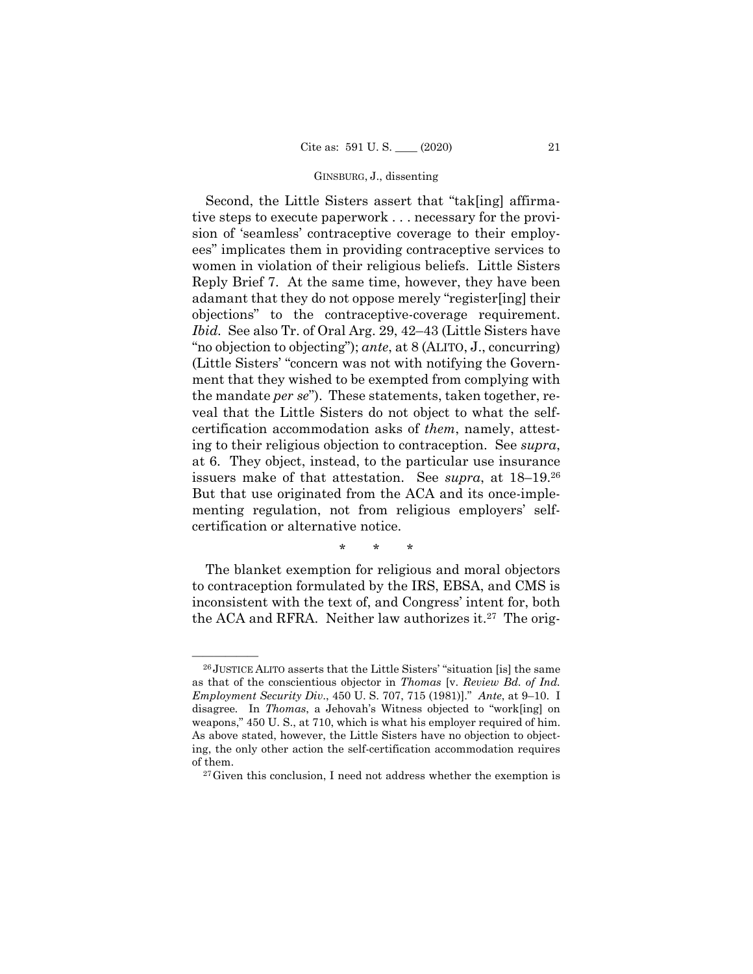### GINSBURG, J., dissenting

 issuers make of that attestation. See *supra*, at 18–19.26 Second, the Little Sisters assert that "tak[ing] affirmative steps to execute paperwork . . . necessary for the provision of 'seamless' contraceptive coverage to their employees" implicates them in providing contraceptive services to women in violation of their religious beliefs. Little Sisters Reply Brief 7. At the same time, however, they have been adamant that they do not oppose merely "register[ing] their objections" to the contraceptive-coverage requirement. *Ibid.* See also Tr. of Oral Arg. 29, 42–43 (Little Sisters have "no objection to objecting"); *ante*, at 8 (ALITO, J., concurring) (Little Sisters' "concern was not with notifying the Government that they wished to be exempted from complying with the mandate *per se*"). These statements, taken together, reveal that the Little Sisters do not object to what the selfcertification accommodation asks of *them*, namely, attesting to their religious objection to contraception. See *supra*, at 6. They object, instead, to the particular use insurance But that use originated from the ACA and its once-implementing regulation, not from religious employers' selfcertification or alternative notice.

\* \* \*

The blanket exemption for religious and moral objectors to contraception formulated by the IRS, EBSA, and CMS is inconsistent with the text of, and Congress' intent for, both the ACA and RFRA. Neither law authorizes it.<sup>27</sup> The orig-

<sup>&</sup>lt;sup>26</sup> JUSTICE ALITO asserts that the Little Sisters' "situation [is] the same as that of the conscientious objector in *Thomas* [v. *Review Bd. of Ind. Employment Security Div*., 450 U. S. 707, 715 (1981)]." *Ante*, at 9–10. I disagree*.* In *Thomas*, a Jehovah's Witness objected to "work[ing] on weapons," 450 U. S., at 710, which is what his employer required of him. As above stated, however, the Little Sisters have no objection to objecting, the only other action the self-certification accommodation requires of them. 27Given this conclusion, I need not address whether the exemption is